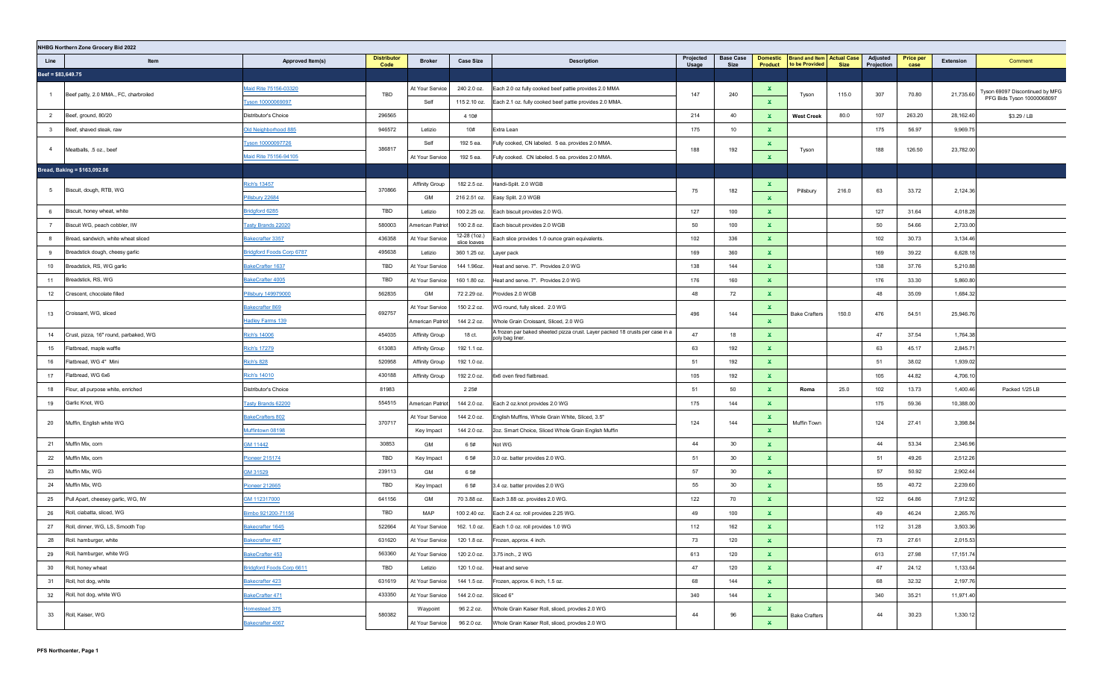|                     | NHBG Northern Zone Grocery Bid 2022                 |                                  |                            |                            |                              |                                                                              |                    |                          |                              |                                                |       |                        |                          |                       |                                 |
|---------------------|-----------------------------------------------------|----------------------------------|----------------------------|----------------------------|------------------------------|------------------------------------------------------------------------------|--------------------|--------------------------|------------------------------|------------------------------------------------|-------|------------------------|--------------------------|-----------------------|---------------------------------|
| Line                | Item                                                | Approved Item(s)                 | <b>Distributor</b><br>Code | <b>Broker</b>              | <b>Case Size</b>             | <b>Description</b>                                                           | Projected<br>Usage | <b>Base Case</b><br>Size | <b>Domestic</b><br>Product   | Brand and Item   Actual Case<br>to be Provided | Size  | Adjusted<br>Projection | <b>Price per</b><br>case | Extension             | Comment                         |
| $Beef = $83,649.75$ |                                                     |                                  |                            |                            |                              |                                                                              |                    |                          |                              |                                                |       |                        |                          |                       |                                 |
|                     |                                                     | Maid Rite 75156-03320            |                            | At Your Service            | 240 2.0 oz.                  | Each 2.0 oz fully cooked beef pattie provides 2.0 MMA                        |                    |                          | ×.                           |                                                |       |                        |                          |                       | Tyson 69097 Discontinued by MFG |
| $\overline{1}$      | Beef patty, 2.0 MMA., FC, charbroiled               | Tyson 10000069097                | TBD                        | Self                       | 115 2.10 oz.                 | Each 2.1 oz. fully cooked beef pattie provides 2.0 MMA.                      | 147                | 240                      | ×.                           | Tyson                                          | 115.0 | 307                    | 70.80                    | 21,735.60             | PFG Bids Tyson 10000068097      |
| 2                   | Beef, ground, 80/20                                 | Distributor's Choice             | 296565                     |                            | 4 10#                        |                                                                              | 214                | 40                       | $\mathbf x$                  | <b>West Creek</b>                              | 80.0  | 107                    | 263.20                   | 28,162.40             | \$3.29 / LB                     |
| $\mathbf{3}$        | Beef, shaved steak, raw                             | Old Neighborhood 885             | 946572                     | Letizio                    | 10#                          | Extra Lean                                                                   | 175                | 10                       | $\mathbf{x}$                 |                                                |       | 175                    | 56.97                    | 9,969.75              |                                 |
|                     |                                                     | Tyson 10000097726                |                            | Self                       | 1925 ea.                     | Fully cooked, CN labeled. 5 ea. provides 2.0 MMA.                            |                    |                          | $\mathbf{x}$                 |                                                |       |                        |                          |                       |                                 |
| $\overline{4}$      | Meatballs, .5 oz., beef                             | Maid Rite 75156-94105            | 386817                     | At Your Service            | 1925 ea.                     | Fully cooked. CN labeled. 5 ea. provides 2.0 MMA.                            | 188                | 192                      | $\mathbf{x}$                 | Tyson                                          |       | 188                    | 126.50                   | 23,782.00             |                                 |
|                     | Bread, Baking = \$163,092.06                        |                                  |                            |                            |                              |                                                                              |                    |                          |                              |                                                |       |                        |                          |                       |                                 |
|                     |                                                     | ich's 13457                      |                            | Affinity Group             | 182 2.5 oz.                  | Handi-Split. 2.0 WGB                                                         |                    |                          | x                            |                                                |       |                        |                          |                       |                                 |
| 5 <sub>5</sub>      | Biscuit, dough, RTB, WG                             | Pillsbury 22684                  | 370866                     | GM                         | 216 2.51 oz.                 | Easy Split. 2.0 WGB                                                          | 75                 | 182                      | $\mathbf{x}$                 | Pillsbury                                      | 216.0 | 63                     | 33.72                    | 2,124.36              |                                 |
| 6                   | Biscuit, honey wheat, white                         | Bridgford 6285                   | TBD                        | Letizio                    | 100 2.25 oz.                 | Each biscuit provides 2.0 WG.                                                | 127                | 100                      | $\mathbf{x}$                 |                                                |       | 127                    | 31.64                    | 4,018.28              |                                 |
| $\overline{7}$      | Biscuit WG, peach cobbler, IW                       | Tasty Brands 22020               | 580003                     | American Patrio            | 100 2.8 oz.                  | Each biscuit provides 2.0 WGB                                                | 50                 | 100                      | $\mathbf{x}$                 |                                                |       | 50                     | 54.66                    | 2,733.00              |                                 |
| 8                   | Bread, sandwich, white wheat sliced                 | Bakecrafter 3357                 | 436358                     | At Your Service            | 12-28 (1oz.)                 | Each slice provides 1.0 ounce grain equivalents.                             | 102                | 336                      | $\mathbf x$                  |                                                |       | 102                    | 30.73                    | 3,134.46              |                                 |
| 9                   | Breadstick dough, cheesy garlic                     | <b>Bridgford Foods Corp 6787</b> | 495638                     | Letizio                    | slice loaves<br>360 1.25 oz. | Layer pack                                                                   | 169                | 360                      | $\mathbf x$                  |                                                |       | 169                    | 39.22                    | 6,628.18              |                                 |
| 10                  | Breadstick, RS, WG garlic                           | BakeCrafter 1637                 | TBD                        | At Your Service            | 144 1.96oz.                  | Heat and serve. 7". Provides 2.0 WG                                          | 138                | 144                      | $\mathbf x$                  |                                                |       | 138                    | 37.76                    | 5,210.88              |                                 |
| 11                  | Breadstick, RS, WG                                  | BakeCrafter 4005                 | TBD                        | At Your Service            | 160 1.80 oz.                 | Heat and serve. 7". Provides 2.0 WG                                          | 176                | 160                      | ×.                           |                                                |       | 176                    | 33.30                    | 5,860.80              |                                 |
| 12                  | Crescent, chocolate filled                          | Pillsbury 149979000              | 562835                     | GM                         | 72 2.29 oz.                  | Provides 2.0 WGB                                                             | 48                 | 72                       | $\mathbf x$                  |                                                |       | 48                     | 35.09                    | 1,684.32              |                                 |
|                     |                                                     | akecrafter 869                   |                            | At Your Service            | 150 2.2 oz.                  | WG round, fully sliced. 2.0 WG                                               |                    |                          | ×.                           |                                                |       |                        |                          |                       |                                 |
| 13                  | Croissant, WG, sliced                               | Hadley Farms 139                 | 692757                     | American Patriot           | 144 2.2 oz.                  | Whole Grain Croissant, Sliced, 2.0 WG                                        | 496                | 144                      | $\mathbf{x}$                 | <b>Bake Crafters</b>                           | 150.0 | 476                    | 54.51                    | 25,946.76             |                                 |
| 14                  | Crust, pizza, 16" round, parbaked, WG               | Rich's 14006                     | 454035                     | Affinity Group             | 18 ct.                       | م frozen par baked sheeted pizza crust. Layer packed 18 crusts per case in a | 47                 | 18                       | $\mathbf{x}$                 |                                                |       | 47                     | 37.54                    | 1,764.38              |                                 |
| 15                  | Flatbread, maple waffle                             | Rich's 17279                     | 613083                     | Affinity Group             | 192 1.1 oz.                  | poly bag liner.                                                              | 63                 | 192                      | ×.                           |                                                |       | 63                     | 45.17                    | 2,845.7               |                                 |
| 16                  | Flatbread, WG 4" Mini                               | <b>Rich's 828</b>                | 520958                     | Affinity Group             | 192 1.0 oz.                  |                                                                              | 51                 | 192                      | ×.                           |                                                |       | 51                     | 38.02                    | 1,939.02              |                                 |
| 17                  | Flatbread, WG 6x6                                   | Rich's 14010                     | 430188                     | <b>Affinity Group</b>      | 192 2.0 oz.                  | 6x6 oven fired flatbread.                                                    | 105                | 192                      | ×.                           |                                                |       | 105                    | 44.82                    | 4,706.10              |                                 |
| 18                  | Flour, all purpose white, enriched                  | Distributor's Choice             | 81983                      |                            | 2 2 5#                       |                                                                              | 51                 | 50                       | $\mathbf{x}$                 | Roma                                           | 25.0  | 102                    | 13.73                    | 1,400.46              | Packed 1/25 LB                  |
| 19                  | Garlic Knot, WG                                     | Tasty Brands 62200               | 554515                     | American Patriot           | 144 2.0 oz.                  | Each 2 oz.knot provides 2.0 WG                                               | 175                | 144                      | $\mathbf{x}$                 |                                                |       | 175                    | 59.36                    | 10,388.00             |                                 |
|                     |                                                     | BakeCrafters 802                 |                            | At Your Service            | 144 2.0 oz.                  | English Muffins, Whole Grain White, Sliced, 3.5"                             |                    |                          | x                            |                                                |       |                        |                          |                       |                                 |
| 20                  | Muffin, English white WG                            | Muffintown 08198                 | 370717                     | Key Impact                 | 144 2.0 oz.                  | 2oz. Smart Choice, Sliced Whole Grain English Muffin                         | 124                | 144                      | $\mathbf{x}$                 | Muffin Town                                    |       | 124                    | 27.41                    | 3,398.84              |                                 |
| 21                  | Muffin Mix, corn                                    | GM 11442                         | 30853                      | GM                         | 6 5#                         | Not WG                                                                       | 44                 | 30                       | $\mathbf{x}$                 |                                                |       | 44                     | 53.34                    | 2,346.96              |                                 |
| 22                  | Muffin Mix, corn                                    | Pioneer 215174                   | TBD                        | Key Impact                 | 65#                          | 3.0 oz. batter provides 2.0 WG.                                              | 51                 | 30                       | $\mathbf{x}$                 |                                                |       | 51                     | 49.26                    | 2,512.26              |                                 |
| 23                  | Muffin Mix, WG                                      | GM 31529                         | 239113                     | GM                         | 6 5#                         |                                                                              | 57                 | 30                       | $\mathbf{x}$                 |                                                |       | 57                     | 50.92                    | 2,902.44              |                                 |
| 24                  | Muffin Mix, WG                                      | Pioneer 212665                   | TBD                        | Key Impact                 | 6 5#                         | 3.4 oz. batter provides 2.0 WG                                               | 55                 | 30                       | $\mathbf{x}$                 |                                                |       | 55                     | 40.72                    | 2,239.60              |                                 |
| 25                  | Pull Apart, cheesey garlic, WG, IW                  | 3M 112317000                     | 641156                     | GM                         | 70 3.88 oz.                  | Each 3.88 oz. provides 2.0 WG.                                               | 122                | 70                       | ×.                           |                                                |       | 122                    | 64.86                    | 7,912.92              |                                 |
| 26                  | Roll, ciabatta, sliced, WG                          | Bimbo 921200-71156               | TBD                        | MAP                        | 100 2.40 oz.                 | Each 2.4 oz. roll provides 2.25 WG.                                          | 49                 | 100                      | $\mathbf{x}$                 |                                                |       | 49                     | 46.24                    | 2,265.76              |                                 |
| 27                  | Roll, dinner, WG, LS, Smooth Top                    | Bakecrafter 1645                 | 522664                     | At Your Service            | 162. 1.0 oz.                 | Each 1.0 oz. roll provides 1.0 WG                                            | 112                | 162                      | $\mathbf x$                  |                                                |       | 112                    | 31.28                    | 3,503.36              |                                 |
|                     |                                                     |                                  |                            | At Your Service            |                              |                                                                              |                    |                          |                              |                                                |       |                        |                          |                       |                                 |
| 28<br>29            | Roll. hamburger, white<br>Roll, hamburger, white WG | Bakecrafter 487                  | 631620<br>563360           | At Your Service            | 120 2.0 oz.                  | 120 1.8 oz. Frozen, approx. 4 inch.<br>3.75 inch., 2 WG                      | 73<br>613          | 120<br>120               | X.<br>$\mathbf{x}$           |                                                |       | 73<br>613              | 27.61<br>27.98           | 2,015.53<br>17,151.74 |                                 |
|                     | Roll, honey wheat                                   | BakeCrafter 453                  | TBD                        |                            |                              |                                                                              | 47                 | 120                      |                              |                                                |       | 47                     | 24.12                    |                       |                                 |
| 30<br>31            |                                                     | Bridgford Foods Corp 6611        | 631619                     | Letizio<br>At Your Service | 120 1.0 oz.<br>144 1.5 oz.   | Heat and serve                                                               | 68                 | 144                      | $\mathbf{x}$<br>$\mathbf{x}$ |                                                |       | 68                     | 32.32                    | 1,133.64<br>2,197.76  |                                 |
| 32                  | Roll, hot dog, white<br>Roll, hot dog, white WG     | Bakecrafter 423                  | 433350                     | At Your Service            | 144 2.0 oz.                  | Frozen, approx. 6 inch, 1.5 oz.                                              | 340                | 144                      |                              |                                                |       | 340                    | 35.21                    | 11,971.40             |                                 |
|                     |                                                     | BakeCrafter 471                  |                            |                            |                              | Sliced 6"                                                                    |                    |                          | $\mathbf{x}$                 |                                                |       |                        |                          |                       |                                 |
| 33                  | Roll, Kaiser, WG                                    | Iomestead 375                    | 580382                     | Waypoint                   | 96 2.2 oz.                   | Whole Grain Kaiser Roll, sliced, provdes 2.0 WG                              | 44                 | 96                       | ×.                           | <b>Bake Crafters</b>                           |       | 44                     | 30.23                    | 1,330.12              |                                 |
|                     |                                                     | akecrafter 4067                  |                            | At Your Service            | 96 2.0 oz.                   | Whole Grain Kaiser Roll, sliced, provdes 2.0 WG                              |                    |                          | $\mathbf{x}$                 |                                                |       |                        |                          |                       |                                 |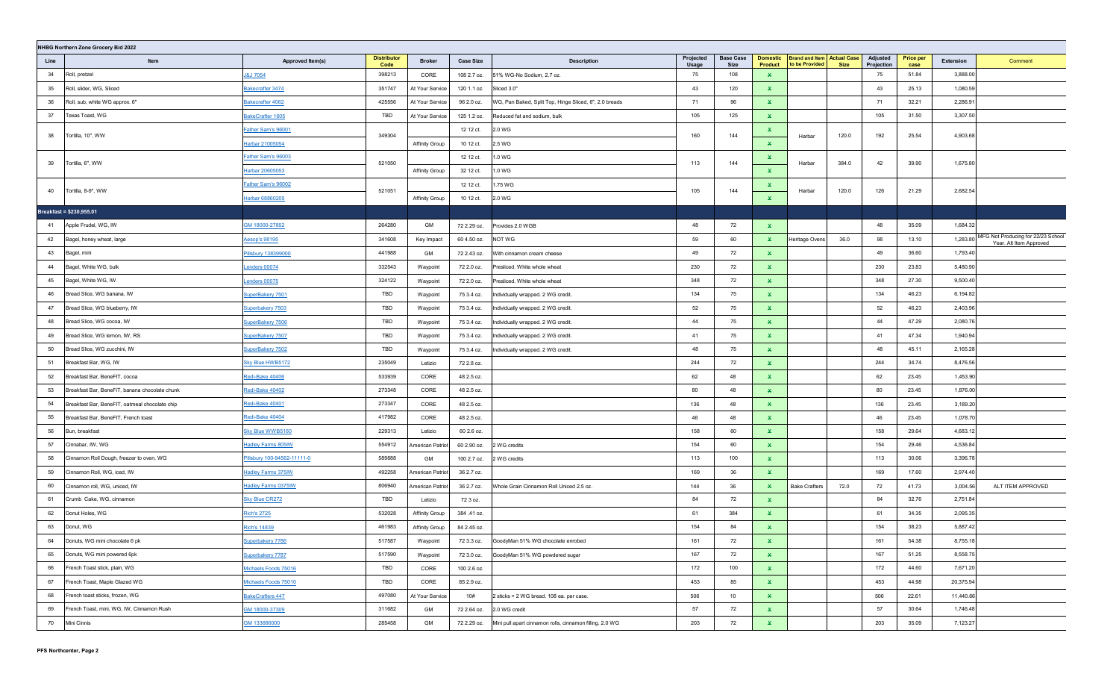|      | NHBG Northern Zone Grocery Bid 2022            |                             |                            |                       |                  |                                                          |                    |                                 |                                   |                                                     |             |                        |                          |           |                                                               |
|------|------------------------------------------------|-----------------------------|----------------------------|-----------------------|------------------|----------------------------------------------------------|--------------------|---------------------------------|-----------------------------------|-----------------------------------------------------|-------------|------------------------|--------------------------|-----------|---------------------------------------------------------------|
| Line | Item                                           | Approved Item(s)            | <b>Distributor</b><br>Code | <b>Broker</b>         | <b>Case Size</b> | <b>Description</b>                                       | Projected<br>Usage | <b>Base Case</b><br><b>Size</b> | <b>Domestic</b><br><b>Product</b> | <b>Brand and Item Actual Case</b><br>to be Provided | <b>Size</b> | Adjusted<br>Projection | <b>Price per</b><br>case | Extension | Comment                                                       |
| 34   | Roll, pretzel                                  | <b>J&amp;J 7054</b>         | 398213                     | CORE                  | 108 2.7 oz.      | 51% WG-No Sodium, 2.7 oz.                                | 75                 | 108                             | $\mathbf x$                       |                                                     |             | 75                     | 51.84                    | 3,888.00  |                                                               |
| 35   | Roll, slider, WG, Sliced                       | Bakecrafter 3474            | 351747                     | At Your Service       | 120 1.1 oz.      | Sliced 3.0"                                              | 43                 | 120                             | $\mathbf{x}$                      |                                                     |             | 43                     | 25.13                    | 1,080.59  |                                                               |
| 36   | Roll, sub, white WG approx. 6"                 | Bakecrafter 4062            | 425556                     | At Your Service       | 96 2.0 oz.       | WG, Pan Baked, Split Top, Hinge Sliced, 6", 2.0 breads   | 71                 | 96                              | $\mathbf x$                       |                                                     |             | 71                     | 32.21                    | 2,286.91  |                                                               |
| 37   | Texas Toast, WG                                | BakeCrafter 1605            | TBD                        | At Your Service       | 125 1.2 oz.      | Reduced fat and sodium, bulk                             | 105                | 125                             | $\mathbf x$                       |                                                     |             | 105                    | 31.50                    | 3,307.50  |                                                               |
| 38   | Tortilla, 10", WW                              | Father Sam's 96001          | 349304                     |                       | 12 12 ct.        | 2.0 WG                                                   | 160                | 144                             | ×.                                | Harbar                                              | 120.0       | 192                    | 25.54                    | 4,903.68  |                                                               |
|      |                                                | Harbar 21005054             |                            | <b>Affinity Group</b> | 10 12 ct.        | 2.5 WG                                                   |                    |                                 | $\mathbf x$                       |                                                     |             |                        |                          |           |                                                               |
| 39   | Tortilla, 6", WW                               | Father Sam's 96003          | 521050                     |                       | 12 12 ct.        | 1.0 WG                                                   | 113                | 144                             | ×.                                |                                                     | 384.0       | 42                     | 39.90                    | 1,675.80  |                                                               |
|      |                                                | Harbar 20605053             |                            | <b>Affinity Group</b> | 32 12 ct.        | 1.0 WG                                                   |                    |                                 | $\mathbf x$                       | Harbar                                              |             |                        |                          |           |                                                               |
| 40   | Tortilla, 8-9", WW                             | Father Sam's 96002          | 521051                     |                       | 12 12 ct.        | 1.75 WG                                                  | 105                | 144                             | $\mathbf{x}$                      | Harbar                                              | 120.0       | 126                    | 21.29                    | 2,682.54  |                                                               |
|      |                                                | Harbar 68860205             |                            | <b>Affinity Group</b> | 10 12 ct.        | 2.0 WG                                                   |                    |                                 | $\mathbf{x}$                      |                                                     |             |                        |                          |           |                                                               |
|      | Breakfast = \$230,955.01                       |                             |                            |                       |                  |                                                          |                    |                                 |                                   |                                                     |             |                        |                          |           |                                                               |
| 41   | Apple Frudel, WG, IW                           | GM 18000-27852              | 264280                     | GM                    | 72 2.29 oz.      | Provides 2.0 WGB                                         | 48                 | 72                              | ×.                                |                                                     |             | 48                     | 35.09                    | 1,684.32  |                                                               |
| 42   | Bagel, honey wheat, large                      | <u> Aesop's 98195</u>       | 341608                     | Key Impact            | 60 4.50 oz.      | NOT WG                                                   | 59                 | 60                              | $\mathbf{x}$                      | Heritage Ovens                                      | 36.0        | 98                     | 13.10                    | 1,283.80  | MFG Not Producing for 22/23 School<br>Year. Alt Item Approved |
| 43   | Bagel, mini                                    | Pillsbury 138399000         | 441988                     | GM                    | 72 2.43 oz.      | With cinnamon cream cheese                               | 49                 | 72                              | $\mathbf{x}$                      |                                                     |             | 49                     | 36.60                    | 1,793.40  |                                                               |
| 44   | Bagel, White WG, bulk                          | enders 00074                | 332543                     | Waypoint              | 72 2.0 oz.       | Presliced. White whole wheat                             | 230                | 72                              | $\mathbf{x}$                      |                                                     |             | 230                    | 23.83                    | 5,480.90  |                                                               |
| 45   | Bagel, White WG, IW                            | enders 00075                | 324122                     | Waypoint              | 72 2.0 oz.       | Presliced. White whole wheat                             | 348                | 72                              | $\mathbf{x}$                      |                                                     |             | 348                    | 27.30                    | 9,500.40  |                                                               |
| 46   | Bread Slice, WG banana, IW                     | SuperBakery 7501            | TBD                        | Waypoint              | 75 3.4 oz.       | Individually wrapped. 2 WG credit.                       | 134                | 75                              | $\mathbf{x}$                      |                                                     |             | 134                    | 46.23                    | 6,194.82  |                                                               |
| 47   | Bread Slice, WG blueberry, IW                  | Superbakery 7503            | TBD                        | Waypoint              | 75 3.4 oz.       | Individually wrapped. 2 WG credit                        | 52                 | 75                              | $\mathbf{x}$                      |                                                     |             | 52                     | 46.23                    | 2,403.96  |                                                               |
| 48   | Bread Slice, WG cocoa, IW                      | SuperBakery 7506            | TBD                        | Waypoint              | 75 3.4 oz.       | Individually wrapped. 2 WG credit.                       | 44                 | 75                              | ×.                                |                                                     |             | 44                     | 47.29                    | 2,080.76  |                                                               |
| 49   | Bread Slice, WG lemon, IW, RS                  | SuperBakery 7507            | TBD                        | Waypoint              | 75 3.4 oz.       | Individually wrapped. 2 WG credit.                       | 41                 | 75                              | $\mathbf{x}$                      |                                                     |             | 41                     | 47.34                    | 1,940.94  |                                                               |
| 50   | Bread Slice, WG zucchini, IW                   | SuperBakery 7502            | TBD                        | Waypoint              | 75 3.4 oz.       | Individually wrapped. 2 WG credit.                       | 48                 | 75                              | $\mathbf{x}$                      |                                                     |             | 48                     | 45.11                    | 2,165.28  |                                                               |
| 51   | Breakfast Bar, WG, IW                          | Sky Blue HWB5172            | 235049                     | Letizio               | 72 2.8 oz.       |                                                          | 244                | 72                              | $\mathbf{x}$                      |                                                     |             | 244                    | 34.74                    | 8,476.56  |                                                               |
| 52   | Breakfast Bar, BeneFIT, cocoa                  | Redi-Bake 40406             | 533939                     | CORE                  | 48 2.5 oz.       |                                                          | 62                 | 48                              | $\mathbf{x}$                      |                                                     |             | 62                     | 23.45                    | 1,453.90  |                                                               |
| 53   | Breakfast Bar, BeneFiT, banana chocolate chunk | Redi-Bake 40402             | 273348                     | CORE                  | 48 2.5 oz.       |                                                          | 80                 | 48                              | $\mathbf x$                       |                                                     |             | 80                     | 23.45                    | 1,876.00  |                                                               |
| 54   | Breakfast Bar, BeneFIT, oatmeal chocolate chip | Redi-Bake 40401             | 273347                     | CORE                  | 48 2.5 oz.       |                                                          | 136                | 48                              | $\mathbf{x}$                      |                                                     |             | 136                    | 23.45                    | 3,189.20  |                                                               |
| 55   | Breakfast Bar, BeneFIT, French toast           | Redi-Bake 40404             | 417982                     | CORE                  | 48 2.5 oz.       |                                                          | 46                 | 48                              | $\mathbf{x}$                      |                                                     |             | 46                     | 23.45                    | 1,078.70  |                                                               |
| 56   | Bun, breakfast                                 | Sky Blue WWB5160            | 229313                     | Letizio               | 60 2.6 oz.       |                                                          | 158                | 60                              | $\mathbf x$                       |                                                     |             | 158                    | 29.64                    | 4,683.12  |                                                               |
| 57   | Cinnabar, IW, WG                               | <b>Hadley Farms 805IW</b>   | 554912                     | American Patriot      | 60 2.90 oz.      | WG credits                                               | 154                | 60                              | $\mathbf{x}$                      |                                                     |             | 154                    | 29.46                    | 4,536.84  |                                                               |
| 58   | Cinnamon Roll Dough, freezer to oven, WG       | Pillsbury 100-94562-11111-0 | 589888                     | GM                    | 100 2.7 oz.      | 2 WG credits                                             | 113                | 100                             | $\mathbf{x}$                      |                                                     |             | 113                    | 30.06                    | 3,396.78  |                                                               |
| 59   | Cinnamon Roll, WG, iced, IW                    | <b>Hadley Farms 375IW</b>   | 492258                     | American Patriot      | 36 2.7 oz.       |                                                          | 169                | 36                              | $\mathbf{x}$                      |                                                     |             | 169                    | 17.60                    | 2,974.40  |                                                               |
| 60   | Cinnamon roll, WG, uniced, IW                  | <b>Hadley Farms 0375IW</b>  | 806940                     | American Patriot      | 36 2.7 oz.       | Whole Grain Cinnamon Roll Uniced 2.5 oz.                 | 144                | 36                              | $\mathbf{x}$                      | <b>Bake Crafters</b>                                | 72.0        | 72                     | 41.73                    | 3,004.56  | ALT ITEM APPROVED                                             |
| 61   | Crumb Cake, WG, cinnamon                       | <b>Sky Blue CR272</b>       | TBD                        | Letizio               | 72 3 oz.         |                                                          | 84                 | 72                              | $\mathbf{x}$                      |                                                     |             | 84                     | 32.76                    | 2,751.84  |                                                               |
| 62   | Donut Holes, WG                                | <u>Rich's 2725</u>          | 532028                     | Affinity Group        | 384 .41 oz.      |                                                          | 61                 | 384                             | $\mathbf{x}$                      |                                                     |             | 61                     | 34.35                    | 2,095.35  |                                                               |
| 63   | Donut, WG                                      | Rich's 14839                | 461983                     | Affinity Group        | 84 2.45 oz.      |                                                          | 154                | 84                              | $\mathbf{x}$                      |                                                     |             | 154                    | 38.23                    | 5,887.42  |                                                               |
| 64   | Donuts, WG mini chocolate 6 pk                 | Superbakery 7786            | 517587                     | Waypoint              | 72 3.3 oz.       | GoodyMan 51% WG chocolate enrobed                        | 161                | 72                              | $\mathbf{x}$                      |                                                     |             | 161                    | 54.38                    | 8,755.18  |                                                               |
| 65   | Donuts, WG mini powered 6pk                    | Superbakery 7787            | 517590                     | Waypoint              | 72 3.0 oz.       | GoodyMan 51% WG powdered sugar                           | 167                | 72                              | $\mathbf{x}$                      |                                                     |             | 167                    | 51.25                    | 8,558.75  |                                                               |
| 66   | French Toast stick, plain, WG                  | Michaels Foods 75016        | TBD                        | CORE                  | 100 2.6 oz.      |                                                          | 172                | 100                             | $\mathbf{x}$                      |                                                     |             | 172                    | 44.60                    | 7,671.20  |                                                               |
| 67   | French Toast, Maple Glazed WG                  | Michaels Foods 75010        | TBD                        | CORE                  | 85 2.9 oz.       |                                                          | 453                | 85                              | $\mathbf{x}$                      |                                                     |             | 453                    | 44.98                    | 20,375.94 |                                                               |
| 68   | French toast sticks, frozen, WG                | BakeCrafters 447            | 497080                     | At Your Service       | 10#              | 2 sticks = 2 WG bread. 108 ea. per case.                 | 506                | 10                              | $\mathbf{x}$                      |                                                     |             | 506                    | 22.61                    | 11,440.66 |                                                               |
| 69   | French Toast, mini, WG, IW, Cinnamon Rush      | GM 18000-37309              | 311682                     | GM                    | 72 2.64 oz.      | 2.0 WG credit                                            | 57                 | 72                              | $\mathbf{x}$                      |                                                     |             | 57                     | 30.64                    | 1,746.48  |                                                               |
| 70   | Mini Cinnis                                    | GM 133686000                | 285458                     | GM                    | 72 2.29 oz.      | Mini pull apart cinnamon rolls, cinnamon filling. 2.0 WG | 203                | 72                              | $\mathbf{x}$                      |                                                     |             | 203                    | 35.09                    | 7,123.27  |                                                               |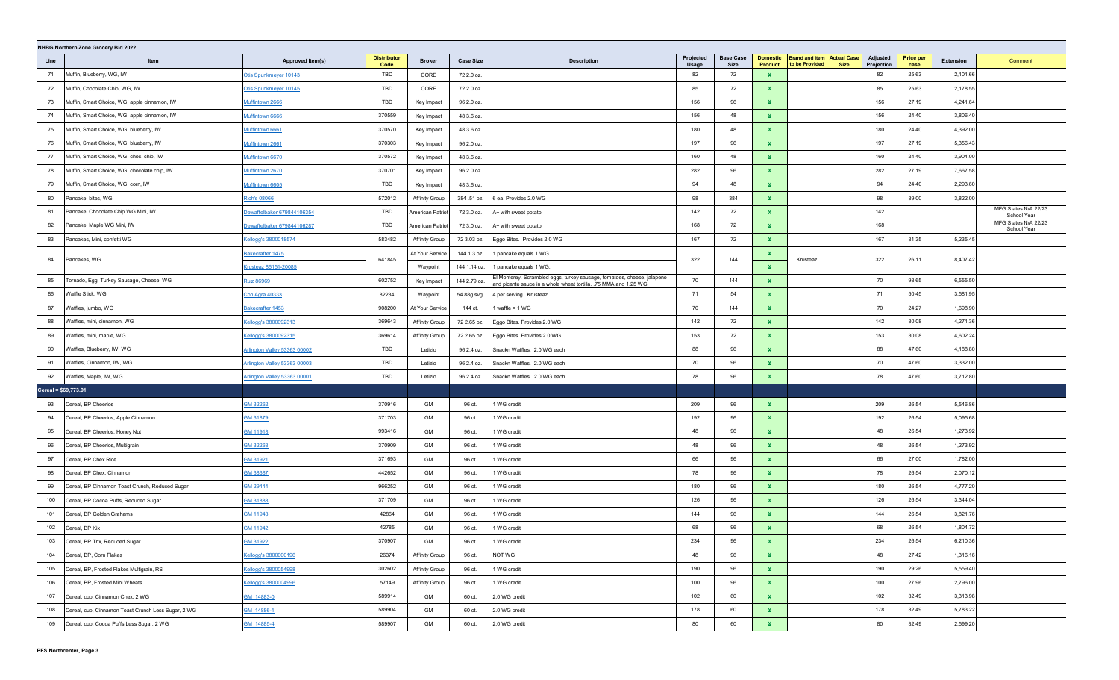|                      | NHBG Northern Zone Grocery Bid 2022                 |                                     |                            |                       |                  |                                                                                                                                              |                    |                          |                                   |                                                     |                                       |                          |           |                                     |
|----------------------|-----------------------------------------------------|-------------------------------------|----------------------------|-----------------------|------------------|----------------------------------------------------------------------------------------------------------------------------------------------|--------------------|--------------------------|-----------------------------------|-----------------------------------------------------|---------------------------------------|--------------------------|-----------|-------------------------------------|
| Line                 | Item                                                | Approved Item(s)                    | <b>Distributor</b><br>Code | <b>Broker</b>         | <b>Case Size</b> | <b>Description</b>                                                                                                                           | Projected<br>Usage | <b>Base Case</b><br>Size | <b>Domestic</b><br><b>Product</b> | <b>Brand and Item Actual Case</b><br>to be Provided | Adjusted<br>Projection<br><b>Size</b> | <b>Price per</b><br>case | Extension | Comment                             |
| 71                   | Muffin, Blueberry, WG, IW                           | Otis Spunkmeyer 10143               | TBD                        | CORE                  | 72 2.0 oz.       |                                                                                                                                              | 82                 | 72                       | $\mathbf{x}$                      |                                                     | 82                                    | 25.63                    | 2,101.66  |                                     |
| 72                   | Muffin, Chocolate Chip, WG, IW                      | Otis Spunkmeyer 10145               | TBD                        | CORE                  | 72 2.0 oz.       |                                                                                                                                              | 85                 | 72                       | ×.                                |                                                     | 85                                    | 25.63                    | 2,178.55  |                                     |
| 73                   | Muffin, Smart Choice, WG, apple cinnamon, IW        | Muffintown 2666                     | TBD                        | Key Impact            | 96 2.0 oz.       |                                                                                                                                              | 156                | 96                       | $\mathbf x$                       |                                                     | 156                                   | 27.19                    | 4,241.64  |                                     |
| 74                   | Muffin, Smart Choice, WG, apple cinnamon, IW        | Muffintown 6666                     | 370559                     | Key Impact            | 48 3.6 oz.       |                                                                                                                                              | 156                | 48                       | $\mathbf x$                       |                                                     | 156                                   | 24.40                    | 3,806.40  |                                     |
| 75                   | Muffin, Smart Choice, WG, blueberry, IW             | Muffintown 6661                     | 370570                     | Key Impact            | 48 3.6 oz.       |                                                                                                                                              | 180                | 48                       | $\mathbf{x}$                      |                                                     | 180                                   | 24.40                    | 4,392.00  |                                     |
| 76                   | Muffin, Smart Choice, WG, blueberry, IW             | Muffintown 2661                     | 370303                     | Key Impact            | 96 2.0 oz.       |                                                                                                                                              | 197                | 96                       | $\mathbf x$                       |                                                     | 197                                   | 27.19                    | 5,356.43  |                                     |
| 77                   | Muffin, Smart Choice, WG, choc. chip, IW            | Muffintown 6670                     | 370572                     | Key Impact            | 48 3.6 oz.       |                                                                                                                                              | 160                | 48                       | $\mathbf x$                       |                                                     | 160                                   | 24.40                    | 3,904.00  |                                     |
| 78                   | Muffin, Smart Choice, WG, chocolate chip, IW        | Muffintown 2670                     | 370701                     | Key Impact            | 96 2.0 oz.       |                                                                                                                                              | 282                | 96                       | $\mathbf x$                       |                                                     | 282                                   | 27.19                    | 7,667.58  |                                     |
| 79                   | Muffin, Smart Choice, WG, corn, IW                  | Muffintown 6605                     | TBD                        | Key Impact            | 48 3.6 oz.       |                                                                                                                                              | 94                 | 48                       | $\mathbf x$                       |                                                     | 94                                    | 24.40                    | 2,293.60  |                                     |
| 80                   | Pancake, bites, WG                                  | <b>Rich's 08066</b>                 | 572012                     | <b>Affinity Group</b> | 384 .51 oz.      | 6 ea. Provides 2.0 WG                                                                                                                        | 98                 | 384                      | $\mathbf{x}$                      |                                                     | 98                                    | 39.00                    | 3,822.00  |                                     |
| 81                   | Pancake, Chocolate Chip WG Mini, IW                 | ewaffelbaker 679844106354           | TBD                        | American Patriot      | 72 3.0 oz.       | A+ with sweet potato                                                                                                                         | 142                | 72                       | $\mathbf{x}$                      |                                                     | 142                                   |                          |           | MFG States N/A 22/23<br>School Year |
| 82                   | Pancake, Maple WG Mini, IW                          | Dewaffelbaker 679844106287          | TBD                        | American Patriot      | 72 3.0 oz.       | A+ with sweet potato                                                                                                                         | 168                | 72                       | $\mathbf{x}$                      |                                                     | 168                                   |                          |           | MFG States N/A 22/23<br>School Year |
| 83                   | Pancakes, Mini, confetti WG                         | Cellogg's 3800018574                | 583482                     | Affinity Group        | 72 3.03 oz.      | Eggo Bites. Provides 2.0 WG                                                                                                                  | 167                | 72                       | ×.                                |                                                     | 167                                   | 31.35                    | 5,235.45  |                                     |
|                      |                                                     | <u> Bakecrafter 1475</u>            |                            | At Your Service       | 144 1.3 oz.      | 1 pancake equals 1 WG.                                                                                                                       |                    |                          | ×.                                |                                                     |                                       |                          |           |                                     |
| 84                   | Pancakes, WG                                        | rusteaz 86151-20085                 | 641845                     | Waypoint              | 144 1.14 oz.     | 1 pancake equals 1 WG.                                                                                                                       | 322                | 144                      | $\mathbf{x}$                      | Krusteaz                                            | 322                                   | 26.11                    | 8,407.42  |                                     |
| 85                   | Tornado, Egg, Turkey Sausage, Cheese, WG            | <u><b>Ruiz 86969</b></u>            | 602752                     | Key Impact            | 144 2.79 oz.     | El Monterey. Scrambled eggs, turkey sausage, tomatoes, cheese, jalapeno<br>and picante sauce in a whole wheat tortilla. .75 MMA and 1.25 WG. | 70                 | 144                      | $\mathbf{x}$                      |                                                     | 70                                    | 93.65                    | 6,555.50  |                                     |
| 86                   | Waffle Stick, WG                                    | Con Agra 40333                      | 82234                      | Waypoint              | 54 88g svg.      | 4 per serving. Krusteaz                                                                                                                      | 71                 | 54                       | $\mathbf{x}$                      |                                                     | 71                                    | 50.45                    | 3,581.95  |                                     |
| 87                   | Waffles, jumbo, WG                                  | Bakecrafter 1453                    | 908200                     | At Your Service       | 144 ct.          | waffle = $1$ WG                                                                                                                              | 70                 | 144                      | $\mathbf{x}$                      |                                                     | 70                                    | 24.27                    | 1,698.90  |                                     |
| 88                   | Waffles, mini, cinnamon, WG                         | Cellogg's 3800092313                | 369643                     | Affinity Group        | 72 2.65 oz.      | Eggo Bites. Provides 2.0 WG                                                                                                                  | 142                | 72                       | $\mathbf{x}$                      |                                                     | 142                                   | 30.08                    | 4,271.36  |                                     |
| 89                   | Waffles, mini, maple, WG                            | Cellogg's 3800092315                | 369614                     | Affinity Group        | 72 2.65 oz.      | Eggo Bites. Provides 2.0 WG                                                                                                                  | 153                | 72                       | ×.                                |                                                     | 153                                   | 30.08                    | 4,602.24  |                                     |
| 90                   | Waffles, Blueberry, IW, WG                          | Arlington Valley 53363 00002        | TBD                        | Letizio               | 96 2.4 oz.       | Snackn Waffles. 2.0 WG each                                                                                                                  | 88                 | 96                       | $\mathbf{x}$                      |                                                     | 88                                    | 47.60                    | 4,188.80  |                                     |
| 91                   | Waffles, Cinnamon, IW, WG                           | <u>Arlington Valley 53363 00003</u> | TBD                        | Letizio               | 96 2.4 oz.       | Snackn Waffles. 2.0 WG each                                                                                                                  | 70                 | 96                       | $\mathbf{x}$                      |                                                     | 70                                    | 47.60                    | 3,332.00  |                                     |
| 92                   | Waffles, Maple, IW, WG                              | <u>Arlington Valley 53363 00001</u> | TBD                        | Letizio               | 96 2.4 oz.       | Snackn Waffles. 2.0 WG each                                                                                                                  | 78                 | 96                       | $\mathbf{x}$                      |                                                     | 78                                    | 47.60                    | 3,712.80  |                                     |
| Cereal = \$69,773.91 |                                                     |                                     |                            |                       |                  |                                                                                                                                              |                    |                          |                                   |                                                     |                                       |                          |           |                                     |
| 93                   | Cereal, BP Cheerios                                 | 3M 32262                            | 370916                     | GM                    | 96 ct.           | WG credit                                                                                                                                    | 209                | 96                       | ×.                                |                                                     | 209                                   | 26.54                    | 5,546.86  |                                     |
| 94                   | Cereal, BP Cheerios, Apple Cinnamon                 | GM 31879                            | 371703                     | GM                    | 96 ct.           | WG credit                                                                                                                                    | 192                | 96                       | $\mathbf x$                       |                                                     | 192                                   | 26.54                    | 5,095.68  |                                     |
| 95                   | Cereal, BP Cheerios, Honey Nut                      | GM 11918                            | 993416                     | GM                    | 96 ct.           | 1 WG credit                                                                                                                                  | 48                 | 96                       | $\mathbf x$                       |                                                     | 48                                    | 26.54                    | 1,273.92  |                                     |
| 96                   | Cereal, BP Cheerios, Multigrain                     | GM 32263                            | 370909                     | GM                    | 96 ct.           | 1 WG credit                                                                                                                                  | 48                 | 96                       | $\mathbf x$                       |                                                     | 48                                    | 26.54                    | 1,273.92  |                                     |
| 97                   | Cereal, BP Chex Rice                                | GM 31921                            | 371693                     | GM                    | 96 ct.           | 1 WG credit                                                                                                                                  | 66                 | 96                       | $\mathbf x$                       |                                                     | 66                                    | 27.00                    | 1,782.00  |                                     |
| 98                   | Cereal, BP Chex, Cinnamon                           | GM 38387                            | 442652                     | GM                    | 96 ct.           | WG credit                                                                                                                                    | 78                 | 96                       | $\mathbf x$                       |                                                     | 78                                    | 26.54                    | 2,070.12  |                                     |
| 99                   | Cereal, BP Cinnamon Toast Crunch, Reduced Sugar     | SM 29444                            | 966252                     | GM                    | 96 ct.           | WG credit                                                                                                                                    | 180                | 96                       | $\mathbf x$                       |                                                     | 180                                   | 26.54                    | 4,777.20  |                                     |
| 100                  | Cereal, BP Cocoa Puffs, Reduced Sugar               | SM 31888                            | 371709                     | GM                    | 96 ct.           | WG credit                                                                                                                                    | 126                | 96                       | $\mathbf{x}$                      |                                                     | 126                                   | 26.54                    | 3,344.04  |                                     |
| 101                  | Cereal, BP Golden Grahams                           | GM 11943                            | 42864                      | GM                    | 96 ct.           | WG credit                                                                                                                                    | 144                | 96                       | $\mathbf x$                       |                                                     | 144                                   | 26.54                    | 3,821.76  |                                     |
| 102                  | Cereal, BP Kix                                      | GM 11942                            | 42785                      | GM                    | 96 ct.           | WG credit                                                                                                                                    | 68                 | 96                       | $\mathbf{x}$                      |                                                     | 68                                    | 26.54                    | 1,804.72  |                                     |
| 103                  | Cereal, BP Trix, Reduced Sugar                      | SM 31922                            | 370907                     | GM                    | 96 ct.           | 1 WG credit                                                                                                                                  | 234                | 96                       | $\mathbf x$                       |                                                     | 234                                   | 26.54                    | 6,210.36  |                                     |
| 104                  | Cereal, BP, Corn Flakes                             | Kellogg's 3800000196                | 26374                      | <b>Affinity Group</b> | 96 ct.           | NOT WG                                                                                                                                       | 48                 | 96                       | $\mathbf{x}$                      |                                                     | 48                                    | 27.42                    | 1,316.16  |                                     |
| 105                  | Cereal, BP, Frosted Flakes Multigrain, RS           | Kellogg's 3800054998                | 302602                     | Affinity Group        | 96 ct.           | 1 WG credit                                                                                                                                  | 190                | 96                       | $\mathbf{x}$                      |                                                     | 190                                   | 29.26                    | 5,559.40  |                                     |
| 106                  | Cereal, BP, Frosted Mini Wheats                     | Kellogg's 3800004996                | 57149                      | Affinity Group        | 96 ct.           | 1 WG credit                                                                                                                                  | 100                | 96                       | $\mathbf{x}$                      |                                                     | 100                                   | 27.96                    | 2,796.00  |                                     |
| 107                  | Cereal, cup, Cinnamon Chex, 2 WG                    | GM 14883-0                          | 589914                     | GM                    | 60 ct.           | 2.0 WG credit                                                                                                                                | 102                | 60                       | $\mathbf{x}$                      |                                                     | 102                                   | 32.49                    | 3,313.98  |                                     |
| 108                  | Cereal, cup, Cinnamon Toast Crunch Less Sugar, 2 WG | GM_14886-1                          | 589904                     | GM                    | 60 ct.           | 2.0 WG credit                                                                                                                                | 178                | 60                       | $\mathbf{x}$                      |                                                     | 178                                   | 32.49                    | 5,783.22  |                                     |
| 109                  | Cereal, cup, Cocoa Puffs Less Sugar, 2 WG           | GM 14885-4                          | 589907                     | GM                    | 60 ct.           | 2.0 WG credit                                                                                                                                | 80                 | 60                       | $\mathbf{x}$                      |                                                     | 80                                    | 32.49                    | 2,599.20  |                                     |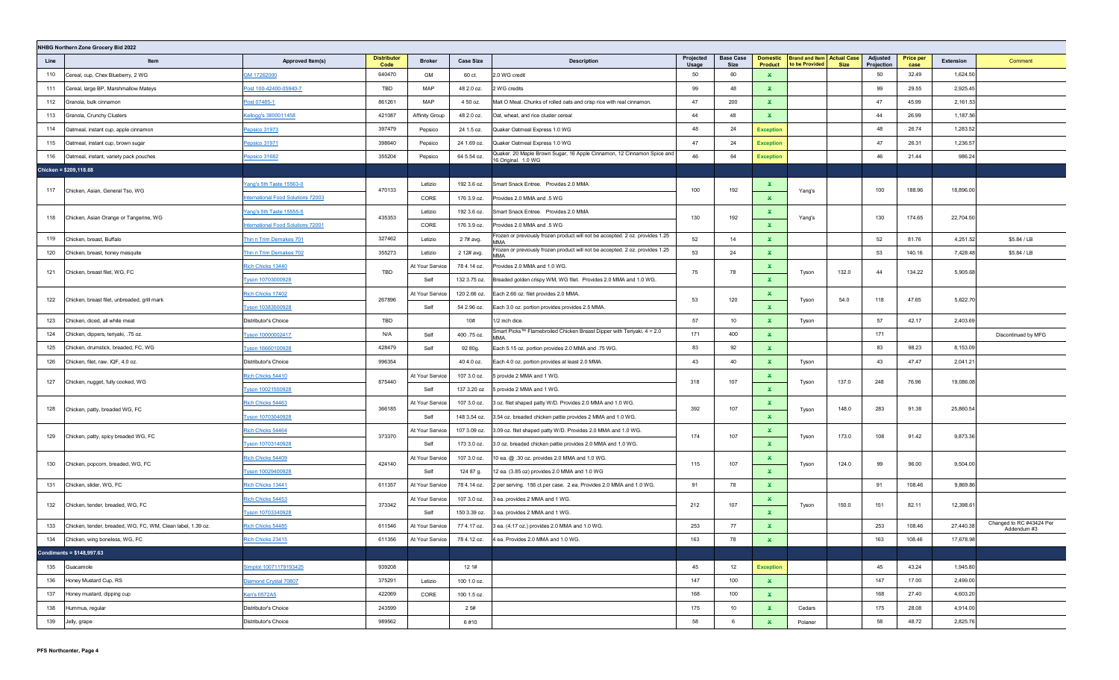| Projected<br><b>Base Case</b><br>Adjusted<br><b>Distributor</b><br><b>Domestic</b><br><b>Brand and Item Actual Case</b><br><b>Price per</b><br>Extension<br>Item<br><b>Broker</b><br><b>Case Size</b><br><b>Description</b><br>Line<br>Approved Item(s)<br>to be Provided<br>Code<br>Usage<br><b>Size</b><br><b>Product</b><br><b>Size</b><br>Projection<br>case<br>110<br>GM 17262000<br>640470<br>2.0 WG credit<br>50<br>60<br>50<br>32.49<br>1,624.50<br>Cereal, cup, Chex Blueberry, 2 WG<br>GM<br>60 ct.<br>$\mathbf{x}$<br>TBD<br>99<br>2,925.45<br>MAP<br>99<br>48<br>29.55<br>111<br>Cereal, large BP, Marshmallow Mateys<br>Post 100-42400-05940-7<br>48 2.0 oz.<br>2 WG credits<br>×.<br>861261<br>47<br>2,161.53<br>112<br>MAP<br>4 50 oz.<br>47<br>200<br>45.99<br>Granola, bulk cinnamon<br>Post 07485-1<br>Malt O Meal. Chunks of rolled oats and crisp rice with real cinnamon.<br>×.<br>1,187.56<br>113<br>Granola, Crunchy Clusters<br>Kellogg's 3800011458<br>421087<br>Affinity Group<br>48 2.0 oz.<br>Oat, wheat, and rice cluster cereal<br>44<br>48<br>44<br>26.99<br>$\mathbf{x}$<br>397479<br>48<br>24<br>48<br>26.74<br>1,283.52<br>114<br>24 1.5 oz.<br>Quaker Oatmeal Express 1.0 WG<br><b>Exception</b><br>Oatmeal, instant cup, apple cinnamon<br>Pepsico 31973<br>Pepsico<br>47<br>47<br>1,236.57<br>398640<br>24<br>26.31<br>115<br>24 1.69 oz.<br>Quaker Oatmeal Express 1.0 WG<br>Oatmeal, instant cup, brown sugar<br>Pepsico 31971<br>Pepsico<br><b>Exception</b> |                                         |
|------------------------------------------------------------------------------------------------------------------------------------------------------------------------------------------------------------------------------------------------------------------------------------------------------------------------------------------------------------------------------------------------------------------------------------------------------------------------------------------------------------------------------------------------------------------------------------------------------------------------------------------------------------------------------------------------------------------------------------------------------------------------------------------------------------------------------------------------------------------------------------------------------------------------------------------------------------------------------------------------------------------------------------------------------------------------------------------------------------------------------------------------------------------------------------------------------------------------------------------------------------------------------------------------------------------------------------------------------------------------------------------------------------------------------------------------------------------------------------------------------|-----------------------------------------|
|                                                                                                                                                                                                                                                                                                                                                                                                                                                                                                                                                                                                                                                                                                                                                                                                                                                                                                                                                                                                                                                                                                                                                                                                                                                                                                                                                                                                                                                                                                      | Comment                                 |
|                                                                                                                                                                                                                                                                                                                                                                                                                                                                                                                                                                                                                                                                                                                                                                                                                                                                                                                                                                                                                                                                                                                                                                                                                                                                                                                                                                                                                                                                                                      |                                         |
|                                                                                                                                                                                                                                                                                                                                                                                                                                                                                                                                                                                                                                                                                                                                                                                                                                                                                                                                                                                                                                                                                                                                                                                                                                                                                                                                                                                                                                                                                                      |                                         |
|                                                                                                                                                                                                                                                                                                                                                                                                                                                                                                                                                                                                                                                                                                                                                                                                                                                                                                                                                                                                                                                                                                                                                                                                                                                                                                                                                                                                                                                                                                      |                                         |
|                                                                                                                                                                                                                                                                                                                                                                                                                                                                                                                                                                                                                                                                                                                                                                                                                                                                                                                                                                                                                                                                                                                                                                                                                                                                                                                                                                                                                                                                                                      |                                         |
|                                                                                                                                                                                                                                                                                                                                                                                                                                                                                                                                                                                                                                                                                                                                                                                                                                                                                                                                                                                                                                                                                                                                                                                                                                                                                                                                                                                                                                                                                                      |                                         |
|                                                                                                                                                                                                                                                                                                                                                                                                                                                                                                                                                                                                                                                                                                                                                                                                                                                                                                                                                                                                                                                                                                                                                                                                                                                                                                                                                                                                                                                                                                      |                                         |
| Quaker. 20 Maple Brown Sugar, 16 Apple Cinnamon, 12 Cinnamon Spice and<br>46<br>46<br>21.44<br>986.24<br>355204<br>64<br>64 5.54 oz.<br>116<br>Oatmeal, instant, variety pack pouches<br>Pepsico 31682<br>Pepsico<br><b>Exception</b><br>16 Original. 1.0 WG                                                                                                                                                                                                                                                                                                                                                                                                                                                                                                                                                                                                                                                                                                                                                                                                                                                                                                                                                                                                                                                                                                                                                                                                                                         |                                         |
| Chicken = \$209,118.68                                                                                                                                                                                                                                                                                                                                                                                                                                                                                                                                                                                                                                                                                                                                                                                                                                                                                                                                                                                                                                                                                                                                                                                                                                                                                                                                                                                                                                                                               |                                         |
| Letizio<br>192 3.6 oz.<br>Smart Snack Entree. Provides 2.0 MMA<br>Yang's 5th Taste 15563-0<br>×.                                                                                                                                                                                                                                                                                                                                                                                                                                                                                                                                                                                                                                                                                                                                                                                                                                                                                                                                                                                                                                                                                                                                                                                                                                                                                                                                                                                                     |                                         |
| 470133<br>100<br>192<br>100<br>188.96<br>18,896.00<br>117<br>Chicken, Asian, General Tso, WG<br>Yang's<br>nternational Food Solutions 72003<br>CORE<br>176 3.9 oz.<br>Provides 2.0 MMA and .5 WG<br>$\mathbf{x}$                                                                                                                                                                                                                                                                                                                                                                                                                                                                                                                                                                                                                                                                                                                                                                                                                                                                                                                                                                                                                                                                                                                                                                                                                                                                                     |                                         |
| Letizio<br>192 3.6 oz.<br>Smart Snack Entree. Provides 2.0 MMA<br>Yang's 5th Taste 15555-5<br>×.                                                                                                                                                                                                                                                                                                                                                                                                                                                                                                                                                                                                                                                                                                                                                                                                                                                                                                                                                                                                                                                                                                                                                                                                                                                                                                                                                                                                     |                                         |
| 435353<br>130<br>192<br>130<br>174.65<br>22,704.50<br>118<br>Chicken, Asian Orange or Tangerine, WG<br>Yang's<br>nternational Food Solutions 72001<br>CORE<br>176 3.9 oz.<br>$\mathbf{x}$<br>Provides 2.0 MMA and .5 WG                                                                                                                                                                                                                                                                                                                                                                                                                                                                                                                                                                                                                                                                                                                                                                                                                                                                                                                                                                                                                                                                                                                                                                                                                                                                              |                                         |
| Frozen or previously frozen product will not be accepted. 2 oz. provides 1.25<br>327462<br>119<br>2 7# avg.<br>52<br>14<br>52<br>81.76<br>4,251.52<br>Chicken, breast, Buffalo<br>Thin n Trim Demakes 701<br>Letizio<br>$\mathbf{x}$<br>MMA                                                                                                                                                                                                                                                                                                                                                                                                                                                                                                                                                                                                                                                                                                                                                                                                                                                                                                                                                                                                                                                                                                                                                                                                                                                          | \$5.84 / LB                             |
| Frozen or previously frozen product will not be accepted. 2 oz. provides 1.25<br>355273<br>120<br>2 12# avg.<br>53<br>24<br>$\mathbf{x}$<br>53<br>140.16<br>7,428.48<br>Thin n Trim Demakes 702<br>Letizio<br>Chicken, breast, honey mesquite<br>MMA                                                                                                                                                                                                                                                                                                                                                                                                                                                                                                                                                                                                                                                                                                                                                                                                                                                                                                                                                                                                                                                                                                                                                                                                                                                 | \$5.84 / LB                             |
| At Your Service<br>78 4.14 oz.<br>Provides 2.0 MMA and 1.0 WG.<br>Rich Chicks 13440<br>×.                                                                                                                                                                                                                                                                                                                                                                                                                                                                                                                                                                                                                                                                                                                                                                                                                                                                                                                                                                                                                                                                                                                                                                                                                                                                                                                                                                                                            |                                         |
| TBD<br>Chicken, breast filet, WG, FC<br>75<br>78<br>132.0<br>44<br>134.22<br>5,905.68<br>121<br>Tyson<br>$\mathbf{x}$<br>Self<br>132 3.75 oz.<br>Breaded golden crispy WM, WG filet. Provides 2.0 MMA and 1.0 WG.<br>Tyson 10703000928                                                                                                                                                                                                                                                                                                                                                                                                                                                                                                                                                                                                                                                                                                                                                                                                                                                                                                                                                                                                                                                                                                                                                                                                                                                               |                                         |
| Rich Chicks 17402<br>At Your Service<br>120 2.66 oz.<br>Each 2.66 oz. filet provides 2.0 MMA.<br>$\mathbf{x}$                                                                                                                                                                                                                                                                                                                                                                                                                                                                                                                                                                                                                                                                                                                                                                                                                                                                                                                                                                                                                                                                                                                                                                                                                                                                                                                                                                                        |                                         |
| 267896<br>53<br>120<br>47.65<br>5,622.70<br>54.0<br>118<br>122<br>Chicken, breast filet, unbreaded, grill mark<br>Tyson<br>Self<br>Tyson 10383500928<br>54 2.96 oz.<br>Each 3.0 oz. portion provides provides 2.5 MMA.<br>$\mathbf{x}$                                                                                                                                                                                                                                                                                                                                                                                                                                                                                                                                                                                                                                                                                                                                                                                                                                                                                                                                                                                                                                                                                                                                                                                                                                                               |                                         |
| 57<br>57<br>TBD<br>10<br>42.17<br>2,403.69<br>123<br>Chicken, diced, all white meat<br>Distributor's Choice<br>10#<br>1/2 inch dice.<br>$\mathbf x$<br>Tyson                                                                                                                                                                                                                                                                                                                                                                                                                                                                                                                                                                                                                                                                                                                                                                                                                                                                                                                                                                                                                                                                                                                                                                                                                                                                                                                                         |                                         |
| Smart Picks™ Flamebroiled Chicken Breast Dipper with Teriyaki. 4 = 2.0<br>N/A<br>400.75 oz.<br>171<br>400<br>171<br>124<br>Chicken, dippers, teriyaki, .75 oz.<br>Tyson 10000002417<br>Self<br>$\mathbf{x}$<br>MMA                                                                                                                                                                                                                                                                                                                                                                                                                                                                                                                                                                                                                                                                                                                                                                                                                                                                                                                                                                                                                                                                                                                                                                                                                                                                                   | Discontinued by MFG                     |
| 83<br>8,153.09<br>125<br>Chicken, drumstick, breaded, FC, WG<br>428479<br>83<br>92<br>98.23<br>Tyson 16660100928<br>Self<br>92 80g.<br>$\mathbf{x}$<br>Each 5.15 oz. portion provides 2.0 MMA and .75 WG.                                                                                                                                                                                                                                                                                                                                                                                                                                                                                                                                                                                                                                                                                                                                                                                                                                                                                                                                                                                                                                                                                                                                                                                                                                                                                            |                                         |
| 996354<br>43<br>43<br>47.47<br>2,041.21<br>126<br>Chicken, filet, raw, IQF, 4.0 oz.<br>40<br>Distributor's Choice<br>40 4.0 oz.<br>Each 4.0 oz. portion provides at least 2.0 MMA.<br>×.<br>Tyson                                                                                                                                                                                                                                                                                                                                                                                                                                                                                                                                                                                                                                                                                                                                                                                                                                                                                                                                                                                                                                                                                                                                                                                                                                                                                                    |                                         |
| Rich Chicks 54410<br>At Your Service<br>107 3.0 oz.<br>5 provide 2 MMA and 1 WG.<br>×.                                                                                                                                                                                                                                                                                                                                                                                                                                                                                                                                                                                                                                                                                                                                                                                                                                                                                                                                                                                                                                                                                                                                                                                                                                                                                                                                                                                                               |                                         |
| 875440<br>127<br>318<br>107<br>137.0<br>248<br>76.96<br>19,086.08<br>Chicken, nugget, fully cooked, WG<br>Tyson<br>Tyson 10021550928<br>Self<br>137 3.20 oz<br>5 provide 2 MMA and 1 WG.<br>$\mathbf{x}$                                                                                                                                                                                                                                                                                                                                                                                                                                                                                                                                                                                                                                                                                                                                                                                                                                                                                                                                                                                                                                                                                                                                                                                                                                                                                             |                                         |
| Rich Chicks 54463<br>At Your Service<br>107 3.0 oz.<br>3 oz. filet shaped patty W/D. Provides 2.0 MMA and 1.0 WG.<br>$\mathbf{x}$                                                                                                                                                                                                                                                                                                                                                                                                                                                                                                                                                                                                                                                                                                                                                                                                                                                                                                                                                                                                                                                                                                                                                                                                                                                                                                                                                                    |                                         |
| Chicken, patty, breaded WG, FC<br>366185<br>392<br>107<br>148.0<br>283<br>91.38<br>25,860.54<br>128<br>Tyson<br>$\mathbf{x}$<br>Tyson 10703040928<br>Self<br>148 3,54 oz.<br>3.54 oz. breaded chicken pattie provides 2 MMA and 1.0 WG.                                                                                                                                                                                                                                                                                                                                                                                                                                                                                                                                                                                                                                                                                                                                                                                                                                                                                                                                                                                                                                                                                                                                                                                                                                                              |                                         |
| At Your Service<br>107 3.09 oz.<br>Rich Chicks 54464<br>3.09 oz. filet shaped patty W/D. Provides 2.0 MMA and 1.0 WG.<br>$\mathbf{x}$                                                                                                                                                                                                                                                                                                                                                                                                                                                                                                                                                                                                                                                                                                                                                                                                                                                                                                                                                                                                                                                                                                                                                                                                                                                                                                                                                                |                                         |
| 373370<br>107<br>108<br>91.42<br>9,873.36<br>174<br>173.0<br>129<br>Chicken, patty, spicy breaded WG, FC<br>Tyson<br>Self<br>3.0 oz. breaded chicken pattie provides 2.0 MMA and 1.0 WG.<br>$\mathbf{x}$<br>Tyson 10703140928<br>173 3.0 oz.                                                                                                                                                                                                                                                                                                                                                                                                                                                                                                                                                                                                                                                                                                                                                                                                                                                                                                                                                                                                                                                                                                                                                                                                                                                         |                                         |
| At Your Service<br>107 3.0 oz.<br>10 ea. @ .30 oz. provides 2.0 MMA and 1.0 WG.<br>Rich Chicks 54409<br>×.                                                                                                                                                                                                                                                                                                                                                                                                                                                                                                                                                                                                                                                                                                                                                                                                                                                                                                                                                                                                                                                                                                                                                                                                                                                                                                                                                                                           |                                         |
| 424140<br>115<br>107<br>124.0<br>99<br>96.00<br>9,504.00<br>130<br>Chicken, popcorn, breaded, WG, FC<br>Tyson<br>124 87 g.<br>$\mathbf{x}$<br>Tyson 10029400928<br>Self<br>12 ea. (3.85 oz) provides 2.0 MMA and 1.0 WG                                                                                                                                                                                                                                                                                                                                                                                                                                                                                                                                                                                                                                                                                                                                                                                                                                                                                                                                                                                                                                                                                                                                                                                                                                                                              |                                         |
| 611357<br>108.46<br>Chicken, slider, WG, FC<br>91<br>9,869.86<br>131<br>91<br>78<br>Rich Chicks 13441<br>At Your Service<br>78 4.14 oz.<br>2 per serving. 156 ct.per case. 2 ea. Provides 2.0 MMA and 1.0 WG.<br>×.                                                                                                                                                                                                                                                                                                                                                                                                                                                                                                                                                                                                                                                                                                                                                                                                                                                                                                                                                                                                                                                                                                                                                                                                                                                                                  |                                         |
| Rich Chicks 54453<br>At Your Service<br>107 3.0 oz.<br>3 ea. provides 2 MMA and 1 WG.<br>×.                                                                                                                                                                                                                                                                                                                                                                                                                                                                                                                                                                                                                                                                                                                                                                                                                                                                                                                                                                                                                                                                                                                                                                                                                                                                                                                                                                                                          |                                         |
| 373342<br>107<br>151<br>12,398.61<br>212<br>150.0<br>82.11<br>132<br>Chicken, tender, breaded, WG, FC<br>Tyson<br>$\mathbf{x}$<br>Tyson 10703340928<br>Self<br>150 3.39 oz.<br>3 ea. provides 2 MMA and 1 WG.                                                                                                                                                                                                                                                                                                                                                                                                                                                                                                                                                                                                                                                                                                                                                                                                                                                                                                                                                                                                                                                                                                                                                                                                                                                                                        |                                         |
| 611546<br>253<br>77<br>253<br>108.46<br>27,440.38<br>133<br>Chicken, tender, breaded, WG, FC, WM, Clean label, 1.39 oz.<br>At Your Service<br>77 4.17 oz.<br>3 ea. (4.17 oz.) provides 2.0 MMA and 1.0 WG.<br>$\mathbf{x}$<br>Rich Chicks 54485                                                                                                                                                                                                                                                                                                                                                                                                                                                                                                                                                                                                                                                                                                                                                                                                                                                                                                                                                                                                                                                                                                                                                                                                                                                      | Changed to RC #43424 Per<br>Addendum #3 |
| 611356<br>134 Chicken, wing boneless, WG, FC<br>Rich Chicks 23415<br>At Your Service   78 4.12 oz. 4 ea. Provides 2.0 MMA and 1.0 WG.<br>163<br>78<br>X,<br>163<br>108.46<br>17,678.98                                                                                                                                                                                                                                                                                                                                                                                                                                                                                                                                                                                                                                                                                                                                                                                                                                                                                                                                                                                                                                                                                                                                                                                                                                                                                                               |                                         |
| Condiments = $$148,997.63$                                                                                                                                                                                                                                                                                                                                                                                                                                                                                                                                                                                                                                                                                                                                                                                                                                                                                                                                                                                                                                                                                                                                                                                                                                                                                                                                                                                                                                                                           |                                         |
| 135 Guacamole<br>12<br>45<br>1,945.80<br>Simplot 10071179193425<br>939208<br>45<br>43.24<br>121#<br><b>Exception</b>                                                                                                                                                                                                                                                                                                                                                                                                                                                                                                                                                                                                                                                                                                                                                                                                                                                                                                                                                                                                                                                                                                                                                                                                                                                                                                                                                                                 |                                         |
| Honey Mustard Cup, RS<br>375291<br>147<br>100<br>147<br>17.00<br>2,499.00<br>136<br>Diamond Crystal 70807<br>Letizio<br>100 1.0 oz.<br>$\mathbf{x}$                                                                                                                                                                                                                                                                                                                                                                                                                                                                                                                                                                                                                                                                                                                                                                                                                                                                                                                                                                                                                                                                                                                                                                                                                                                                                                                                                  |                                         |
| 27.40<br>4,603.20<br>137<br>Honey mustard, dipping cup<br><b>Ken's 0572A5</b><br>422069<br>CORE<br>100 1.5 oz.<br>168<br>100<br>168<br>$\mathbf{x}$                                                                                                                                                                                                                                                                                                                                                                                                                                                                                                                                                                                                                                                                                                                                                                                                                                                                                                                                                                                                                                                                                                                                                                                                                                                                                                                                                  |                                         |
| 4,914.00<br>138<br>Distributor's Choice<br>243599<br>2 5#<br>175<br>$\mathbf{x}$<br>Cedars<br>175<br>28.08<br>Hummus, regular<br>10 <sup>10</sup>                                                                                                                                                                                                                                                                                                                                                                                                                                                                                                                                                                                                                                                                                                                                                                                                                                                                                                                                                                                                                                                                                                                                                                                                                                                                                                                                                    |                                         |
| 139<br>989562<br>58<br>58<br>48.72<br>2,825.76<br>Jelly, grape<br>Distributor's Choice<br>6#10<br>6<br>$\mathbf{x}$<br>Polaner                                                                                                                                                                                                                                                                                                                                                                                                                                                                                                                                                                                                                                                                                                                                                                                                                                                                                                                                                                                                                                                                                                                                                                                                                                                                                                                                                                       |                                         |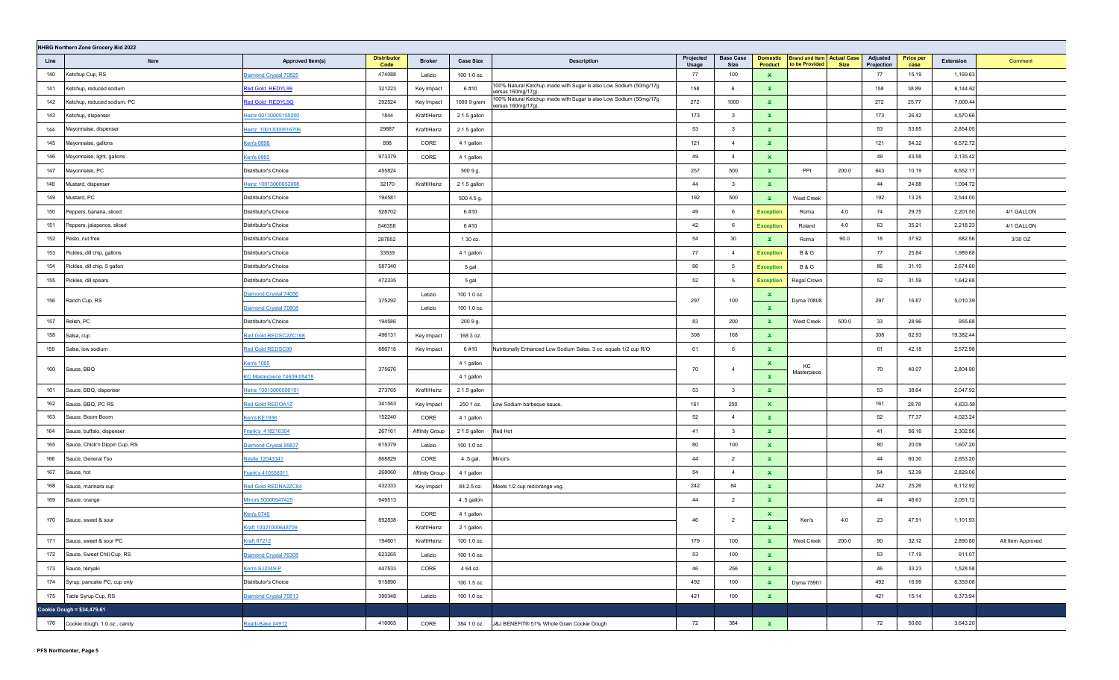|      | NHBG Northern Zone Grocery Bid 2022 |                                                                                                                                                                                                                                |                            |                       |                  |                                                                                        |                           |                          |                                   |                                                     |             |                        |                          |           |                   |
|------|-------------------------------------|--------------------------------------------------------------------------------------------------------------------------------------------------------------------------------------------------------------------------------|----------------------------|-----------------------|------------------|----------------------------------------------------------------------------------------|---------------------------|--------------------------|-----------------------------------|-----------------------------------------------------|-------------|------------------------|--------------------------|-----------|-------------------|
| Line | Item                                | Approved Item(s)                                                                                                                                                                                                               | <b>Distributor</b><br>Code | <b>Broker</b>         | <b>Case Size</b> | <b>Description</b>                                                                     | Projected<br><b>Usage</b> | <b>Base Case</b><br>Size | <b>Domestic</b><br><b>Product</b> | <b>Brand and Item Actual Case</b><br>to be Provided | <b>Size</b> | Adjusted<br>Projection | <b>Price per</b><br>case | Extension | Comment           |
| 140  | Ketchup Cup, RS                     | Diamond Crystal 70825                                                                                                                                                                                                          | 474088                     | Letizio               | 100 1.0 oz.      |                                                                                        | 77                        | 100                      | $\mathbf x$                       |                                                     |             | 77                     | 15.19                    | 1,169.63  |                   |
| 141  | Ketchup, reduced sodium             | Red Gold REDYL99                                                                                                                                                                                                               | 321223                     | Key Impact            | 6#10             | 100% Natural Ketchup made with Sugar is also Low Sodium (50mg/17g<br>versus 160mg/17g) | 158                       | 6                        | ×.                                |                                                     |             | 158                    | 38.89                    | 6,144.62  |                   |
| 142  | Ketchup, reduced sodium, PC         | Red Gold REDYL9G                                                                                                                                                                                                               | 292524                     | Key Impact            | 1000 9 gram      | 100% Natural Ketchup made with Sugar is also Low Sodium (50mg/17g<br>versus 160mg/17g) | 272                       | 1000                     | $\mathbf{x}$                      |                                                     |             | 272                    | 25.77                    | 7,009.44  |                   |
| 143  | Ketchup, dispenser                  | leinz 00130005155000                                                                                                                                                                                                           | 1844                       | Kraft/Heinz           | 2 1.5 gallon     |                                                                                        | 173                       | $\overline{\mathbf{3}}$  | ×.                                |                                                     |             | 173                    | 26.42                    | 4,570.66  |                   |
| 144  | Mayonnaise, dispenser               | Heinz 10013000516706                                                                                                                                                                                                           | 29887                      | Kraft/Heinz           | 2 1.5 gallon     |                                                                                        | 53                        | $\overline{\mathbf{3}}$  | ×.                                |                                                     |             | 53                     | 53.85                    | 2,854.05  |                   |
| 145  | Mayonnaise, gallons                 | Ken's 0898                                                                                                                                                                                                                     | 898                        | CORE                  | 4 1 gallon       |                                                                                        | 121                       | $\overline{4}$           | $\mathbf{x}$                      |                                                     |             | 121                    | 54.32                    | 6,572.72  |                   |
| 146  | Mayonnaise, light, gallons          | Ken's 0892                                                                                                                                                                                                                     | 973379                     | CORE                  | 4 1 gallon       |                                                                                        | 49                        | $\overline{4}$           | $\mathbf{x}$                      |                                                     |             | 49                     | 43.58                    | 2,135.42  |                   |
| 147  | Mayonnaise, PC                      | Distributor's Choice                                                                                                                                                                                                           | 455824                     |                       | 500 9 g.         |                                                                                        | 257                       | 500                      | $\mathbf{x}$                      | PPI                                                 | 200.0       | 643                    | 10.19                    | 6,552.17  |                   |
| 148  | Mustard, dispenser                  | leinz 10013000652008                                                                                                                                                                                                           | 32170                      | Kraft/Heinz           | 2 1.5 gallon     |                                                                                        | 44                        | $\overline{\mathbf{3}}$  | $\mathbf{x}$                      |                                                     |             | 44                     | 24.88                    | 1,094.72  |                   |
| 149  | Mustard, PC                         | Distributor's Choice                                                                                                                                                                                                           | 194581                     |                       | 500 4.5 g.       |                                                                                        | 192                       | 500                      | $\mathbf{x}$                      | West Creek                                          |             | 192                    | 13.25                    | 2,544.00  |                   |
| 150  | Peppers, banana, sliced             | Distributor's Choice                                                                                                                                                                                                           | 528702                     |                       | 6#10             |                                                                                        | 49                        | 6                        | <b>Exception</b>                  | Roma                                                | 4.0         | 74                     | 29.75                    | 2,201.50  | 4/1 GALLON        |
| 151  | Peppers, jalapenos, sliced          | Distributor's Choice                                                                                                                                                                                                           | 546358                     |                       | 6#10             |                                                                                        | 42                        | 6                        | <b>Exception</b>                  | Roland                                              | 4.0         | 63                     | 35.21                    | 2,218.23  | 4/1 GALLON        |
| 152  | Pesto, nut free                     | Distributor's Choice                                                                                                                                                                                                           | 287852                     |                       | 1 30 oz.         |                                                                                        | 54                        | 30                       | ×.                                | Roma                                                | 90.0        | 18                     | 37.92                    | 682.56    | 3/30 OZ           |
| 153  | Pickles, dill chip, gallons         | Distributor's Choice                                                                                                                                                                                                           | 33539                      |                       | 4 1 gallon       |                                                                                        | 77                        | $\overline{4}$           | <b>Exception</b>                  | <b>B&amp;G</b>                                      |             | 77                     | 25.84                    | 1,989.68  |                   |
| 154  | Pickles, dill chip, 5 gallon        | Distributor's Choice                                                                                                                                                                                                           | 587340                     |                       | 5 gal            |                                                                                        | 86                        | 5                        | <b>Exception</b>                  | <b>B&amp;G</b>                                      |             | 86                     | 31.10                    | 2,674.60  |                   |
| 155  | Pickles, dill spears                | Distributor's Choice                                                                                                                                                                                                           | 472335                     |                       | 5 gal            |                                                                                        | 52                        | 5                        | <b>Exception</b>                  | Regal Crown                                         |             | 52                     | 31.59                    | 1,642.68  |                   |
| 156  | Ranch Cup, RS                       | Diamond Crystal 74056                                                                                                                                                                                                          | 375292                     | Letizio               | 100 1.0 oz.      |                                                                                        | 297                       | 100                      | ×.                                | Dyma 70808                                          |             | 297                    | 16.87                    | 5,010.39  |                   |
|      |                                     | <b>Diamond Crystal 70808</b>                                                                                                                                                                                                   |                            | Letizio               | 100 1.0 oz.      |                                                                                        |                           |                          | $\mathbf{x}$                      |                                                     |             |                        |                          |           |                   |
| 157  | Relish, PC                          | Distributor's Choice                                                                                                                                                                                                           | 194586                     |                       | 200 9 g.         |                                                                                        | 83                        | 200                      | $\mathbf{x}$                      | West Creek                                          | 500.0       | 33                     | 28.96                    | 955.68    |                   |
| 158  | Salsa, cup                          | Red Gold REDSC2ZC168                                                                                                                                                                                                           | 496131                     | Key Impact            | 168 3 oz.        |                                                                                        | 308                       | 168                      | $\mathbf{x}$                      |                                                     |             | 308                    | 62.93                    | 19,382.44 |                   |
| 159  | Salsa, low sodium                   | Red Gold REDSC99                                                                                                                                                                                                               | 886718                     | Key Impact            | 6#10             | Nutritionally Enhanced Low Sodium Salsa. 3 oz. equals 1/2 cup R/O                      | 61                        | 6                        | $\mathbf{x}$                      |                                                     |             | 61                     | 42.18                    | 2,572.98  |                   |
| 160  | Sauce, BBQ                          | <b>Ken's 1055</b>                                                                                                                                                                                                              | 375676                     |                       | 4 1 gallon       |                                                                                        | 70                        | $\overline{4}$           | ×.                                | KC                                                  |             | 70                     | 40.07                    | 2,804.90  |                   |
|      |                                     | <c 74609-05418<="" masterpiece="" td=""><td></td><td></td><td>4 1 gallon</td><td></td><td></td><td></td><td><math display="inline">\mathbf{x}</math></td><td>Masterpiece</td><td></td><td></td><td></td><td></td><td></td></c> |                            |                       | 4 1 gallon       |                                                                                        |                           |                          | $\mathbf{x}$                      | Masterpiece                                         |             |                        |                          |           |                   |
| 161  | Sauce, BBQ, dispenser               | Heinz 10013000500101                                                                                                                                                                                                           | 273765                     | Kraft/Heinz           | 2 1.5 gallon     |                                                                                        | 53                        | $\overline{\mathbf{3}}$  | $\mathbf{x}$                      |                                                     |             | 53                     | 38.64                    | 2,047.92  |                   |
| 162  | Sauce, BBQ, PC RS                   | Red Gold REDOA1Z                                                                                                                                                                                                               | 341543                     | Key Impact            | 250 1 oz.        | ow Sodium barbeque sauce.                                                              | 161                       | 250                      | $\mathbf{x}$                      |                                                     |             | 161                    | 28.78                    | 4,633.58  |                   |
| 163  | Sauce, Boom Boom                    | Ken's KE1936                                                                                                                                                                                                                   | 152240                     | CORE                  | 4 1 gallon       |                                                                                        | 52                        | $\overline{4}$           | $\mathbf{x}$                      |                                                     |             | 52                     | 77.37                    | 4,023.24  |                   |
| 164  | Sauce, buffalo, dispenser           | Frank's 418216304                                                                                                                                                                                                              | 267161                     | Affinity Group        | 2 1.5 gallon     | Red Hot                                                                                | 41                        | $\overline{\mathbf{3}}$  | ×.                                |                                                     |             | 41                     | 56.16                    | 2,302.56  |                   |
| 165  | Sauce, Chick'n Dippin Cup, RS       | <u>Diamond Crystal 85837</u>                                                                                                                                                                                                   | 615379                     | Letizio               | 100 1.0 oz.      |                                                                                        | 80                        | 100                      | $\mathbf{x}$                      |                                                     |             | 80                     | 20.09                    | 1,607.20  |                   |
| 166  | Sauce, General Tso                  | <b>Jestle 12043341</b>                                                                                                                                                                                                         | 868829                     | CORE                  | 4.5 gal.         | Minor's                                                                                | 44                        | $\overline{2}$           | $\mathbf{x}$                      |                                                     |             | 44                     | 60.30                    | 2,653.20  |                   |
| 167  | Sauce, hot                          | <u>Frank's 410556011</u>                                                                                                                                                                                                       | 268060                     | <b>Affinity Group</b> | 4 1 gallon       |                                                                                        | 54                        | $\overline{4}$           | $\mathbf{x}$                      |                                                     |             | 54                     | 52.39                    | 2,829.06  |                   |
| 168  | Sauce, marinara cup                 | Red Gold REDNA2ZC84                                                                                                                                                                                                            | 432333                     | Key Impact            | 84 2.5 oz.       | Meets 1/2 cup red/orange veg.                                                          | 242                       | 84                       | $\mathbf{x}$                      |                                                     |             | 242                    | 25.26                    | 6,112.92  |                   |
| 169  | Sauce, orange                       | Minors 50000547425                                                                                                                                                                                                             | 949513                     |                       | 4.5 gallon       |                                                                                        | 44                        | $\overline{2}$           | ×.                                |                                                     |             | 44                     | 46.63                    | 2,051.72  |                   |
| 170  | Sauce, sweet & sour                 | <u>Sen's 0740</u>                                                                                                                                                                                                              | 892838                     | CORE                  | 4 1 gallon       |                                                                                        | 46                        | $\overline{2}$           | ×.                                | Ken's                                               | 4.0         | 23                     | 47.91                    | 1,101.93  |                   |
|      |                                     | Craft 10021000648709                                                                                                                                                                                                           |                            | Kraft/Heinz           | 2 1 gallon       |                                                                                        |                           |                          | $\mathbf{x}$                      |                                                     |             |                        |                          |           |                   |
| 171  | Sauce, sweet & sour PC              | <b>Kraft 67212</b>                                                                                                                                                                                                             | 194601                     | Kraft/Heinz           | 100 1.0 oz.      |                                                                                        | 179                       | 100                      | $\mathbf{x}$                      | West Creek                                          | 200.0       | 90                     | 32.12                    | 2,890.80  | Alt Item Approved |
| 172  | Sauce, Sweet Chili Cup, RS          | Diamond Crystal 76308                                                                                                                                                                                                          | 623265                     | Letizio               | 100 1.0 oz.      |                                                                                        | 53                        | 100                      | $\mathbf{x}$                      |                                                     |             | 53                     | 17.19                    | 911.07    |                   |
| 173  | Sauce, teriyaki                     | Ken's SJ2349-P                                                                                                                                                                                                                 | 447533                     | CORE                  | 4 64 oz.         |                                                                                        | 46                        | 256                      | $\mathbf{x}$                      |                                                     |             | 46                     | 33.23                    | 1,528.58  |                   |
| 174  | Syrup, pancake PC, cup only         | Distributor's Choice                                                                                                                                                                                                           | 915890                     |                       | 100 1.5 oz.      |                                                                                        | 492                       | 100                      | $\mathbf{x}$                      | Dyma 75901                                          |             | 492                    | 16.99                    | 8,359.08  |                   |
| 175  | Table Syrup Cup, RS                 | Diamond Crystal 70813                                                                                                                                                                                                          | 390348                     | Letizio               | 100 1.0 oz.      |                                                                                        | 421                       | 100                      | $\mathbf{x}$                      |                                                     |             | 421                    | 15.14                    | 6,373.94  |                   |
|      | Cookie Dough = \$34,479.61          |                                                                                                                                                                                                                                |                            |                       |                  |                                                                                        |                           |                          |                                   |                                                     |             |                        |                          |           |                   |
|      | 176 Cookie dough, 1.0 oz., candy    | Readi-Bake 04912                                                                                                                                                                                                               | 416065                     | CORE                  | 384 1.0 oz.      | J&J BENEFIT® 51% Whole Grain Cookie Dough                                              | 72                        | 384                      | $\mathbf{x}$                      |                                                     |             | 72                     | 50.60                    | 3,643.20  |                   |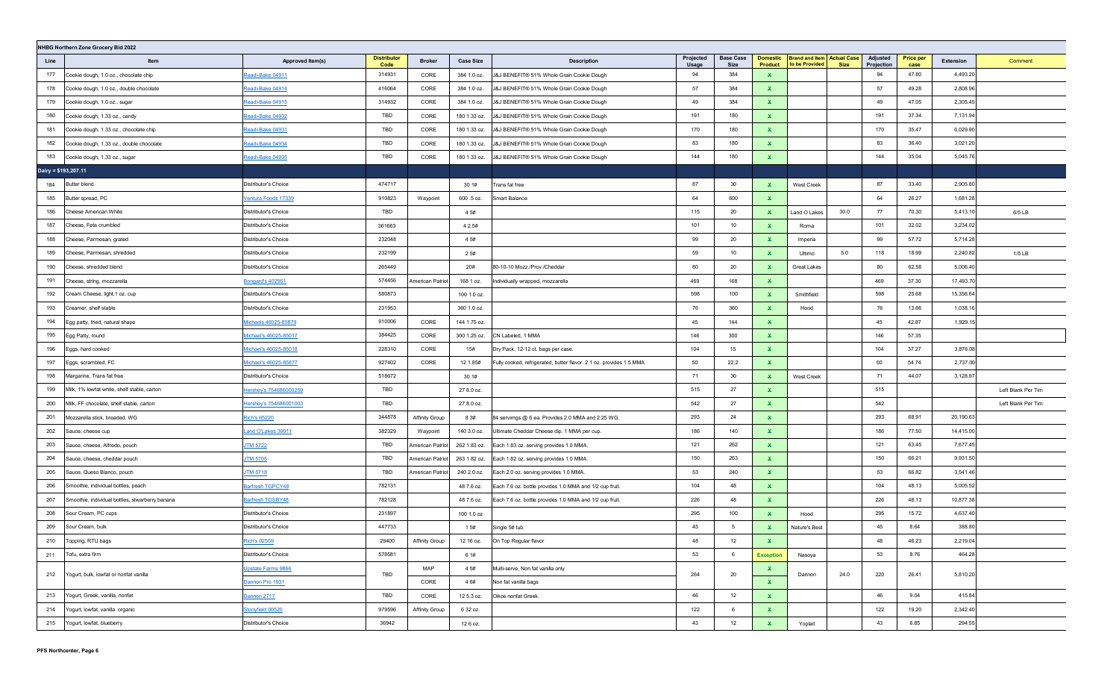|                      | NHBG Northern Zone Grocery Bid 2022             |                        |                            |                       |                  |                                                                     |                    |                          |                                   |                                                     |      |                        |                          |           |                    |
|----------------------|-------------------------------------------------|------------------------|----------------------------|-----------------------|------------------|---------------------------------------------------------------------|--------------------|--------------------------|-----------------------------------|-----------------------------------------------------|------|------------------------|--------------------------|-----------|--------------------|
| Line                 | Item                                            | Approved Item(s)       | <b>Distributor</b><br>Code | <b>Broker</b>         | <b>Case Size</b> | <b>Description</b>                                                  | Projected<br>Usage | <b>Base Case</b><br>Size | <b>Domestic</b><br><b>Product</b> | <b>Brand and Item Actual Case</b><br>to be Provided | Size | Adjusted<br>Projection | <b>Price per</b><br>case | Extension | Comment            |
| 177                  | Cookie dough, 1.0 oz., chocolate chip           | Readi-Bake 04911       | 314931                     | CORE                  | 384 1.0 oz.      | J&J BENEFIT® 51% Whole Grain Cookie Dough                           | 94                 | 384                      | $\mathbf x$                       |                                                     |      | 94                     | 47.80                    | 4,493.20  |                    |
| 178                  | Cookie dough, 1.0 oz., double chocolate         | Readi-Bake 04914       | 416064                     | CORE                  | 384 1.0 oz.      | J&J BENEFIT® 51% Whole Grain Cookie Dough                           | 57                 | 384                      | ×.                                |                                                     |      | 57                     | 49.28                    | 2,808.96  |                    |
| 179                  | Cookie dough, 1.0 oz., sugar                    | Readi-Bake 04915       | 314932                     | CORE                  | 384 1.0 oz.      | J&J BENEFIT® 51% Whole Grain Cookie Dough                           | 49                 | 384                      | $\mathbf{x}$                      |                                                     |      | 49                     | 47.05                    | 2,305.45  |                    |
| 180                  | Cookie dough, 1.33 oz., candy                   | Readi-Bake 04932       | TBD                        | CORE                  | 180 1.33 oz.     | J&J BENEFIT® 51% Whole Grain Cookie Dough                           | 191                | 180                      | $\mathbf{x}$                      |                                                     |      | 191                    | 37.34                    | 7,131.94  |                    |
| 181                  | Cookie dough, 1.33 oz., chocolate chip          | Readi-Bake 04931       | TBD                        | CORE                  | 180 1.33 oz.     | J&J BENEFIT® 51% Whole Grain Cookie Dough                           | 170                | 180                      | ×.                                |                                                     |      | 170                    | 35.47                    | 6,029.90  |                    |
| 182                  | Cookie dough, 1.33 oz., double chocolate        | Readi-Bake 04934       | TBD                        | CORE                  | 180 1.33 oz.     | J&J BENEFIT® 51% Whole Grain Cookie Dough                           | 83                 | 180                      | $\mathbf{x}$                      |                                                     |      | 83                     | 36.40                    | 3,021.20  |                    |
| 183                  | Cookie dough, 1.33 oz., sugar                   | Readi-Bake 04935       | TBD                        | CORE                  | 180 1.33 oz.     | J&J BENEFIT® 51% Whole Grain Cookie Dough                           | 144                | 180                      | $\mathbf{x}$                      |                                                     |      | 144                    | 35.04                    | 5,045.76  |                    |
| Dairy = \$193,207.11 |                                                 |                        |                            |                       |                  |                                                                     |                    |                          |                                   |                                                     |      |                        |                          |           |                    |
| 184                  | Butter blend                                    | Distributor's Choice   | 474717                     |                       | 30 1#            | Trans fat free                                                      | 87                 | 30                       | ×.                                | West Creek                                          |      | 87                     | 33.40                    | 2,905.80  |                    |
| 185                  | Butter spread, PC                               | /entura Foods 17339    | 910823                     | Waypoint              | 600 .5 oz.       | Smart Balance                                                       | 64                 | 600                      | $\mathbf{x}$                      |                                                     |      | 64                     | 26.27                    | 1,681.28  |                    |
| 186                  | Cheese American White                           | Distributor's Choice   | TBD                        |                       | 4 5#             |                                                                     | 115                | 20                       | $\mathbf{x}$                      | Land O Lakes                                        | 30.0 | 77                     | 70.30                    | 5,413.10  | $6/5$ LB           |
| 187                  | Cheese, Feta crumbled                           | Distributor's Choice   | 361663                     |                       | 4 2.5#           |                                                                     | 101                | 10                       | ×.                                | Roma                                                |      | 101                    | 32.02                    | 3,234.02  |                    |
| 188                  | Cheese, Parmesan, grated                        | Distributor's Choice   | 232048                     |                       | 4 5#             |                                                                     | 99                 | 20                       | $\mathbf{x}$                      | Imperia                                             |      | 99                     | 57.72                    | 5,714.28  |                    |
| 189                  | Cheese, Parmesan, shredded                      | Distributor's Choice   | 232199                     |                       | 2 5#             |                                                                     | 59                 | 10                       | $\mathbf{x}$                      | Ultimo                                              | 5.0  | 118                    | 18.99                    | 2,240.82  | $1/5$ LB           |
| 190                  | Cheese, shredded blend                          | Distributor's Choice   | 265449                     |                       | 20#              | 80-10-10 Mozz./Prov./Cheddar                                        | 80                 | 20                       | $\mathbf{x}$                      | Great Lakes                                         |      | 80                     | 62.58                    | 5,006.40  |                    |
| 191                  | Cheese, string, mozzarella                      | Bongard's 402951       | 574456                     | American Patriot      | 168 1 oz.        | Individually wrapped, mozzarella                                    | 469                | 168                      | $\mathbf{x}$                      |                                                     |      | 469                    | 37.30                    | 17,493.70 |                    |
| 192                  | Cream Cheese, light, 1 oz. cup                  | Distributor's Choice   | 580873                     |                       | 100 1.0 oz.      |                                                                     | 598                | 100                      | $\mathbf{x}$                      | Smithfield                                          |      | 598                    | 25.68                    | 15,356.64 |                    |
| 193                  | Creamer, shelf stable                           | Distributor's Choice   | 231953                     |                       | 360 1.0 oz.      |                                                                     | 76                 | 360                      | $\mathbf{x}$                      | Hood                                                |      | 76                     | 13.66                    | 1,038.16  |                    |
| 194                  | Egg patty, fried, natural shape                 | dichaels 46025-85879   | 910006                     | CORE                  | 144 1.75 oz.     |                                                                     | 45                 | 144                      | ×.                                |                                                     |      | 45                     | 42.87                    | 1,929.15  |                    |
| 195                  | Egg Patty, round                                | dichael's 46025-85017  | 384425                     | CORE                  | 300 1.25 oz.     | CN Labeled, 1 MMA                                                   | 146                | 300                      | $\mathbf{x}$                      |                                                     |      | 146                    | 57.35                    |           |                    |
| 196                  | Eggs, hard cooked                               | Michael's 46025-85018  | 228310                     | CORE                  | 15#              | Dry Pack, 12-12 ct. bags per case.                                  | 104                | 15                       | $\mathbf{x}$                      |                                                     |      | 104                    | 37.27                    | 3,876.08  |                    |
| 197                  | Eggs, scrambled, FC                             | Michael's 46025-85877  | 927402                     | CORE                  | 12 1.85#         | Fully cooked, refrigerated, butter flavor. 2.1 oz. provides 1.5 MMA | 50                 | 22.2                     | $\mathbf{x}$                      |                                                     |      | 50                     | 54.74                    | 2,737.00  |                    |
| 198                  | Margarine, Trans fat free                       | Distributor's Choice   | 518672                     |                       | 30 1#            |                                                                     | 71                 | 30                       | ×.                                | <b>West Creek</b>                                   |      | 71                     | 44.07                    | 3,128.97  |                    |
| 199                  | Milk, 1% lowfat white, shelf stable, carton     | lershey's 754686000259 | TBD                        |                       | 27 8.0 oz.       |                                                                     | 515                | 27                       | $\mathbf{x}$                      |                                                     |      | 515                    |                          |           | Left Blank Per Tim |
| 200                  | Milk, FF chocolate, shelf stable, carton        | lershey's 754686001003 | TBD                        |                       | 27 8.0 oz.       |                                                                     | 542                | 27                       | $\mathbf{x}$                      |                                                     |      | 542                    |                          |           | Left Blank Per Tim |
| 201                  | Mozzarella stick, breaded, WG                   | Rich's 65220           | 344878                     | <b>Affinity Group</b> | 8 3#             | 84 servimgs @ 6 ea. Provides 2.0 MMA and 2.25 WG.                   | 293                | 24                       | $\mathbf{x}$                      |                                                     |      | 293                    | 68.91                    | 20,190.63 |                    |
| 202                  | Sauce, cheese cup                               | and O'Lakes 39911      | 382329                     | Waypoint              | 140 3.0 oz.      | Ultimate Cheddar Cheese dip. 1 MMA per cup.                         | 186                | 140                      | $\mathbf{x}$                      |                                                     |      | 186                    | 77.50                    | 14,415.00 |                    |
| 203                  | Sauce, cheese, Alfredo, pouch                   | <b>TM 5722</b>         | TBD                        | American Patriot      | 262 1.83 oz.     | Each 1.83 oz. serving provides 1.0 MMA.                             | 121                | 262                      | $\mathbf{x}$                      |                                                     |      | 121                    | 63.45                    | 7,677.45  |                    |
| 204                  | Sauce, cheese, cheddar pouch                    | <b>TM 5705</b>         | TBD                        | American Patriot      | 263 1.82 oz.     | Each 1.82 oz. serving provides 1.0 MMA.                             | 150                | 263                      | $\mathbf{x}$                      |                                                     |      | 150                    | 66.21                    | 9,931.50  |                    |
| 205                  | Sauce, Queso Blanco, pouch                      | <b>ITM 5718</b>        | TBD                        | American Patriot      | 240 2.0 oz.      | Each 2.0 oz. serving provides 1.0 MMA.                              | 53                 | 240                      | $\mathbf{x}$                      |                                                     |      | 53                     | 66.82                    | 3,541.46  |                    |
| 206                  | Smoothie, individual bottles, peach             | Barfresh TGPCY48       | 782131                     |                       | 48 7.6 oz.       | Each 7.6 oz. bottle provides 1.0 MMA and 1/2 cup fruit.             | 104                | 48                       | $\mathbf{x}$                      |                                                     |      | 104                    | 48.13                    | 5,005.52  |                    |
| 207                  | Smoothie, individual bottles, stwarberry banana | Barfresh TGSBY48       | 782128                     |                       | 48 7.6 oz.       | Each 7.6 oz. bottle provides 1.0 MMA and 1/2 cup fruit              | 226                | 48                       | $\mathbf{x}$                      |                                                     |      | 226                    | 48.13                    | 10,877.38 |                    |
| 208                  | Sour Cream, PC cups                             | Distributor's Choice   | 231897                     |                       | 100 1.0 oz       |                                                                     | 295                | 100                      | $\mathbf{x}$                      | Hood                                                |      | 295                    | 15.72                    | 4,637.40  |                    |
| 209                  | Sour Cream, bulk                                | Distributor's Choice   | 447733                     |                       | 1 5#             | Single 5# tub.                                                      | 45                 | - 5                      | $\mathbf{x}$                      | Nature's Best                                       |      | 45                     | 8.64                     | 388.80    |                    |
| 210                  | Topping, RTU bags                               | Rich's 02559           | 29400                      | <b>Affinity Group</b> | 12 16 oz.        | On Top Regular flavor                                               | 48                 | 12                       | $\mathbf{x}$                      |                                                     |      | 48                     | 46.23                    | 2,219.04  |                    |
| 211                  | Tofu, extra firm                                | Distributor's Choice   | 578581                     |                       | 6 1#             |                                                                     | 53                 | 6                        | <b>Exception</b>                  | Nasoya                                              |      | 53                     | 8.76                     | 464.28    |                    |
|                      | 212 Yogurt, bulk, lowfat or nonfat vanilla      | Upstate Farms 9866     | TBD                        | MAP                   | 4 5#             | Multi-serve, Non fat vanilla only                                   | 264                | 20                       | $\mathbf{x}$                      | Dannon                                              | 24.0 | 220                    | 26.41                    | 5,810.20  |                    |
|                      |                                                 | Dannon Pro 1931        |                            | CORE                  | 4 6#             | Non fat vanilla bags                                                |                    |                          | $\mathbf{x}$                      |                                                     |      |                        |                          |           |                    |
| 213                  | Yogurt, Greek, vanilla, nonfat                  | Dannon 2717            | TBD                        | CORE                  | 12 5.3 oz.       | Oikos nonfat Greek.                                                 | 46                 | 12                       | $\mathbf{x}$                      |                                                     |      | 46                     | 9.04                     | 415.84    |                    |
| 214                  | Yogurt, lowfat, vanilla organic                 | Stonyfield 00520       | 979596                     | Affinity Group        | 6 32 oz.         |                                                                     | 122                | 6                        | $\mathbf{x}$                      |                                                     |      | 122                    | 19.20                    | 2,342.40  |                    |
| 215                  | Yogurt, lowfat, blueberry                       | Distributor's Choice   | 36942                      |                       | 12 6 oz.         |                                                                     | 43                 | 12                       | $\mathbf{x}$                      | Yoplait                                             |      | 43                     | 6.85                     | 294.55    |                    |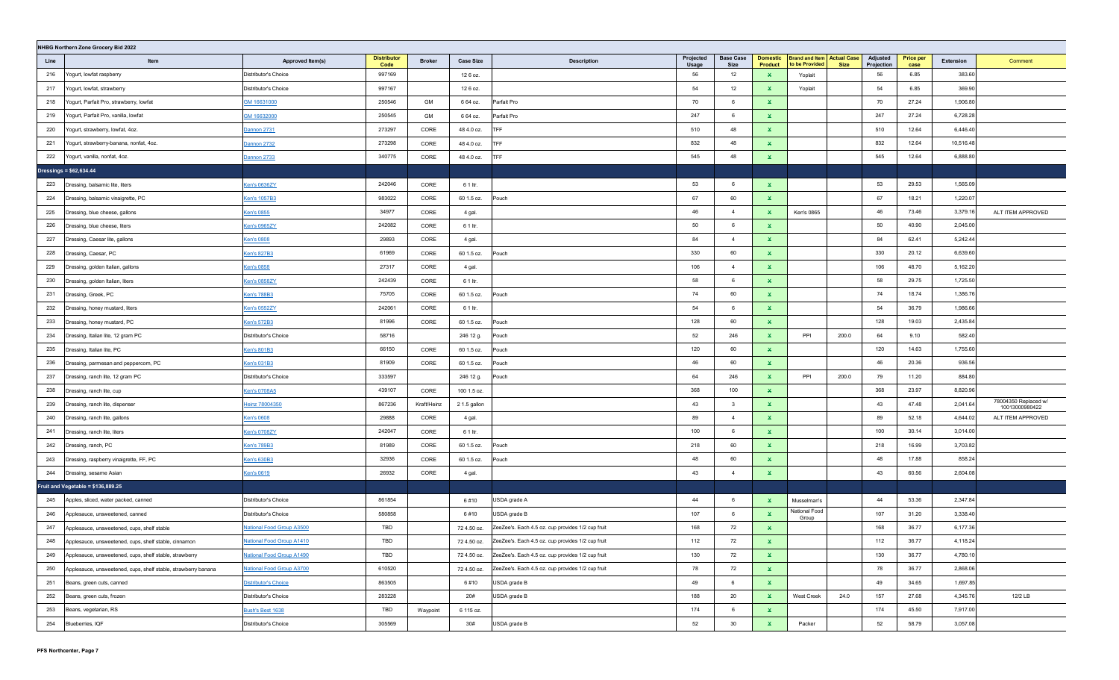|      | NHBG Northern Zone Grocery Bid 2022                            |                                     |                            |               |                  |                                                   |                    |                          |                                   |                                                     |             |                        |                          |           |                                        |
|------|----------------------------------------------------------------|-------------------------------------|----------------------------|---------------|------------------|---------------------------------------------------|--------------------|--------------------------|-----------------------------------|-----------------------------------------------------|-------------|------------------------|--------------------------|-----------|----------------------------------------|
| Line | Item                                                           | Approved Item(s)                    | <b>Distributor</b><br>Code | <b>Broker</b> | <b>Case Size</b> | <b>Description</b>                                | Projected<br>Usage | <b>Base Case</b><br>Size | <b>Domestic</b><br><b>Product</b> | <b>Brand and Item Actual Case</b><br>to be Provided | <b>Size</b> | Adjusted<br>Projection | <b>Price per</b><br>case | Extension | Comment                                |
| 216  | Yogurt, lowfat raspberry                                       | Distributor's Choice                | 997169                     |               | 12 6 oz.         |                                                   | 56                 | 12                       | ×.                                | Yoplait                                             |             | 56                     | 6.85                     | 383.60    |                                        |
| 217  | Yogurt, lowfat, strawberry                                     | Distributor's Choice                | 997167                     |               | 12 6 oz.         |                                                   | 54                 | 12                       | $\mathbf{x}$                      | Yoplait                                             |             | 54                     | 6.85                     | 369.90    |                                        |
| 218  | Yogurt, Parfait Pro, strawberry, lowfat                        | GM 16631000                         | 250546                     | GM            | 6 64 oz.         | Parfait Pro                                       | 70                 | 6                        | ×.                                |                                                     |             | 70                     | 27.24                    | 1,906.80  |                                        |
| 219  | Yogurt, Parfait Pro, vanilla, lowfat                           | GM 16632000                         | 250545                     | GM            | 6 64 oz.         | Parfait Pro                                       | 247                | 6                        | ×.                                |                                                     |             | 247                    | 27.24                    | 6,728.28  |                                        |
| 220  | Yogurt, strawberry, lowfat, 4oz.                               | Dannon 2731                         | 273297                     | CORE          | 48 4.0 oz.       | <b>TFF</b>                                        | 510                | 48                       | ×.                                |                                                     |             | 510                    | 12.64                    | 6,446.40  |                                        |
| 221  | Yogurt, strawberry-banana, nonfat, 4oz.                        | Dannon 2732                         | 273298                     | CORE          | 48 4.0 oz.       | <b>TFF</b>                                        | 832                | 48                       | ×.                                |                                                     |             | 832                    | 12.64                    | 10,516.48 |                                        |
| 222  | Yogurt, vanilla, nonfat, 4oz.                                  | Dannon 2733                         | 340775                     | CORE          | 48 4.0 oz.       | TFF                                               | 545                | 48                       | ×.                                |                                                     |             | 545                    | 12.64                    | 6,888.80  |                                        |
|      | Dressings = \$62,634.44                                        |                                     |                            |               |                  |                                                   |                    |                          |                                   |                                                     |             |                        |                          |           |                                        |
| 223  | Dressing, balsamic lite, liters                                | Ken's 0636ZY                        | 242046                     | CORE          | 6 1 ltr.         |                                                   | 53                 | 6                        | $\mathbf{x}$                      |                                                     |             | 53                     | 29.53                    | 1,565.09  |                                        |
| 224  | Dressing, balsamic vinaigrette, PC                             | Ken's 1057B3                        | 983022                     | CORE          | 60 1.5 oz.       | Pouch                                             | 67                 | 60                       | $\mathbf{x}$                      |                                                     |             | 67                     | 18.21                    | 1,220.07  |                                        |
| 225  | Dressing, blue cheese, gallons                                 | <u>Ken's 0855</u>                   | 34977                      | CORE          | 4 gal.           |                                                   | 46                 | $\overline{4}$           | $\mathbf{x}$                      | Ken's 0865                                          |             | 46                     | 73.46                    | 3,379.16  | ALT ITEM APPROVED                      |
| 226  | Dressing, blue cheese, liters                                  | Ken's 0965ZY                        | 242082                     | CORE          | 6 1 ltr.         |                                                   | 50                 | 6                        | $\mathbf{x}$                      |                                                     |             | 50                     | 40.90                    | 2,045.00  |                                        |
| 227  | Dressing, Caesar lite, gallons                                 | <b>Ken's 0808</b>                   | 29893                      | CORE          | 4 gal.           |                                                   | 84                 | $\overline{4}$           | $\mathbf{x}$                      |                                                     |             | 84                     | 62.41                    | 5,242.44  |                                        |
| 228  | Dressing, Caesar, PC                                           | <u><en's 827b3<="" u=""></en's></u> | 61969                      | CORE          | 60 1.5 oz.       | Pouch                                             | 330                | 60                       | $\mathbf{x}$                      |                                                     |             | 330                    | 20.12                    | 6,639.60  |                                        |
| 229  | Dressing, golden Italian, gallons                              | <u> Ken's 0858</u>                  | 27317                      | CORE          | 4 gal.           |                                                   | 106                | $\overline{4}$           | $\mathbf{x}$                      |                                                     |             | 106                    | 48.70                    | 5,162.20  |                                        |
| 230  | Dressing, golden Italian, liters                               | <b>Ken's 0858ZY</b>                 | 242439                     | CORE          | 6 1 ltr.         |                                                   | 58                 | 6                        | $\mathbf{x}$                      |                                                     |             | 58                     | 29.75                    | 1,725.50  |                                        |
| 231  | Dressing, Greek, PC                                            | <u><b>Cen's 788B3</b></u>           | 75705                      | CORE          | 60 1.5 oz.       | Pouch                                             | 74                 | 60                       | $\mathbf{x}$                      |                                                     |             | 74                     | 18.74                    | 1,386.76  |                                        |
| 232  | Dressing, honey mustard, liters                                | Ken's 0552ZY                        | 242061                     | CORE          | 6 1 ltr.         |                                                   | 54                 | 6                        | $\mathbf{x}$                      |                                                     |             | 54                     | 36.79                    | 1,986.66  |                                        |
| 233  | Dressing, honey mustard, PC                                    | Ken's 572B3                         | 81996                      | CORE          | 60 1.5 oz.       | Pouch                                             | 128                | 60                       | $\mathbf{x}$                      |                                                     |             | 128                    | 19.03                    | 2,435.84  |                                        |
| 234  | Dressing, Italian lite, 12 gram PC                             | Distributor's Choice                | 58716                      |               | 246 12 g.        | Pouch                                             | 52                 | 246                      | $\mathbf{x}$                      | PPI                                                 | 200.0       | 64                     | 9.10                     | 582.40    |                                        |
| 235  | Dressing, Italian lite, PC                                     | Ken's 801B3                         | 66150                      | CORE          | 60 1.5 oz.       | Pouch                                             | 120                | 60                       | ×.                                |                                                     |             | 120                    | 14.63                    | 1,755.60  |                                        |
| 236  | Dressing, parmesan and peppercorn, PC                          | Ken's 031B3                         | 81909                      | CORE          | 60 1.5 oz.       | Pouch                                             | 46                 | 60                       | ×.                                |                                                     |             | 46                     | 20.36                    | 936.56    |                                        |
| 237  | Dressing, ranch lite, 12 gram PC                               | Distributor's Choice                | 333597                     |               | 246 12 g.        | Pouch                                             | 64                 | 246                      | $\mathbf{x}$                      | PPI                                                 | 200.0       | 79                     | 11.20                    | 884.80    |                                        |
| 238  | Dressing, ranch lite, cup                                      | Ken's 0708A5                        | 439107                     | CORE          | 100 1.5 oz.      |                                                   | 368                | 100                      | $\mathbf{x}$                      |                                                     |             | 368                    | 23.97                    | 8,820.96  |                                        |
| 239  | Dressing, ranch lite, dispenser                                | Heinz 78004350                      | 867236                     | Kraft/Heinz   | 2 1.5 gallon     |                                                   | 43                 | $\overline{\mathbf{3}}$  | $\mathbf{x}$                      |                                                     |             | 43                     | 47.48                    | 2,041.64  | 78004350 Replaced w/<br>10013000980422 |
| 240  | Dressing, ranch lite, gallons                                  | <u>Ken's 0608</u>                   | 29888                      | CORE          | 4 gal.           |                                                   | 89                 | $\overline{4}$           | $\mathbf{x}$                      |                                                     |             | 89                     | 52.18                    | 4,644.02  | ALT ITEM APPROVED                      |
| 241  | Dressing, ranch lite, liters                                   | Ken's 0708ZY                        | 242047                     | CORE          | 6 1 ltr.         |                                                   | 100                | 6                        | ×.                                |                                                     |             | 100                    | 30.14                    | 3,014.00  |                                        |
| 242  | Dressing, ranch, PC                                            | Ken's 789B3                         | 81989                      | CORE          | 60 1.5 oz.       | Pouch                                             | 218                | 60                       | ×.                                |                                                     |             | 218                    | 16.99                    | 3,703.82  |                                        |
| 243  | Dressing, raspberry vinaigrette, FF, PC                        | Ken's 630B3                         | 32936                      | CORE          | 60 1.5 oz.       | Pouch                                             | 48                 | 60                       | ×.                                |                                                     |             | 48                     | 17.88                    | 858.24    |                                        |
| 244  | Dressing, sesame Asian                                         | <u><en's 0619<="" u=""></en's></u>  | 26932                      | CORE          | 4 gal.           |                                                   | 43                 | $\overline{4}$           | $\mathbf{x}$                      |                                                     |             | 43                     | 60.56                    | 2,604.08  |                                        |
|      | Fruit and Vegetable = $$136,889.25$                            |                                     |                            |               |                  |                                                   |                    |                          |                                   |                                                     |             |                        |                          |           |                                        |
| 245  | Apples, sliced, water packed, canned                           | Distributor's Choice                | 861854                     |               | 6#10             | USDA grade A                                      | 44                 | 6                        | ×.                                | Musselman's                                         |             | 44                     | 53.36                    | 2,347.84  |                                        |
| 246  | Applesauce, unsweetened, canned                                | Distributor's Choice                | 580858                     |               | 6#10             | USDA grade B                                      | 107                | 6                        | ×.                                | National Food<br>Group                              |             | 107                    | 31.20                    | 3,338.40  |                                        |
| 247  | Applesauce, unsweetened, cups, shelf stable                    | <b>National Food Group A3500</b>    | TBD                        |               | 72 4.50 oz.      | ZeeZee's. Each 4.5 oz. cup provides 1/2 cup fruit | 168                | 72                       | $\mathbf{x}$                      |                                                     |             | 168                    | 36.77                    | 6,177.36  |                                        |
| 248  | Applesauce, unsweetened, cups, shelf stable, cinnamon          | <b>National Food Group A1410</b>    | TBD                        |               | 72 4.50 oz.      | ZeeZee's. Each 4.5 oz. cup provides 1/2 cup fruit | 112                | 72                       | X.                                |                                                     |             | 112                    | 36.77                    | 4,118.24  |                                        |
| 249  | Applesauce, unsweetened, cups, shelf stable, strawberry        | National Food Group A1490           | TBD                        |               | 72 4.50 oz.      | ZeeZee's. Each 4.5 oz. cup provides 1/2 cup fruit | 130                | 72                       | $\mathbf{x}$                      |                                                     |             | 130                    | 36.77                    | 4,780.10  |                                        |
| 250  | Applesauce, unsweetened, cups, shelf stable, strawberry banana | National Food Group A3700           | 610520                     |               | 72 4.50 oz.      | ZeeZee's. Each 4.5 oz. cup provides 1/2 cup fruit | 78                 | 72                       | $\mathbf{x}$                      |                                                     |             | 78                     | 36.77                    | 2,868.06  |                                        |
| 251  | Beans, green cuts, canned                                      | Distributor's Choice                | 863505                     |               | 6#10             | USDA grade B                                      | 49                 | 6                        | $\mathbf{x}$                      |                                                     |             | 49                     | 34.65                    | 1,697.85  |                                        |
| 252  | Beans, green cuts, frozen                                      | Distributor's Choice                | 283228                     |               | 20#              | USDA grade B                                      | 188                | 20                       | $\mathbf{x}$                      | West Creek                                          | 24.0        | 157                    | 27.68                    | 4,345.76  | 12/2 LB                                |
| 253  | Beans, vegetarian, RS                                          | Bush's Best 1638                    | TBD                        | Waypoint      | 6 115 oz.        |                                                   | 174                | 6                        | $\mathbf{x}$                      |                                                     |             | 174                    | 45.50                    | 7,917.00  |                                        |
| 254  | Blueberries, IQF                                               | Distributor's Choice                | 305569                     |               | 30#              | USDA grade B                                      | 52                 | 30                       | $\mathbf{x}$                      | Packer                                              |             | 52                     | 58.79                    | 3,057.08  |                                        |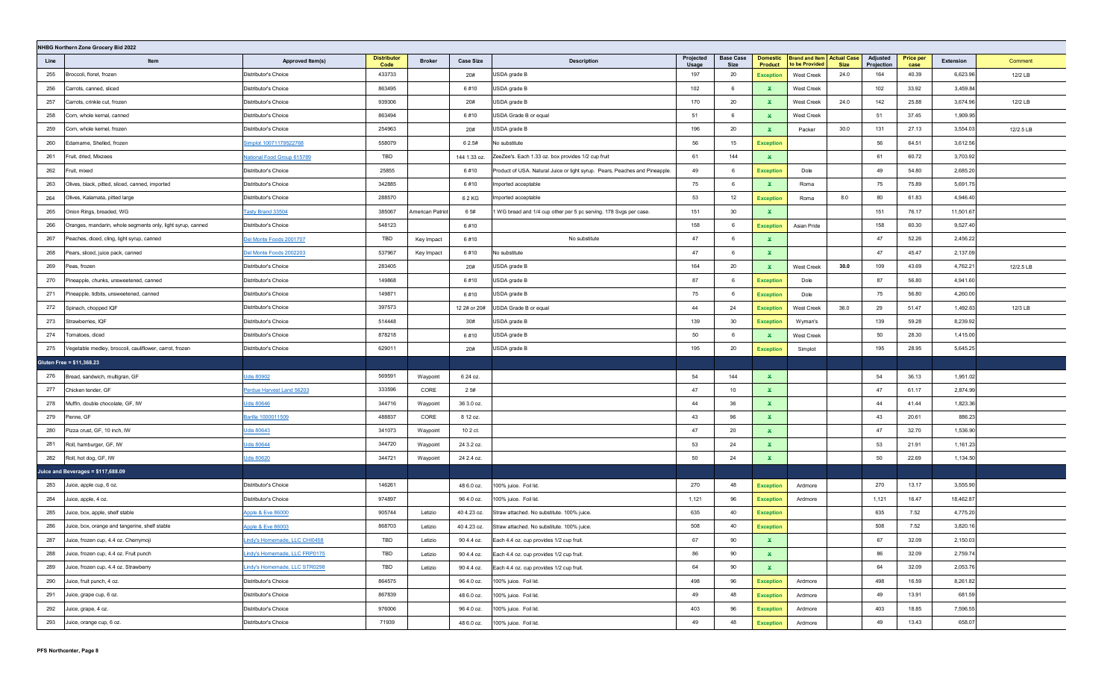|      | NHBG Northern Zone Grocery Bid 2022                         |                                |                            |                  |                  |                                                                             |                    |                          |                                   |                                                     |             |                        |                          |           |           |
|------|-------------------------------------------------------------|--------------------------------|----------------------------|------------------|------------------|-----------------------------------------------------------------------------|--------------------|--------------------------|-----------------------------------|-----------------------------------------------------|-------------|------------------------|--------------------------|-----------|-----------|
| Line | Item                                                        | Approved Item(s)               | <b>Distributor</b><br>Code | <b>Broker</b>    | <b>Case Size</b> | <b>Description</b>                                                          | Projected<br>Usage | <b>Base Case</b><br>Size | <b>Domestic</b><br><b>Product</b> | <b>Brand and Item Actual Case</b><br>to be Provided | <b>Size</b> | Adjusted<br>Projection | <b>Price per</b><br>case | Extension | Comment   |
| 255  | Broccoli, floret, frozen                                    | Distributor's Choice           | 433733                     |                  | 20#              | USDA grade B                                                                | 197                | 20                       | <b>Exception</b>                  | West Creek                                          | 24.0        | 164                    | 40.39                    | 6,623.96  | 12/2 LB   |
| 256  | Carrots, canned, sliced                                     | Distributor's Choice           | 863495                     |                  | 6#10             | USDA grade B                                                                | 102                | 6                        | ×.                                | <b>West Creek</b>                                   |             | 102                    | 33.92                    | 3,459.84  |           |
| 257  | Carrots, crinkle cut, frozen                                | Distributor's Choice           | 939306                     |                  | 20#              | USDA grade B                                                                | 170                | 20                       | ×.                                | <b>West Creek</b>                                   | 24.0        | 142                    | 25.88                    | 3,674.96  | 12/2 LB   |
| 258  | Corn, whole kernal, canned                                  | Distributor's Choice           | 863494                     |                  | 6#10             | USDA Grade B or equal                                                       | 51                 | 6                        | ×.                                | <b>West Creek</b>                                   |             | 51                     | 37.45                    | 1,909.95  |           |
| 259  | Corn, whole kernel, frozen                                  | Distributor's Choice           | 254963                     |                  | 20#              | USDA grade B                                                                | 196                | 20                       | ×.                                | Packer                                              | 30.0        | 131                    | 27.13                    | 3,554.03  | 12/2.5 LB |
| 260  | Edamame, Shelled, frozen                                    | Simplot 10071179522768         | 558079                     |                  | 6 2.5#           | No substitute                                                               | 56                 | 15                       | <b>Exception</b>                  |                                                     |             | 56                     | 64.51                    | 3,612.56  |           |
| 261  | Fruit, dried, Mixzees                                       | National Food Group 615789     | TBD                        |                  | 144 1.33 oz.     | ZeeZee's. Each 1.33 oz. box provides 1/2 cup fruit                          | 61                 | 144                      | $\mathbf{x}$                      |                                                     |             | 61                     | 60.72                    | 3,703.92  |           |
| 262  | Fruit, mixed                                                | Distributor's Choice           | 25855                      |                  | 6#10             | Product of USA. Natural Juice or light syrup. Pears, Peaches and Pineapple. | 49                 | 6                        | <b>Exception</b>                  | Dole                                                |             | 49                     | 54.80                    | 2,685.20  |           |
| 263  | Olives, black, pitted, sliced, canned, imported             | Distributor's Choice           | 342885                     |                  | 6#10             | Imported acceptable                                                         | 75                 | 6                        | $\mathbf{x}$                      | Roma                                                |             | 75                     | 75.89                    | 5,691.75  |           |
| 264  | Olives, Kalamata, pitted large                              | Distributor's Choice           | 288570                     |                  | 62 KG            | Imported acceptable                                                         | 53                 | 12                       | <b>Exception</b>                  | Roma                                                | 8.0         | 80                     | 61.83                    | 4,946.40  |           |
| 265  | Onion Rings, breaded, WG                                    | Tasty Brand 33504              | 385067                     | American Patriot | 6 5#             | 1 WG bread and 1/4 cup other per 5 pc serving. 178 Svgs per case.           | 151                | 30                       | ×.                                |                                                     |             | 151                    | 76.17                    | 11,501.67 |           |
| 266  | Oranges, mandarin, whole segments only, light syrup, canned | Distributor's Choice           | 548123                     |                  | 6#10             |                                                                             | 158                | 6                        | <b>Exception</b>                  | Asian Pride                                         |             | 158                    | 60.30                    | 9,527.40  |           |
| 267  | Peaches, diced, cling, light syrup, canned                  | Del Monte Foods 2001707        | TBD                        | Key Impact       | 6#10             | No substitute                                                               | 47                 | 6                        | ×.                                |                                                     |             | 47                     | 52.26                    | 2,456.22  |           |
| 268  | Pears, sliced, juice pack, canned                           | <u>Del Monte Foods 2002203</u> | 537967                     | Key Impact       | 6#10             | No substitute                                                               | 47                 | 6                        | $\mathbf{x}$                      |                                                     |             | 47                     | 45.47                    | 2,137.09  |           |
| 269  | Peas, frozen                                                | Distributor's Choice           | 283405                     |                  | 20#              | USDA grade B                                                                | 164                | 20                       | ×.                                | West Creek                                          | 30.0        | 109                    | 43.69                    | 4,762.21  | 12/2.5 LB |
| 270  | Pineapple, chunks, unsweetened, canned                      | Distributor's Choice           | 149868                     |                  | 6#10             | USDA grade B                                                                | 87                 | 6                        | <b>Exception</b>                  | Dole                                                |             | 87                     | 56.80                    | 4,941.60  |           |
| 271  | Pineapple, tidbits, unsweetened, canned                     | Distributor's Choice           | 149871                     |                  | 6#10             | USDA grade B                                                                | 75                 | 6                        | <b>Exception</b>                  | Dole                                                |             | 75                     | 56.80                    | 4,260.00  |           |
| 272  | Spinach, chopped IQF                                        | Distributor's Choice           | 397573                     |                  | 12 2# or 20#     | USDA Grade B or equal                                                       | 44                 | 24                       | <b>Exception</b>                  | West Creek                                          | 36.0        | 29                     | 51.47                    | 1,492.63  | 12/3 LB   |
| 273  | Strawberries, IQF                                           | Distributor's Choice           | 514448                     |                  | 30#              | USDA grade B                                                                | 139                | 30                       | <b>Exception</b>                  | Wyman's                                             |             | 139                    | 59.28                    | 8,239.92  |           |
| 274  | Tomatoes, diced                                             | Distributor's Choice           | 878218                     |                  | 6#10             | USDA grade B                                                                | 50                 | 6                        | ×.                                | West Creek                                          |             | 50                     | 28.30                    | 1,415.00  |           |
| 275  | /egetable medley, broccoli, cauliflower, carrot, frozen     | Distributor's Choice           | 629011                     |                  | 20#              | USDA grade B                                                                | 195                | 20                       | <b>Exception</b>                  | Simplot                                             |             | 195                    | 28.95                    | 5,645.25  |           |
|      | Gluten Free = \$11,368.23                                   |                                |                            |                  |                  |                                                                             |                    |                          |                                   |                                                     |             |                        |                          |           |           |
| 276  | Bread, sandwich, multigran, GF                              | Udis 80902                     | 569591                     | Waypoint         | 6 24 oz.         |                                                                             | 54                 | 144                      | $\mathbf{x}$                      |                                                     |             | 54                     | 36.13                    | 1,951.02  |           |
| 277  | Chicken tender, GF                                          | Perdue Harvest Land 56203      | 333596                     | CORE             | 25#              |                                                                             | 47                 | 10                       | ×.                                |                                                     |             | 47                     | 61.17                    | 2,874.99  |           |
| 278  | Muffin, double chocolate, GF, IW                            | Udis 80646                     | 344716                     | Waypoint         | 36 3.0 oz.       |                                                                             | 44                 | 36                       | $\mathbf{x}$                      |                                                     |             | 44                     | 41.44                    | 1,823.36  |           |
| 279  | Penne, GF                                                   | Barilla 1000011509             | 488837                     | CORE             | 8 12 oz.         |                                                                             | 43                 | 96                       | $\mathbf{x}$                      |                                                     |             | 43                     | 20.61                    | 886.23    |           |
| 280  | Pizza crust, GF, 10 inch, IW                                | Udis 80643                     | 341073                     | Waypoint         | 10 2 ct.         |                                                                             | 47                 | 20                       | $\mathbf{x}$                      |                                                     |             | 47                     | 32.70                    | 1,536.90  |           |
| 281  | Roll, hamburger, GF, IW                                     | Udis 80644                     | 344720                     | Waypoint         | 24 3.2 oz.       |                                                                             | 53                 | 24                       | $\mathbf{x}$                      |                                                     |             | 53                     | 21.91                    | 1,161.23  |           |
| 282  | Roll, hot dog, GF, IW                                       | Udis 80620                     | 344721                     | Waypoint         | 24 2.4 oz.       |                                                                             | 50                 | 24                       | ×.                                |                                                     |             | 50                     | 22.69                    | 1,134.50  |           |
|      | Juice and Beverages = \$117,688.09                          |                                |                            |                  |                  |                                                                             |                    |                          |                                   |                                                     |             |                        |                          |           |           |
| 283  | Juice, apple cup, 6 oz.                                     | Distributor's Choice           | 146261                     |                  | 48 6.0 oz.       | 100% juice. Foil lid.                                                       | 270                | 48                       | <b>Exception</b>                  | Ardmore                                             |             | 270                    | 13.17                    | 3,555.90  |           |
| 284  | Juice, apple, 4 oz.                                         | Distributor's Choice           | 974897                     |                  | 96 4.0 oz.       | 100% juice. Foil lid.                                                       | 1,121              | 96                       | <b>Exception</b>                  | Ardmore                                             |             | 1,121                  | 16.47                    | 18,462.87 |           |
| 285  | Juice, box, apple, shelf stable                             | Apple & Eve 86000              | 905744                     | Letizio          | 40 4.23 oz.      | Straw attached. No substitute. 100% juice.                                  | 635                | 40                       | <b>Exception</b>                  |                                                     |             | 635                    | 7.52                     | 4,775.20  |           |
| 286  | Juice, box, orange and tangerine, shelf stable              | Apple & Eve 86003              | 868703                     | Letizio          | 40 4.23 oz.      | Straw attached. No substitute. 100% juice.                                  | 508                | 40                       | <b>Exception</b>                  |                                                     |             | 508                    | 7.52                     | 3,820.16  |           |
| 287  | Juice, frozen cup, 4.4 oz. Cherrymoji                       | Indy's Homemade, LLC CHI0458   | TBD                        | Letizio          | 90 4.4 oz.       | Each 4.4 oz. cup provides 1/2 cup fruit.                                    | 67                 | 90                       | ×.                                |                                                     |             | 67                     | 32.09                    | 2,150.03  |           |
| 288  | Juice, frozen cup, 4.4 oz. Fruit punch                      | Lindy's Homemade, LLC FRP0175  | TBD                        | Letizio          | 90 4.4 oz.       | Each 4.4 oz. cup provides 1/2 cup fruit.                                    | 86                 | 90                       | $\mathbf{x}$                      |                                                     |             | 86                     | 32.09                    | 2,759.74  |           |
| 289  | Juice, frozen cup, 4.4 oz. Strawberry                       | Lindy's Homemade, LLC STR0298  | TBD                        | Letizio          | 90 4.4 oz.       | Each 4.4 oz. cup provides 1/2 cup fruit.                                    | 64                 | 90                       | $\mathbf{x}$                      |                                                     |             | 64                     | 32.09                    | 2,053.76  |           |
| 290  | Juice, fruit punch, 4 oz.                                   | Distributor's Choice           | 864575                     |                  | 96 4.0 oz.       | 100% juice. Foil lid.                                                       | 498                | 96                       | <b>Exception</b>                  | Ardmore                                             |             | 498                    | 16.59                    | 8,261.82  |           |
| 291  | Juice, grape cup, 6 oz.                                     | Distributor's Choice           | 867839                     |                  | 48 6.0 oz.       | 100% juice. Foil lid.                                                       | 49                 | 48                       | <b>Exception</b>                  | Ardmore                                             |             | 49                     | 13.91                    | 681.59    |           |
| 292  | Juice, grape, 4 oz.                                         | Distributor's Choice           | 976006                     |                  | 96 4.0 oz.       | 100% juice. Foil lid.                                                       | 403                | 96                       | <b>Exception</b>                  | Ardmore                                             |             | 403                    | 18.85                    | 7,596.55  |           |
| 293  | Juice, orange cup, 6 oz.                                    | Distributor's Choice           | 71939                      |                  | 48 6.0 oz.       | 100% juice. Foil lid.                                                       | 49                 | 48                       | <b>Exception</b>                  | Ardmore                                             |             | 49                     | 13.43                    | 658.07    |           |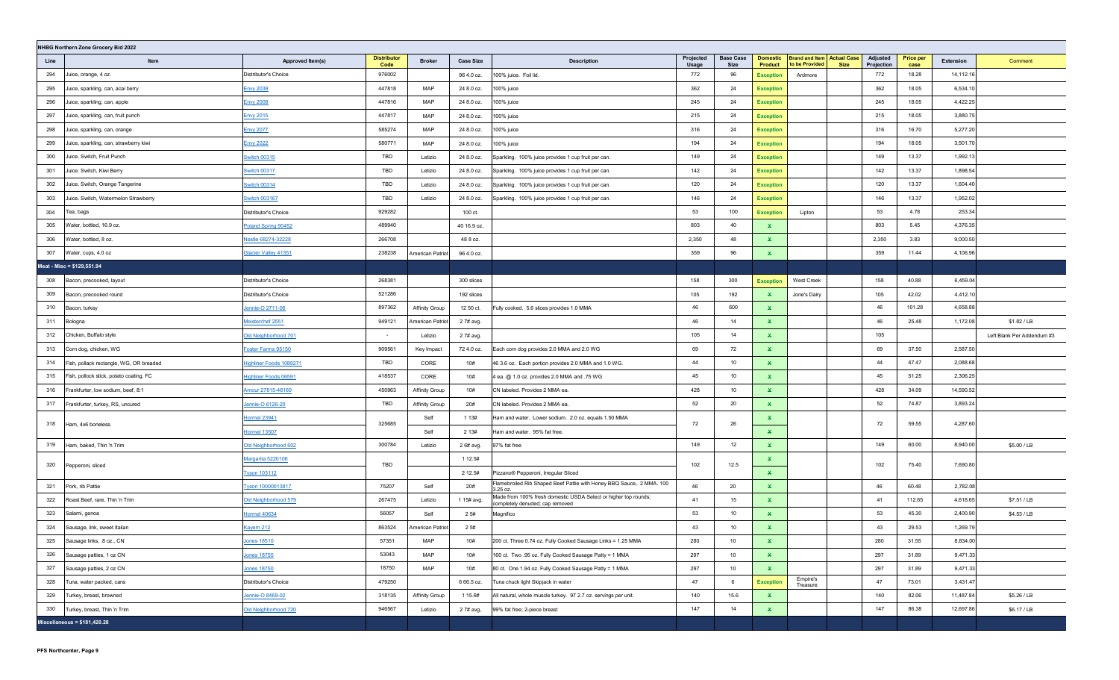|      | NHBG Northern Zone Grocery Bid 2022     |                             |                            |                       |                  |                                                                                                    |                    |                          |                                   |                                                     |             |                        |                          |           |                            |
|------|-----------------------------------------|-----------------------------|----------------------------|-----------------------|------------------|----------------------------------------------------------------------------------------------------|--------------------|--------------------------|-----------------------------------|-----------------------------------------------------|-------------|------------------------|--------------------------|-----------|----------------------------|
| Line | Item                                    | Approved Item(s)            | <b>Distributor</b><br>Code | <b>Broker</b>         | <b>Case Size</b> | <b>Description</b>                                                                                 | Projected<br>Usage | <b>Base Case</b><br>Size | <b>Domestic</b><br><b>Product</b> | <b>Brand and Item Actual Case</b><br>to be Provided | <b>Size</b> | Adjusted<br>Projection | <b>Price per</b><br>case | Extension | Comment                    |
| 294  | Juice, orange, 4 oz.                    | Distributor's Choice        | 976002                     |                       | 96 4.0 oz.       | 100% juice. Foil lid.                                                                              | 772                | 96                       | <b>Exception</b>                  | Ardmore                                             |             | 772                    | 18.28                    | 14,112.16 |                            |
| 295  | Juice, sparkling, can, acai berry       | <b>Envy 2039</b>            | 447818                     | MAP                   | 24 8.0 oz.       | 100% juice                                                                                         | 362                | 24                       | <b>Exception</b>                  |                                                     |             | 362                    | 18.05                    | 6,534.10  |                            |
| 296  | Juice, sparkling, can, apple            | <b>Envy 2008</b>            | 447816                     | MAP                   | 24 8.0 oz.       | 100% juice                                                                                         | 245                | 24                       | <b>Exception</b>                  |                                                     |             | 245                    | 18.05                    | 4,422.25  |                            |
| 297  | Juice, sparkling, can, fruit punch      | <b>Envy 2015</b>            | 447817                     | MAP                   | 24 8.0 oz.       | 100% juice                                                                                         | 215                | 24                       | <b>Exception</b>                  |                                                     |             | 215                    | 18.05                    | 3,880.75  |                            |
| 298  | Juice, sparkling, can, orange           | <b>Envy 2077</b>            | 585274                     | MAP                   | 24 8.0 oz.       | 100% juice                                                                                         | 316                | 24                       | <b>Exception</b>                  |                                                     |             | 316                    | 16.70                    | 5,277.20  |                            |
| 299  | Juice, sparkling, can, strawberry kiwi  | <b>Envy 2022</b>            | 580771                     | MAP                   | 24 8.0 oz.       | 100% juice                                                                                         | 194                | 24                       | <b>Exception</b>                  |                                                     |             | 194                    | 18.05                    | 3,501.70  |                            |
| 300  | Juice. Switch, Fruit Punch              | <b>Switch 00315</b>         | TBD                        | Letizio               | 24 8.0 oz.       | Sparkling. 100% juice provides 1 cup fruit per can.                                                | 149                | 24                       | <b>Exception</b>                  |                                                     |             | 149                    | 13.37                    | 1,992.13  |                            |
| 301  | Juice. Switch, Kiwi Berry               | <b>Switch 00317</b>         | TBD                        | Letizio               | 24 8.0 oz.       | Sparkling. 100% juice provides 1 cup fruit per can.                                                | 142                | 24                       | <b>Exception</b>                  |                                                     |             | 142                    | 13.37                    | 1,898.54  |                            |
| 302  | Juice. Switch, Orange Tangerine         | <b>Switch 00314</b>         | TBD                        | Letizio               | 24 8.0 oz.       | Sparkling. 100% juice provides 1 cup fruit per can.                                                | 120                | 24                       | <b>Exception</b>                  |                                                     |             | 120                    | 13.37                    | 1,604.40  |                            |
| 303  | Juice. Switch, Watermelon Strawberry    | Switch 003167               | TBD                        | Letizio               | 24 8.0 oz.       | Sparkling. 100% juice provides 1 cup fruit per can.                                                | 146                | 24                       | <b>Exception</b>                  |                                                     |             | 146                    | 13.37                    | 1,952.02  |                            |
| 304  | Tea, bags                               | Distributor's Choice        | 929282                     |                       | 100 ct.          |                                                                                                    | 53                 | 100                      | <b>Exception</b>                  | Lipton                                              |             | 53                     | 4.78                     | 253.34    |                            |
| 305  | Water, bottled, 16.9 oz.                | Poland Spring 90452         | 489940                     |                       | 40 16.9 oz.      |                                                                                                    | 803                | 40                       | ×.                                |                                                     |             | 803                    | 5.45                     | 4,376.35  |                            |
| 306  | Water, bottled, 8 oz.                   | Vestle 68274-32228          | 266708                     |                       | 48 8 oz.         |                                                                                                    | 2,350              | 48                       | $\mathbf{x}$                      |                                                     |             | 2,350                  | 3.83                     | 9,000.50  |                            |
| 307  | Water, cups, 4.0 oz                     | <b>Glacier Valley 41351</b> | 238238                     | American Patriot      | 96 4.0 oz.       |                                                                                                    | 359                | 96                       | $\mathbf{x}$                      |                                                     |             | 359                    | 11.44                    | 4,106.96  |                            |
|      | Meat - Misc = \$129,551.94              |                             |                            |                       |                  |                                                                                                    |                    |                          |                                   |                                                     |             |                        |                          |           |                            |
| 308  | Bacon, precooked, layout                | Distributor's Choice        | 268381                     |                       | 300 slices       |                                                                                                    | 158                | 300                      | <b>Exception</b>                  | <b>West Creek</b>                                   |             | 158                    | 40.88                    | 6,459.04  |                            |
| 309  | Bacon, precooked round                  | Distributor's Choice        | 521286                     |                       | 192 slices       |                                                                                                    | 105                | 192                      | $\mathbf{x}$                      | Jone's Dairy                                        |             | 105                    | 42.02                    | 4,412.10  |                            |
| 310  | Bacon, turkey                           | Jennie-O 2711-06            | 897362                     | <b>Affinity Group</b> | 12 50 ct.        | Fully cooked. 5.6 slices provides 1.0 MMA                                                          | 46                 | 600                      | ×.                                |                                                     |             | 46                     | 101.28                   | 4,658.88  |                            |
| 311  | Bologna                                 | Meisterchef 2551            | 949121                     | American Patriot      | 2 7# avg.        |                                                                                                    | 46                 | 14                       | $\mathbf{x}$                      |                                                     |             | 46                     | 25.48                    | 1,172.08  | \$1.82 / LB                |
| 312  | Chicken, Buffalo style                  | Old Neighborhood 701        | $\sim$                     | Letizio               | 2 7# avg.        |                                                                                                    | 105                | 14                       | $\mathbf{x}$                      |                                                     |             | 105                    |                          |           | Left Blank Per Addendum #3 |
| 313  | Corn dog, chicken, WG                   | Foster Farms 95150          | 909561                     | Key Impact            | 72 4.0 oz.       | Each corn dog provides 2.0 MMA and 2.0 WG                                                          | 69                 | 72                       | $\mathbf{x}$                      |                                                     |             | 69                     | 37.50                    | 2,587.50  |                            |
| 314  | Fish, pollack rectangle, WG, OR breaded | Highliner Foods 1089271     | TBD                        | CORE                  | 10#              | 46 3.6 oz. Each portion provides 2.0 MMA and 1.0 WG.                                               | 44                 | 10                       | $\mathbf{x}$                      |                                                     |             | 44                     | 47.47                    | 2,088.68  |                            |
| 315  | Fish, pollock stick, potato coating, FC | Highliner Foods 06591       | 418537                     | CORE                  | 10#              | 4 ea. @ 1.0 oz. provides 2.0 MMA and .75 WG                                                        | 45                 | 10                       | $\mathbf{x}$                      |                                                     |             | 45                     | 51.25                    | 2,306.25  |                            |
| 316  | Frankfurter, low sodium, beef, 8:1      | Amour 27815-48169           | 450963                     | Affinity Group        | 10#              | CN labeled. Provides 2 MMA ea.                                                                     | 428                | 10                       | $\mathbf{x}$                      |                                                     |             | 428                    | 34.09                    | 14,590.52 |                            |
| 317  | Frankfurter, turkey, RS, uncured        | Jennie-O 6126-20            | TBD                        | Affinity Group        | 20#              | CN labeled. Provides 2 MMA ea.                                                                     | 52                 | 20                       | $\mathbf{x}$                      |                                                     |             | 52                     | 74.87                    | 3,893.24  |                            |
| 318  | Ham, 4x6 boneless.                      | Hormel 23941                | 325685                     | Self                  | 1 1 3 #          | Ham and water. Lower sodium. 2.0 oz. equals 1.50 MMA                                               | 72                 | 26                       | $\mathbf{x}$                      |                                                     |             | 72                     | 59.55                    | 4,287.60  |                            |
|      |                                         | <b>Hormel 13507</b>         |                            | Self                  | 2 1 3 #          | Ham and water. 95% fat free.                                                                       |                    |                          | $\mathbf{x}$                      |                                                     |             |                        |                          |           |                            |
| 319  | Ham, baked, Thin 'n Trim                | Old Neighborhood 602        | 300784                     | Letizio               | 2 6# avg.        | 97% fat free                                                                                       | 149                | 12                       | $\mathbf{x}$                      |                                                     |             | 149                    | 60.00                    | 8,940.00  | \$5.00 / LB                |
| 320  | Pepperoni, sliced                       | Margarita 5220106           | TBD                        |                       | 1 12.5#          |                                                                                                    | 102                | 12.5                     | ×.                                |                                                     |             | 102                    | 75.40                    | 7,690.80  |                            |
|      |                                         | <b>Tyson 103112</b>         |                            |                       | 2 12.5#          | Pizzano® Pepperoni, Irregular Sliced                                                               |                    |                          | $\mathbf{x}$                      |                                                     |             |                        |                          |           |                            |
| 321  | Pork, rib Pattie                        | Tyson 10000013817           | 75207                      | Self                  | 20#              | Flamebroiled Rib Shaped Beef Pattie with Honey BBQ Sauce,. 2 MMA. 100<br>3.25 oz.                  | 46                 | 20                       | $\mathbf{x}$                      |                                                     |             | 46                     | 60.48                    | 2,782.08  |                            |
| 322  | Roast Beef, rare, Thin 'n Trim          | Old Neighborhood 579        | 267475                     | Letizio               | 1 15# avg.       | Made from 100% fresh domestic USDA Select or higher top rounds;<br>completely denuded; cap removed | 41                 | 15                       | $\mathbf{x}$                      |                                                     |             | 41                     | 112.65                   | 4,618.65  | \$7.51 / LB                |
| 323  | Salami, genoa                           | <b>Hormel 40634</b>         | 56057                      | Self                  | 25#              | Magnifico                                                                                          | 53                 | 10                       | $\mathbf{x}$                      |                                                     |             | 53                     | 45.30                    | 2,400.90  | \$4.53 / LB                |
| 324  | Sausage, link, sweet Italian            | <b>Kayem 212</b>            | 863524                     | American Patriot      | 25#              |                                                                                                    | 43                 | 10                       | $\mathbf x$                       |                                                     |             | 43                     | 29.53                    | 1,269.79  |                            |
| 325  | Sausage links, .8 oz., CN               | Jones 18510                 | 57351                      | MAP                   | 10#              | 200 ct. Three 0.74 oz. Fully Cooked Sausage Links = 1.25 MMA                                       | 280                | 10                       | ×.                                |                                                     |             | 280                    | 31.55                    | 8,834.00  |                            |
| 326  | Sausage patties, 1 oz CN                | Jones 18755                 | 53043                      | MAP                   | 10#              | 160 ct. Two .95 oz. Fully Cooked Sausage Patty = 1 MMA                                             | 297                | 10                       | $\mathbf{x}$                      |                                                     |             | 297                    | 31.89                    | 9,471.33  |                            |
| 327  | Sausage patties, 2 oz CN                | <b>Jones 18750</b>          | 18750                      | MAP                   | 10#              | 80 ct. One 1.94 oz. Fully Cooked Sausage Patty = 1 MMA                                             | 297                | 10                       | $\mathbf{x}$                      |                                                     |             | 297                    | 31.89                    | 9,471.33  |                            |
| 328  | Tuna, water packed, cans                | Distributor's Choice        | 479250                     |                       | 6 66.5 oz.       | Tuna chuck light Skipjack in water                                                                 | 47                 | 6                        | <b>Exception</b>                  | Empire's<br>Treasure                                |             | 47                     | 73.01                    | 3,431.47  |                            |
| 329  | Turkey, breast, browned                 | Jennie-O 8469-02            | 318135                     | Affinity Group        | 1 15.6#          | All natural, whole muscle turkey. 97 2.7 oz. servings per unit.                                    | 140                | 15.6                     | $\mathbf{x}$                      |                                                     |             | 140                    | 82.06                    | 11,487.84 | \$5.26 / LB                |
| 330  | Turkey, breast, Thin 'n Trim            | Old Neighborhood 720        | 946567                     | Letizio               | 2 7# avg,        | 99% fat free; 2-piece breast                                                                       | 147                | 14                       | $\mathbf{x}$                      |                                                     |             | 147                    | 86.38                    | 12,697.86 | \$6.17 / LB                |
|      | Miscellaneous = $$181,420.28$           |                             |                            |                       |                  |                                                                                                    |                    |                          |                                   |                                                     |             |                        |                          |           |                            |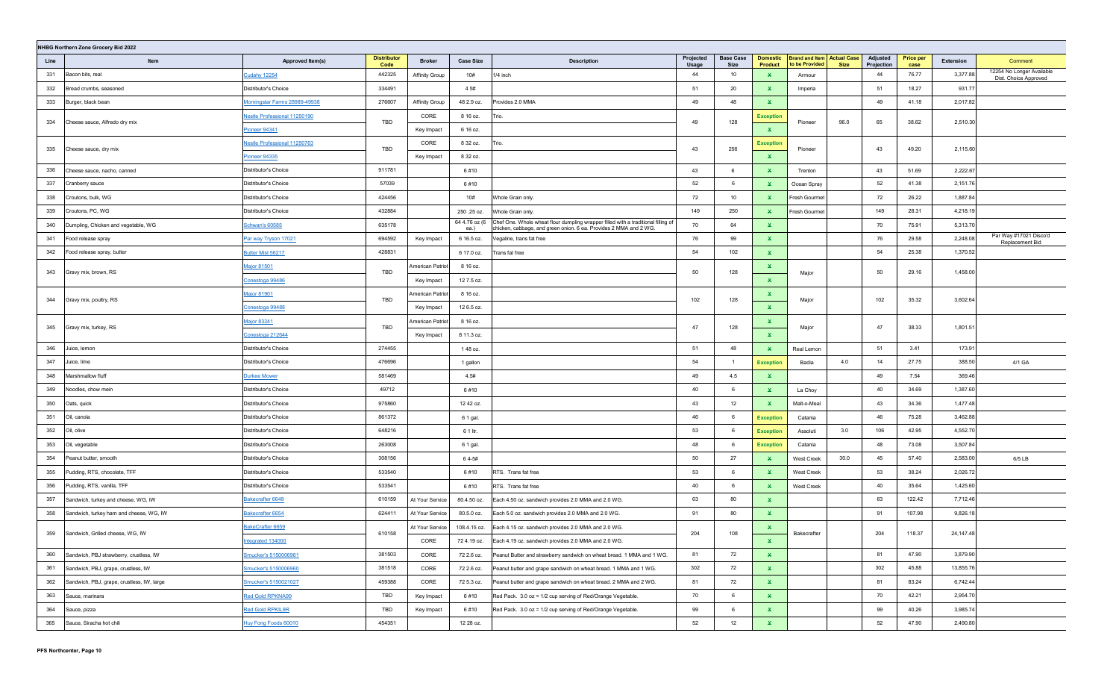|      | NHBG Northern Zone Grocery Bid 2022        |                                     |                            |                       |                       |                                                                                                                                                        |                    |                          |                                   |                                                     |             |                        |                          |            |                                                    |
|------|--------------------------------------------|-------------------------------------|----------------------------|-----------------------|-----------------------|--------------------------------------------------------------------------------------------------------------------------------------------------------|--------------------|--------------------------|-----------------------------------|-----------------------------------------------------|-------------|------------------------|--------------------------|------------|----------------------------------------------------|
| Line | Item                                       | Approved Item(s)                    | <b>Distributor</b><br>Code | <b>Broker</b>         | <b>Case Size</b>      | <b>Description</b>                                                                                                                                     | Projected<br>Usage | <b>Base Case</b><br>Size | <b>Domestic</b><br><b>Product</b> | <b>Brand and Item Actual Case</b><br>to be Provided | <b>Size</b> | Adjusted<br>Projection | <b>Price per</b><br>case | Extension  | Comment                                            |
| 331  | Bacon bits, real                           | <b>Cudahy 12254</b>                 | 442325                     | Affinity Group        | 10#                   | 1/4 inch                                                                                                                                               | 44                 | 10                       | $\mathbf{x}$                      | Armour                                              |             | 44                     | 76.77                    | 3,377.88   | 12254 No Longer Available<br>Dist. Choice Approved |
| 332  | Bread crumbs, seasoned                     | Distributor's Choice                | 334491                     |                       | 4 5#                  |                                                                                                                                                        | 51                 | 20                       | ×.                                | Imperia                                             |             | 51                     | 18.27                    | 931.77     |                                                    |
| 333  | Burger, black bean                         | Morningstar Farms 28989-49938       | 276607                     | <b>Affinity Group</b> | 48 2.9 oz.            | Provides 2.0 MMA                                                                                                                                       | 49                 | 48                       | $\mathbf{x}$                      |                                                     |             | 49                     | 41.18                    | 2,017.82   |                                                    |
|      |                                            | <b>Nestle Professional 11250190</b> | TBD                        | CORE                  | 8 16 oz.              | Trio.                                                                                                                                                  | 49                 | 128                      | <b>Exception</b>                  |                                                     | 96.0        | 65                     | 38.62                    | 2,510.30   |                                                    |
| 334  | Cheese sauce, Alfredo dry mix              | <u>Pioneer 94341</u>                |                            | Key Impact            | 6 16 oz.              |                                                                                                                                                        |                    |                          | $\mathbf{x}$                      | Pioneer                                             |             |                        |                          |            |                                                    |
| 335  |                                            | Nestle Professional 11250763        | TBD                        | CORE                  | 8 32 oz.              | Trio.                                                                                                                                                  | 43                 |                          | <b>Exception</b>                  |                                                     |             | 43                     |                          | 2,115.60   |                                                    |
|      | Cheese sauce, dry mix                      | Pioneer 94335                       |                            | Key Impact            | 8 32 oz.              |                                                                                                                                                        |                    | 256                      | $\mathbf x$                       | Pioneer                                             |             |                        | 49.20                    |            |                                                    |
| 336  | Cheese sauce, nacho, canned                | Distributor's Choice                | 911781                     |                       | 6#10                  |                                                                                                                                                        | 43                 | 6                        | $\mathbf{x}$                      | Trenton                                             |             | 43                     | 51.69                    | 2,222.67   |                                                    |
| 337  | Cranberry sauce                            | Distributor's Choice                | 57039                      |                       | 6#10                  |                                                                                                                                                        | 52                 | 6                        | $\mathbf{x}$                      | Ocean Spray                                         |             | 52                     | 41.38                    | 2,151.76   |                                                    |
| 338  | Croutons, bulk, WG                         | Distributor's Choice                | 424456                     |                       | 10#                   | Whole Grain only.                                                                                                                                      | 72                 | 10                       | ×.                                | Fresh Gourmet                                       |             | 72                     | 26.22                    | 1,887.84   |                                                    |
| 339  | Croutons, PC, WG                           | Distributor's Choice                | 432884                     |                       | 250 .25 oz.           | Whole Grain only.                                                                                                                                      | 149                | 250                      | $\mathbf{x}$                      | Fresh Gourme                                        |             | 149                    | 28.31                    | 4,218.19   |                                                    |
| 340  | Dumpling, Chicken and vegetable, WG        | Schwan's 60585                      | 635178                     |                       | 64 4.76 oz (6<br>ea.) | Chef One. Whole wheat flour dumpling wrapper filled with a traditional filling of<br>chicken, cabbage, and green onion. 6 ea. Provides 2 MMA and 2 WG. | 70                 | 64                       | ×                                 |                                                     |             | 70                     | 75.91                    | 5,313.70   |                                                    |
| 341  | Food release spray                         | <u>Par way Tryson 17021</u>         | 694592                     | Key Impact            | 6 16.5 oz.            | Vegaline, trans fat free                                                                                                                               | 76                 | 99                       | $\mathbf x$                       |                                                     |             | 76                     | 29.58                    | 2,248.08   | Par Way #17021 Disco'd<br>Replacement Bid          |
| 342  | Food release spray, butter                 | Butter Mist 56217                   | 428831                     |                       | 6 17.0 oz.            | Trans fat free                                                                                                                                         | 54                 | 102                      | $\mathbf{x}$                      |                                                     |             | 54                     | 25.38                    | 1,370.52   |                                                    |
|      |                                            | Major 81501                         |                            | American Patriot      | 8 16 oz.              |                                                                                                                                                        |                    |                          | $\mathbf{x}$                      |                                                     |             |                        |                          |            |                                                    |
| 343  | Gravy mix, brown, RS                       | <u>Conestoga 99486</u>              | TBD                        | Key Impact            | 12 7.5 oz.            |                                                                                                                                                        | 50                 | 128                      | $\mathbf{x}$                      | Major                                               |             | 50                     | 29.16                    | 1,458.00   |                                                    |
|      |                                            | <u>Major 81901</u>                  |                            | American Patriot      | 8 16 oz.              |                                                                                                                                                        |                    |                          | ×                                 |                                                     |             |                        |                          |            |                                                    |
| 344  | Gravy mix, poultry, RS                     | Conestoga 99488                     | TBD                        | Key Impact            | 12 6.5 oz.            |                                                                                                                                                        | 102                | 128                      | $\mathbf{x}$                      | Major                                               |             | 102                    | 35.32                    | 3,602.64   |                                                    |
|      |                                            | Major 83241                         |                            | American Patriot      | 8 16 oz.              |                                                                                                                                                        |                    |                          | ×                                 |                                                     |             |                        |                          |            |                                                    |
| 345  | Gravy mix, turkey, RS                      | Conestoga 212644                    | TBD                        | Key Impact            | 8 11.3 oz.            |                                                                                                                                                        | 47                 | 128                      | $\mathbf{x}$                      | Major                                               |             | 47                     | 38.33                    | 1,801.51   |                                                    |
| 346  | Juice, lemon                               | Distributor's Choice                | 274455                     |                       | 148 oz.               |                                                                                                                                                        | 51                 | 48                       | ×.                                | Real Lemon                                          |             | 51                     | 3.41                     | 173.91     |                                                    |
| 347  | Juice, lime                                | Distributor's Choice                | 476696                     |                       | 1 gallon              |                                                                                                                                                        | 54                 | $\overline{1}$           | <b>Exception</b>                  | Badia                                               | 4.0         | 14                     | 27.75                    | 388.50     | 4/1 GA                                             |
| 348  | Marshmallow fluff                          | Durkee Mower                        | 581469                     |                       | 4.5#                  |                                                                                                                                                        | 49                 | 4.5                      | ×.                                |                                                     |             | 49                     | 7.54                     | 369.46     |                                                    |
| 349  | Noodles, chow mein                         | Distributor's Choice                | 49712                      |                       | 6#10                  |                                                                                                                                                        | 40                 | 6                        | $\mathbf{x}$                      | La Choy                                             |             | 40                     | 34.69                    | 1,387.60   |                                                    |
| 350  | Oats, quick                                | Distributor's Choice                | 975860                     |                       | 12 42 oz.             |                                                                                                                                                        | 43                 | 12                       | ×.                                | Malt-o-Meal                                         |             | 43                     | 34.36                    | 1,477.48   |                                                    |
| 351  | Oil, canola                                | Distributor's Choice                | 861372                     |                       | 6 1 gal.              |                                                                                                                                                        | 46                 | 6                        | <b>Exception</b>                  | Catania                                             |             | 46                     | 75.28                    | 3,462.88   |                                                    |
| 352  | Oil, olive                                 | Distributor's Choice                | 648216                     |                       | 6 1 ltr.              |                                                                                                                                                        | 53                 | 6                        | <b>Exception</b>                  | Assoluti                                            | 3.0         | 106                    | 42.95                    | 4,552.70   |                                                    |
| 353  | Oil, vegetable                             | Distributor's Choice                | 263008                     |                       | 6 1 gal.              |                                                                                                                                                        | 48                 | 6                        | <b>Exception</b>                  | Catania                                             |             | 48                     | 73.08                    | 3,507.84   |                                                    |
| 354  | Peanut butter, smooth                      | Distributor's Choice                | 308156                     |                       | 64-5#                 |                                                                                                                                                        | 50                 | 27                       | ×.                                | West Creek                                          | 30.0        | 45                     | 57.40                    | 2,583.00   | 6/5 LB                                             |
| 355  | Pudding, RTS, chocolate, TFF               | Distributor's Choice                | 533540                     |                       | 6#10                  | RTS. Trans fat free                                                                                                                                    | 53                 | 6                        | ×.                                | West Creek                                          |             | 53                     | 38.24                    | 2,026.72   |                                                    |
| 356  | Pudding, RTS, vanilla, TFF                 | Distributor's Choice                | 533541                     |                       | 6#10                  | RTS. Trans fat free                                                                                                                                    | 40                 | 6                        | ×.                                | West Creek                                          |             | 40                     | 35.64                    | 1,425.60   |                                                    |
| 357  | Sandwich, turkey and cheese, WG, IW        | Bakecrafter 6648                    | 610159                     | At Your Service       | 80.4.50 oz.           | Each 4.50 oz. sandwich provides 2.0 MMA and 2.0 WG.                                                                                                    | 63                 | 80                       | $\mathbf{x}$                      |                                                     |             | 63                     | 122.42                   | 7,712.46   |                                                    |
| 358  | Sandwich, turkey ham and cheese, WG, IW    | <u>Bakecrafter 6654</u>             | 624411                     | At Your Service       | 80.5.0 oz.            | Each 5.0 oz. sandwich provides 2.0 MMA and 2.0 WG.                                                                                                     | 91                 | 80                       | ×.                                |                                                     |             | 91                     | 107.98                   | 9,826.18   |                                                    |
| 359  | Sandwich, Grilled cheese, WG, IW           | BakeCrafter 6659                    | 610158                     | At Your Service       | 108.4.15 oz.          | Each 4.15 oz. sandwich provides 2.0 MMA and 2.0 WG.                                                                                                    | 204                | 108                      | ×.                                |                                                     |             | 204                    | 118.37                   | 24, 147.48 |                                                    |
|      |                                            | tegrated 134000                     |                            | CORE                  | 72 4.19 oz.           | Each 4.19 oz. sandwich provides 2.0 MMA and 2.0 WG.                                                                                                    |                    |                          | $\mathbf{x}$                      | Bakecrafter                                         |             |                        |                          |            |                                                    |
| 360  | Sandwich, PBJ strawberry, crustless, IW    | Smucker's 5150006961                | 381503                     | CORE                  | 72 2.6 oz.            | Peanut Butter and strawberry sandwich on wheat bread. 1 MMA and 1 WG.                                                                                  | 81                 | 72                       | $\mathbf{x}$                      |                                                     |             | 81                     | 47.90                    | 3,879.90   |                                                    |
| 361  | Sandwich, PBJ, grape, crustless, IW        | Smucker's 5150006960                | 381518                     | CORE                  | 72 2.6 oz.            | Peanut butter and grape sandwich on wheat bread. 1 MMA and 1 WG.                                                                                       | 302                | 72                       | $\mathbf{x}$                      |                                                     |             | 302                    | 45.88                    | 13,855.76  |                                                    |
| 362  | Sandwich, PBJ, grape, crustless, IW, large | Smucker's 5150021027                | 459388                     | CORE                  | 72 5.3 oz.            | Peanut butter and grape sandwich on wheat bread. 2 MMA and 2 WG.                                                                                       | 81                 | 72                       | $\mathbf{x}$                      |                                                     |             | 81                     | 83.24                    | 6,742.44   |                                                    |
| 363  | Sauce, marinara                            | Red Gold RPKNA99                    | TBD                        | Key Impact            | 6#10                  | Red Pack. 3.0 oz = 1/2 cup serving of Red/Orange Vegetable.                                                                                            | 70                 | $6\phantom{.}6$          | $\mathbf{x}$                      |                                                     |             | 70                     | 42.21                    | 2,954.70   |                                                    |
| 364  | Sauce, pizza                               | <b>Red Gold RPKIL9R</b>             | TBD                        | Key Impact            | 6#10                  | Red Pack. 3.0 oz = 1/2 cup serving of Red/Orange Vegetable.                                                                                            | 99                 | 6                        | $\mathbf{x}$                      |                                                     |             | 99                     | 40.26                    | 3,985.74   |                                                    |
| 365  | Sauce, Siracha hot chili                   | <b>Huy Fong Foods 60010</b>         | 454351                     |                       | 12 28 oz.             |                                                                                                                                                        | 52                 | 12                       | $\mathbf{x}$                      |                                                     |             | 52                     | 47.90                    | 2,490.80   |                                                    |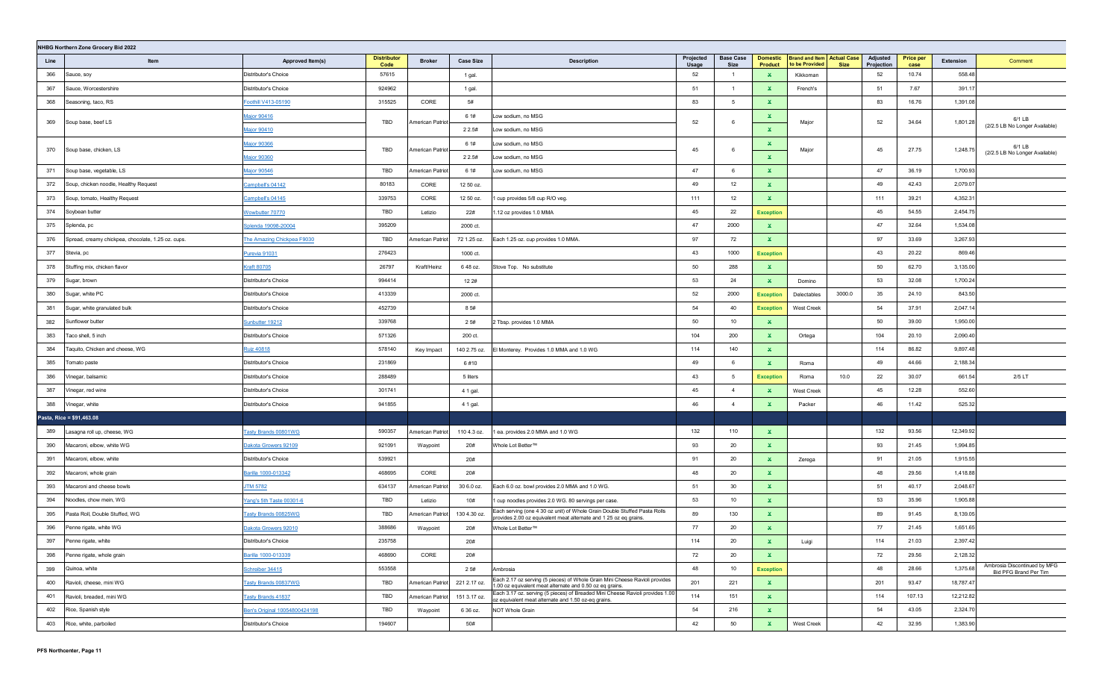|      | NHBG Northern Zone Grocery Bid 2022                |                               |                            |                  |                  |                                                                                                                                                |                    |                          |                                   |                                                                    |                        |                          |           |                                                       |
|------|----------------------------------------------------|-------------------------------|----------------------------|------------------|------------------|------------------------------------------------------------------------------------------------------------------------------------------------|--------------------|--------------------------|-----------------------------------|--------------------------------------------------------------------|------------------------|--------------------------|-----------|-------------------------------------------------------|
| Line | Item                                               | Approved Item(s)              | <b>Distributor</b><br>Code | <b>Broker</b>    | <b>Case Size</b> | <b>Description</b>                                                                                                                             | Projected<br>Usage | <b>Base Case</b><br>Size | <b>Domestic</b><br><b>Product</b> | <b>Brand and Item Actual Case</b><br>to be Provided<br><b>Size</b> | Adjusted<br>Projection | <b>Price per</b><br>case | Extension | Comment                                               |
| 366  | Sauce, soy                                         | Distributor's Choice          | 57615                      |                  | 1 gal.           |                                                                                                                                                | 52                 | $\overline{1}$           | $\mathbf{x}$                      | Kikkoman                                                           | 52                     | 10.74                    | 558.48    |                                                       |
| 367  | Sauce, Worcestershire                              | Distributor's Choice          | 924962                     |                  | 1 gal.           |                                                                                                                                                | 51                 | $\overline{1}$           | ×.                                | French's                                                           | 51                     | 7.67                     | 391.17    |                                                       |
| 368  | Seasoning, taco, RS                                | Foothill V413-05190           | 315525                     | CORE             | 5#               |                                                                                                                                                | 83                 | 5                        | $\mathbf{x}$                      |                                                                    | 83                     | 16.76                    | 1,391.08  |                                                       |
| 369  | Soup base, beef LS                                 | Major 90416                   | TBD                        | American Patriot | 6 1#             | Low sodium, no MSG                                                                                                                             | 52                 | 6                        | $\mathbf{x}$                      | Major                                                              | 52                     | 34.64                    | 1,801.28  | 6/1 LB                                                |
|      |                                                    | Major 90410                   |                            |                  | 2 2.5#           | Low sodium, no MSG                                                                                                                             |                    |                          | $\mathbf{x}$                      |                                                                    |                        |                          |           | (2/2.5 LB No Longer Available)                        |
| 370  | Soup base, chicken, LS                             | Major 90366                   | TBD                        | American Patriot | 6 1#             | Low sodium, no MSG                                                                                                                             | 45                 | 6                        | ×.                                | Major                                                              | 45                     | 27.75                    | 1,248.75  | 6/1 LB                                                |
|      |                                                    | Major 90360                   |                            |                  | 2 2.5#           | Low sodium, no MSG                                                                                                                             |                    |                          | $\mathbf{x}$                      |                                                                    |                        |                          |           | (2/2.5 LB No Longer Available)                        |
| 371  | Soup base, vegetable, LS                           | Major 90546                   | TBD                        | American Patriot | 6 1#             | Low sodium, no MSG                                                                                                                             | 47                 | 6                        | $\mathbf{x}$                      |                                                                    | 47                     | 36.19                    | 1,700.93  |                                                       |
| 372  | Soup, chicken noodle, Healthy Request              | Campbell's 04142              | 80183                      | CORE             | 12 50 oz.        |                                                                                                                                                | 49                 | 12                       | $\mathbf{x}$                      |                                                                    | 49                     | 42.43                    | 2,079.07  |                                                       |
| 373  | Soup, tomato, Healthy Request                      | Campbell's 04145              | 339753                     | CORE             | 12 50 oz.        | cup provides 5/8 cup R/O veg.                                                                                                                  | 111                | 12                       | $\mathbf{x}$                      |                                                                    | 111                    | 39.21                    | 4,352.31  |                                                       |
| 374  | Soybean butter                                     | Nowbutter 70770               | TBD                        | Letizio          | 22#              | .12 oz provides 1.0 MMA                                                                                                                        | 45                 | 22                       | <b>Exception</b>                  |                                                                    | 45                     | 54.55                    | 2,454.75  |                                                       |
| 375  | Splenda, pc                                        | Splenda 19098-20004           | 395209                     |                  | 2000 ct.         |                                                                                                                                                | 47                 | 2000                     | ×.                                |                                                                    | 47                     | 32.64                    | 1,534.08  |                                                       |
| 376  | Spread, creamy chickpea, chocolate, 1.25 oz. cups. | The Amazing Chickpea F9030    | TBD                        | American Patriot | 72 1.25 oz.      | Each 1.25 oz. cup provides 1.0 MMA.                                                                                                            | 97                 | 72                       | ×.                                |                                                                    | 97                     | 33.69                    | 3,267.93  |                                                       |
| 377  | Stevia, pc                                         | <u>Purevia 91031</u>          | 276423                     |                  | 1000 ct.         |                                                                                                                                                | 43                 | 1000                     | <b>Exception</b>                  |                                                                    | 43                     | 20.22                    | 869.46    |                                                       |
| 378  | Stuffing mix, chicken flavor                       | <u> Kraft 80705</u>           | 26797                      | Kraft/Heinz      | 648 oz.          | Stove Top. No substitute                                                                                                                       | 50                 | 288                      | ×.                                |                                                                    | 50                     | 62.70                    | 3,135.00  |                                                       |
| 379  | Sugar, brown                                       | Distributor's Choice          | 994414                     |                  | 12 2#            |                                                                                                                                                | 53                 | 24                       | ×.                                | Domino                                                             | 53                     | 32.08                    | 1,700.24  |                                                       |
| 380  | Sugar, white PC                                    | Distributor's Choice          | 413339                     |                  | 2000 ct.         |                                                                                                                                                | 52                 | 2000                     | <b>Exception</b>                  | 3000.0<br>Delectables                                              | 35                     | 24.10                    | 843.50    |                                                       |
| 381  | Sugar, white granulated bulk                       | Distributor's Choice          | 452739                     |                  | 85#              |                                                                                                                                                | 54                 | 40                       | <b>Exception</b>                  | <b>West Creek</b>                                                  | 54                     | 37.91                    | 2,047.14  |                                                       |
| 382  | Sunflower butter                                   | Sunbutter 19212               | 339768                     |                  | 2 5#             | ? Tbsp. provides 1.0 MMA                                                                                                                       | 50                 | 10                       | X.                                |                                                                    | 50                     | 39.00                    | 1,950.00  |                                                       |
| 383  | Taco shell, 5 inch                                 | Distributor's Choice          | 571326                     |                  | 200 ct.          |                                                                                                                                                | 104                | 200                      | ×.                                | Ortega                                                             | 104                    | 20.10                    | 2,090.40  |                                                       |
| 384  | Taquito, Chicken and cheese, WG                    | <b>Ruiz 40818</b>             | 578140                     | Key Impact       | 140 2.75 oz.     | El Monterey. Provides 1.0 MMA and 1.0 WG                                                                                                       | 114                | 140                      | ×.                                |                                                                    | 114                    | 86.82                    | 9,897.48  |                                                       |
| 385  | Tomato paste                                       | Distributor's Choice          | 231869                     |                  | 6#10             |                                                                                                                                                | 49                 | 6                        | $\mathbf{x}$                      | Roma                                                               | 49                     | 44.66                    | 2,188.34  |                                                       |
| 386  | Vinegar, balsamic                                  | Distributor's Choice          | 288489                     |                  | 5 liters         |                                                                                                                                                | 43                 | 5                        | <b>Exception</b>                  | 10.0<br>Roma                                                       | 22                     | 30.07                    | 661.54    | $2/5$ LT                                              |
| 387  | Vinegar, red wine                                  | Distributor's Choice          | 301741                     |                  | 4 1 gal.         |                                                                                                                                                | 45                 | $\overline{4}$           | ×.                                | West Creek                                                         | 45                     | 12.28                    | 552.60    |                                                       |
| 388  | Vinegar, white                                     | Distributor's Choice          | 941855                     |                  | 4 1 gal.         |                                                                                                                                                | 46                 | $\overline{4}$           | $\mathbf x$                       | Packer                                                             | 46                     | 11.42                    | 525.32    |                                                       |
|      | Pasta, Rice = \$91,463.08                          |                               |                            |                  |                  |                                                                                                                                                |                    |                          |                                   |                                                                    |                        |                          |           |                                                       |
| 389  | Lasagna roll up, cheese, WG                        | <b>Tasty Brands 00801WG</b>   | 590357                     | American Patriot | 110 4.3 oz.      | ea. provides 2.0 MMA and 1.0 WG                                                                                                                | 132                | 110                      | ×.                                |                                                                    | 132                    | 93.56                    | 12,349.92 |                                                       |
| 390  | Macaroni, elbow, white WG                          | Dakota Growers 92109          | 921091                     | Waypoint         | 20#              | Whole Lot Better™                                                                                                                              | 93                 | 20                       | ×.                                |                                                                    | 93                     | 21.45                    | 1,994.85  |                                                       |
| 391  | Macaroni, elbow, white                             | Distributor's Choice          | 539921                     |                  | 20#              |                                                                                                                                                | 91                 | 20                       | $\mathbf x$                       | Zerega                                                             | 91                     | 21.05                    | 1,915.55  |                                                       |
| 392  | Macaroni, whole grain                              | Barilla 1000-013342           | 468695                     | CORE             | 20#              |                                                                                                                                                | 48                 | 20                       | $\mathbf{x}$                      |                                                                    | 48                     | 29.56                    | 1,418.88  |                                                       |
| 393  | Macaroni and cheese bowls                          | <u>JTM 5782</u>               | 634137                     | American Patrio  | 30 6.0 oz.       | Each 6.0 oz. bowl provides 2.0 MMA and 1.0 WG.                                                                                                 | 51                 | 30                       | $\mathbf x$                       |                                                                    | 51                     | 40.17                    | 2,048.67  |                                                       |
| 394  | Noodles, chow mein, WG                             | Yang's 5th Taste 00301-6      | TBD                        | Letizio          | 10#              | cup noodles provides 2.0 WG. 80 servings per case.                                                                                             | 53                 | 10                       | ×.                                |                                                                    | 53                     | 35.96                    | 1,905.88  |                                                       |
| 395  | Pasta Roll, Double Stuffed, WG                     | <u>Tasty Brands 00825WG</u>   | TBD                        | American Patriot | 130 4.30 oz.     | Each serving (one 4 30 oz unit) of Whole Grain Double Stuffed Pasta Rolls<br>provides 2.00 oz equivalent meat alternate and 1 25 oz eq grains. | 89                 | 130                      | $\mathbf{x}$                      |                                                                    | 89                     | 91.45                    | 8,139.05  |                                                       |
| 396  | Penne rigate, white WG                             | <u>Dakota Growers 92010</u>   | 388686                     | Waypoint         | 20#              | Whole Lot Better™                                                                                                                              | 77                 | 20                       | $\mathbf{x}$                      |                                                                    | 77                     | 21.45                    | 1,651.65  |                                                       |
| 397  | Penne rigate, white                                | Distributor's Choice          | 235758                     |                  | 20#              |                                                                                                                                                | 114                | 20                       |                                   | Luigi                                                              | 114                    | 21.03                    | 2,397.42  |                                                       |
| 398  | Penne rigate, whole grain                          | Barilla 1000-013339           | 468690                     | CORE             | 20#              |                                                                                                                                                | 72                 | 20                       | $\mathbf{x}$                      |                                                                    | 72                     | 29.56                    | 2,128.32  |                                                       |
| 399  | Quinoa, white                                      | Schreiber 34415               | 553558                     |                  | 2 5#             | Ambrosia                                                                                                                                       | 48                 | 10                       | <b>Exception</b>                  |                                                                    | 48                     | 28.66                    | 1,375.68  | Ambrosia Discontinued by MFG<br>Bid PFG Brand Per Tim |
| 400  | Ravioli, cheese, mini WG                           | Tasty Brands 00837WG          | TBD                        | American Patriot | 221 2.17 oz.     | Each 2.17 oz serving (5 pieces) of Whole Grain Mini Cheese Ravioli provides<br>1.00 oz equivalent meat alternate and 0.50 oz eq grains.        | 201                | 221                      | $\mathbf{x}$                      |                                                                    | 201                    | 93.47                    | 18,787.47 |                                                       |
| 401  | Ravioli, breaded, mini WG                          | <b>Tasty Brands 41837</b>     | TBD                        | American Patriot | 151 3.17 oz.     | Each 3.17 oz. serving (5 pieces) of Breaded Mini Cheese Ravioli provides 1.00<br>oz equivalent meat alternate and 1.50 oz-eq grains.           | 114                | 151                      | $\mathbf{x}$                      |                                                                    | 114                    | 107.13                   | 12,212.82 |                                                       |
| 402  | Rice, Spanish style                                | Ben's Original 10054800424198 | TBD                        | Waypoint         | 6 36 oz.         | NOT Whole Grain                                                                                                                                | 54                 | 216                      | $\mathbf{x}$                      |                                                                    | 54                     | 43.05                    | 2,324.70  |                                                       |
| 403  | Rice, white, parboiled                             | Distributor's Choice          | 194607                     |                  | 50#              |                                                                                                                                                | 42                 | 50                       | $\mathbf{x}$                      | West Creek                                                         | 42                     | 32.95                    | 1,383.90  |                                                       |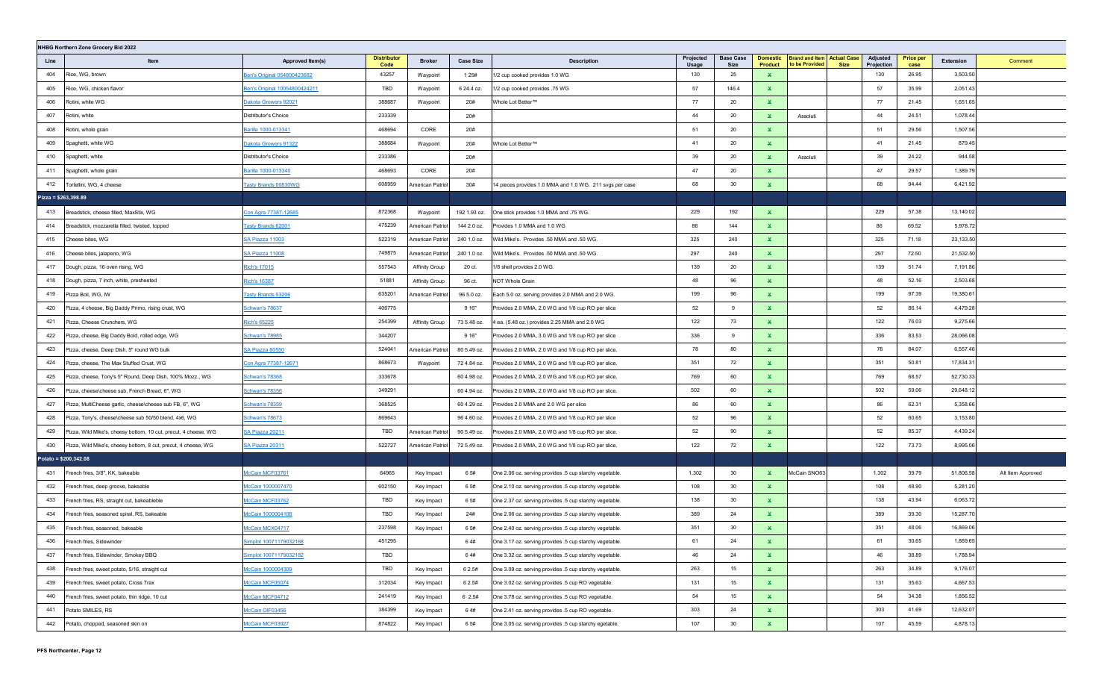|      | NHBG Northern Zone Grocery Bid 2022                             |                               |                            |                       |                  |                                                          |                    |                                 |                                   |                                                     |             |                        |                          |           |                   |
|------|-----------------------------------------------------------------|-------------------------------|----------------------------|-----------------------|------------------|----------------------------------------------------------|--------------------|---------------------------------|-----------------------------------|-----------------------------------------------------|-------------|------------------------|--------------------------|-----------|-------------------|
| Line | Item                                                            | Approved Item(s)              | <b>Distributor</b><br>Code | <b>Broker</b>         | <b>Case Size</b> | <b>Description</b>                                       | Projected<br>Usage | <b>Base Case</b><br><b>Size</b> | <b>Domestic</b><br><b>Product</b> | <b>Brand and Item Actual Case</b><br>to be Provided | <b>Size</b> | Adjusted<br>Projection | <b>Price per</b><br>case | Extension | Comment           |
| 404  | Rice, WG, brown                                                 | Ben's Original 054800423682   | 43257                      | Waypoint              | 1 2 5 #          | 1/2 cup cooked provides 1.0 WG                           | 130                | 25                              | $\mathbf x$                       |                                                     |             | 130                    | 26.95                    | 3,503.50  |                   |
| 405  | Rice, WG, chicken flavor                                        | Ben's Original 10054800424211 | TBD                        | Waypoint              | 6 24.4 oz.       | 1/2 cup cooked provides .75 WG                           | 57                 | 146.4                           | ¥.                                |                                                     |             | 57                     | 35.99                    | 2,051.43  |                   |
| 406  | Rotini, white WG                                                | Dakota Growers 92021          | 388687                     | Waypoint              | 20#              | Whole Lot Better™                                        | 77                 | 20                              | $\mathbf x$                       |                                                     |             | 77                     | 21.45                    | 1,651.65  |                   |
| 407  | Rotini, white                                                   | Distributor's Choice          | 233339                     |                       | 20#              |                                                          | 44                 | 20                              | $\mathbf{x}$                      | Assoluti                                            |             | 44                     | 24.51                    | 1,078.44  |                   |
| 408  | Rotini, whole grain                                             | Barilla 1000-013341           | 468694                     | CORE                  | 20#              |                                                          | 51                 | 20                              | ×.                                |                                                     |             | 51                     | 29.56                    | 1,507.56  |                   |
| 409  | Spaghetti, white WG                                             | Dakota Growers 91322          | 388684                     | Waypoint              | 20#              | Whole Lot Better™                                        | 41                 | 20                              | $\mathbf{x}$                      |                                                     |             | 41                     | 21.45                    | 879.45    |                   |
| 410  | Spaghetti, white                                                | Distributor's Choice          | 233386                     |                       | 20#              |                                                          | 39                 | 20                              | $\mathbf{x}$                      | Assoluti                                            |             | 39                     | 24.22                    | 944.58    |                   |
| 411  | Spaghetti, whole grain                                          | Barilla 1000-013340           | 468693                     | CORE                  | 20#              |                                                          | 47                 | 20                              | $\mathbf x$                       |                                                     |             | 47                     | 29.57                    | 1,389.79  |                   |
| 412  | Tortellini, WG, 4 cheese                                        | <b>Fasty Brands 00830WG</b>   | 608959                     | American Patrio       | 30#              | 14 pieces provides 1.0 MMA and 1.0 WG. 211 svgs per case | 68                 | 30                              | x                                 |                                                     |             | 68                     | 94.44                    | 6,421.92  |                   |
|      | Pizza = \$263,398.89                                            |                               |                            |                       |                  |                                                          |                    |                                 |                                   |                                                     |             |                        |                          |           |                   |
| 413  | Breadstick, cheese filled, MaxStix, WG                          | Con Agra 77387-12685          | 872368                     | Waypoint              | 192 1.93 oz.     | One stick provides 1.0 MMA and .75 WG.                   | 229                | 192                             | ×.                                |                                                     |             | 229                    | 57.38                    | 13,140.02 |                   |
| 414  | Breadstick, mozzarella filled, twisted, topped                  | <b>Tasty Brands 62001</b>     | 475239                     | American Patriot      | 144 2.0 oz.      | Provides 1.0 MMA and 1.0 WG                              | 86                 | 144                             | $\mathbf{x}$                      |                                                     |             | 86                     | 69.52                    | 5,978.72  |                   |
| 415  | Cheese bites, WG                                                | SA Piazza 11003               | 522319                     | American Patriot      | 240 1.0 oz.      | Wild Mike's. Provides .50 MMA and .50 WG.                | 325                | 240                             | $\mathbf{x}$                      |                                                     |             | 325                    | 71.18                    | 23,133.50 |                   |
| 416  | Cheese bites, jalapeno, WG                                      | SA Piazza 11008               | 749875                     | American Patriot      | 240 1.0 oz.      | Wild Mike's. Provides .50 MMA and .50 WG.                | 297                | 240                             | $\mathbf{x}$                      |                                                     |             | 297                    | 72.50                    | 21,532.50 |                   |
| 417  | Dough, pizza, 16 oven rising, WG                                | Rich's 17015                  | 557543                     | <b>Affinity Group</b> | 20 ct.           | 1/8 shell provides 2.0 WG.                               | 139                | 20                              | $\mathbf{x}$                      |                                                     |             | 139                    | 51.74                    | 7,191.86  |                   |
| 418  | Dough, pizza, 7 inch, white, presheeted                         | Rich's 16387                  | 51881                      | <b>Affinity Group</b> | 96 ct.           | NOT Whole Grain                                          | 48                 | 96                              | $\mathbf{x}$                      |                                                     |             | 48                     | 52.16                    | 2,503.68  |                   |
| 419  | Pizza Boli, WG, IW                                              | <b>Tasty Brands 53206</b>     | 635201                     | American Patrio       | 96 5.0 oz.       | Each 5.0 oz. serving provides 2.0 MMA and 2.0 WG.        | 199                | 96                              | $\mathbf{x}$                      |                                                     |             | 199                    | 97.39                    | 19,380.61 |                   |
| 420  | Pizza, 4 cheese, Big Daddy Primo, rising crust, WG              | <u>Schwan's 78637</u>         | 406775                     |                       | 9 16"            | Provides 2.0 MMA, 2.0 WG and 1/8 cup RO per slice        | 52                 | 9                               | $\mathbf{x}$                      |                                                     |             | 52                     | 86.14                    | 4,479.28  |                   |
| 421  | Pizza, Cheese Crunchers, WG                                     | Rich's 65225                  | 254399                     | <b>Affinity Group</b> | 73 5.48 oz.      | 4 ea. (5.48 oz.) provides 2.25 MMA and 2.0 WG            | 122                | 73                              | $\mathbf{x}$                      |                                                     |             | 122                    | 76.03                    | 9,275.66  |                   |
| 422  | Pizza, cheese, Big Daddy Bold, rolled edge, WG                  | Schwan's 78985                | 344207                     |                       | 9 16"            | Provides 2.0 MMA, 3.0 WG and 1/8 cup RO per slice        | 336                | 9                               | $\mathbf{x}$                      |                                                     |             | 336                    | 83.53                    | 28,066.08 |                   |
| 423  | Pizza, cheese, Deep Dish, 5" round WG bulk                      | SA Piazza 80550               | 524041                     | American Patriot      | 80 5.49 oz.      | Provides 2.0 MMA, 2.0 WG and 1/8 cup RO per slice.       | 78                 | 80                              | $\mathbf{x}$                      |                                                     |             | 78                     | 84.07                    | 6,557.46  |                   |
| 424  | Pizza, cheese, The Max Stuffed Crust, WG                        | Con Agra 77387-12671          | 868673                     | Waypoint              | 72 4.84 oz.      | Provides 2.0 MMA, 2.0 WG and 1/8 cup RO per slice.       | 351                | 72                              | $\mathbf{x}$                      |                                                     |             | 351                    | 50.81                    | 17,834.31 |                   |
| 425  | Pizza, cheese, Tony's 5" Round, Deep Dish, 100% Mozz., WG       | <b>Schwan's 78368</b>         | 333678                     |                       | 60 4.98 oz.      | Provides 2.0 MMA, 2.0 WG and 1/8 cup RO per slice.       | 769                | 60                              | $\mathbf{x}$                      |                                                     |             | 769                    | 68.57                    | 52,730.33 |                   |
| 426  | Pizza, cheese\cheese sub, French Bread, 6", WG                  | Schwan's 78356                | 349291                     |                       | 60 4.94 oz.      | Provides 2.0 MMA, 2.0 WG and 1/8 cup RO per slice.       | 502                | 60                              | $\mathbf{x}$                      |                                                     |             | 502                    | 59.06                    | 29,648.12 |                   |
| 427  | Pizza, MultiCheese garlic, cheese\cheese sub FB, 6", WG         | Schwan's 78359                | 368525                     |                       | 60 4.29 oz.      | Provides 2.0 MMA and 2.0 WG per slice                    | 86                 | 60                              | $\mathbf{x}$                      |                                                     |             | 86                     | 62.31                    | 5,358.66  |                   |
| 428  | Pizza, Tony's, cheese\cheese sub 50/50 blend, 4x6, WG           | Schwan's 78673                | 869643                     |                       | 96 4.60 oz.      | Provides 2.0 MMA, 2.0 WG and 1/8 cup RO per slice        | 52                 | 96                              | $\mathbf{x}$                      |                                                     |             | 52                     | 60.65                    | 3,153.80  |                   |
| 429  | Pizza, Wild Mike's, cheesy bottom, 10 cut, precut, 4 cheese, WG | <b>SA Piazza 20211</b>        | TBD                        | American Patriot      | 90 5.49 oz.      | Provides 2.0 MMA, 2.0 WG and 1/8 cup RO per slice.       | 52                 | 90                              | $\mathbf x$                       |                                                     |             | 52                     | 85.37                    | 4,439.24  |                   |
| 430  | Pizza, Wild Mike's, cheesy bottom, 8 cut, precut, 4 cheese, WG  | <b>SA Piazza 20311</b>        | 522727                     | American Patriot      | 72 5.49 oz.      | Provides 2.0 MMA, 2.0 WG and 1/8 cup RO per slice.       | 122                | 72                              | $\mathbf x$                       |                                                     |             | 122                    | 73.73                    | 8,995.06  |                   |
|      | Potato = \$200,342.08                                           |                               |                            |                       |                  |                                                          |                    |                                 |                                   |                                                     |             |                        |                          |           |                   |
| 431  | French fries, 3/8", KK, bakeable                                | AcCain MCF03761               | 64965                      | Key Impact            | 6 5#             | One 2.06 oz. serving provides .5 cup starchy vegetable.  | 1,302              | 30                              | ×.                                | McCain SNO63                                        |             | 1,302                  | 39.79                    | 51,806.58 | Alt Item Approved |
| 432  | French fries, deep groove, bakeable                             | AcCain 1000007470             | 602150                     | Key Impact            | 65#              | One 2.10 oz. serving provides .5 cup starchy vegetable.  | 108                | 30                              | $\mathbf{x}$                      |                                                     |             | 108                    | 48.90                    | 5,281.20  |                   |
| 433  | French fries, RS, straight cut, bakeableble                     | McCain MCF03762               | TBD                        | Key Impact            | 6 5#             | One 2.37 oz. serving provides .5 cup starchy vegetable.  | 138                | 30                              | $\mathbf{x}$                      |                                                     |             | 138                    | 43.94                    | 6,063.72  |                   |
| 434  | rench fries, seasoned spiral, RS, bakeable                      | McCain 1000004108             | TBD                        | Key Impact            | 24#              | One 2.06 oz. serving provides .5 cup starchy vegetable.  | 389                | 24                              | $\mathbf x$                       |                                                     |             | 389                    | 39.30                    | 15,287.70 |                   |
| 435  | French fries, seasoned, bakeable                                | McCain MCX04717               | 237598                     | Key Impact            | 6 5#             | One 2.40 oz. serving provides .5 cup starchy vegetable.  | 351                | 30                              | $\mathbf x$                       |                                                     |             | 351                    | 48.06                    | 16,869.06 |                   |
| 436  | French fries, Sidewinder                                        | implot 10071179032168         | 451295                     |                       | 64#              | One 3.17 oz. serving provides .5 cup starchy vegetable.  | 61                 | 24                              | x                                 |                                                     |             | 61                     | 30.65                    | 1,869.65  |                   |
| 437  | French fries, Sidewinder, Smokey BBQ                            | Simplot 10071179032182        | TBD                        |                       | 64#              | One 3.32 oz. serving provides .5 cup starchy vegetable.  | 46                 | 24                              | $\mathbf{x}$                      |                                                     |             | 46                     | 38.89                    | 1,788.94  |                   |
| 438  | French fries, sweet potato, 5/16, straight cut                  | McCain 1000004309             | TBD                        | Key Impact            | 6 2.5#           | One 3.09 oz. serving provides .5 cup starchy vegetable.  | 263                | 15                              | $\mathbf{x}$                      |                                                     |             | 263                    | 34.89                    | 9,176.07  |                   |
| 439  | French fries, sweet potato, Cross Trax                          | McCain MCF05074               | 312034                     | Key Impact            | 6 2.5#           | One 3.02 oz. serving provides .5 cup RO vegetable.       | 131                | 15                              | $\mathbf{x}$                      |                                                     |             | 131                    | 35.63                    | 4,667.53  |                   |
| 440  | French fries, sweet potato, thin ridge, 10 cut                  | McCain MCF04712               | 241419                     | Key Impact            | 6 2.5#           | One 3.78 oz. serving provides .5 cup RO vegetable.       | 54                 | 15                              | $\mathbf{x}$                      |                                                     |             | 54                     | 34.38                    | 1,856.52  |                   |
| 441  | Potato SMILES, RS                                               | McCain OIF03456               | 384399                     | Key Impact            | 64#              | One 2.41 oz. serving provides .5 cup RO vegetable.       | 303                | 24                              | $\mathbf{x}$                      |                                                     |             | 303                    | 41.69                    | 12,632.07 |                   |
| 442  | Potato, chopped, seasoned skin on                               | McCain MCF03927               | 874822                     | Key Impact            | 6 5#             | One 3.05 oz. serving provides .5 cup starchy egetable.   | 107                | 30                              | $\mathbf{x}$                      |                                                     |             | 107                    | 45.59                    | 4,878.13  |                   |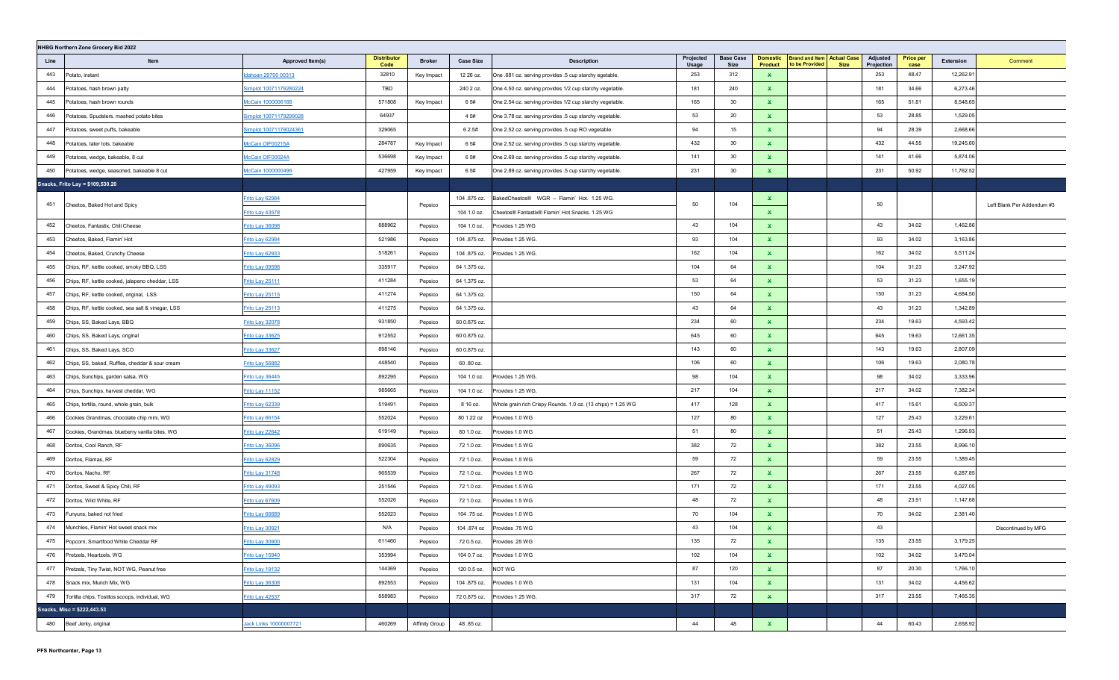| NHBG Northern Zone Grocery Bid 2022 |                                                   |                        |                            |                |                  |                                                              |                    |                          |                            |                                                                    |                        |                          |           |                            |
|-------------------------------------|---------------------------------------------------|------------------------|----------------------------|----------------|------------------|--------------------------------------------------------------|--------------------|--------------------------|----------------------------|--------------------------------------------------------------------|------------------------|--------------------------|-----------|----------------------------|
| Line                                | Item                                              | Approved Item(s)       | <b>Distributor</b><br>Code | <b>Broker</b>  | <b>Case Size</b> | <b>Description</b>                                           | Projected<br>Usage | <b>Base Case</b><br>Size | <b>Domestic</b><br>Product | <b>Brand and Item Actual Case</b><br>to be Provided<br><b>Size</b> | Adjusted<br>Projection | <b>Price per</b><br>case | Extension | Comment                    |
| 443                                 | Potato, instant                                   | dahoan 29700 00313     | 32810                      | Key Impact     | 12 26 oz.        | One .681 oz. serving provides .5 cup starchy egetable.       | 253                | 312                      | $\mathbf{x}$               |                                                                    | 253                    | 48.47                    | 12,262.9  |                            |
| 444                                 | Potatoes, hash brown patty                        | Simplot 10071179280224 | TBD                        |                | 240 2 oz.        | One 4.50 oz. serving provides 1/2 cup starchy vegetable.     | 181                | 240                      | $\mathbf x$                |                                                                    | 181                    | 34.66                    | 6,273.46  |                            |
| 445                                 | Potatoes, hash brown rounds                       | McCain 1000006188      | 571808                     | Key Impact     | 6 5#             | One 2.54 oz. serving provides 1/2 cup starchy vegetable.     | 165                | 30                       | $\mathbf x$                |                                                                    | 165                    | 51.81                    | 8,548.65  |                            |
| 446                                 | Potatoes, Spudsters, mashed potato bites          | Simplot 10071179299028 | 64937                      |                | 4 5#             | One 3.78 oz. serving provides .5 cup starchy vegetable.      | 53                 | 20                       | $\mathbf{x}$               |                                                                    | 53                     | 28.85                    | 1,529.05  |                            |
| 447                                 | Potatoes, sweet puffs, bakeable                   | Simplot 10071179024361 | 329065                     |                | 6 2.5#           | One 2.52 oz. serving provides .5 cup RO vegetable.           | 94                 | 15 <sub>1</sub>          | $\mathbf{x}$               |                                                                    | 94                     | 28.39                    | 2,668.66  |                            |
| 448                                 | Potatoes, tater tots, bakeable                    | McCain OIF00215A       | 284787                     | Key Impact     | 6 5#             | One 2.52 oz. serving provides .5 cup starchy vegetable.      | 432                | 30                       | $\mathbf{x}$               |                                                                    | 432                    | 44.55                    | 19,245.60 |                            |
| 449                                 | Potatoes, wedge, bakeable, 8 cut                  | McCain OIF00024A       | 536698                     | Key Impact     | 6 5#             | One 2.69 oz. serving provides .5 cup starchy vegetable.      | 141                | 30                       | $\mathbf x$                |                                                                    | 141                    | 41.66                    | 5,874.06  |                            |
| 450                                 | Potatoes, wedge, seasoned, bakeable 8 cut         | McCain 1000000496      | 427959                     | Key Impact     | 65#              | One 2.89 oz. serving provides .5 cup starchy vegetable.      | 231                | 30 <sup>°</sup>          | $\mathbf x$                |                                                                    | 231                    | 50.92                    | 11,762.52 |                            |
|                                     | Snacks, Frito Lay = \$109,530.20                  |                        |                            |                |                  |                                                              |                    |                          |                            |                                                                    |                        |                          |           |                            |
| 451                                 | Cheetos, Baked Hot and Spicy                      | Frito Lay 62984        |                            | Pepsico        | 104 .875 oz.     | BakedCheetos® WGR - Flamin' Hot. 1.25 WG.                    | 50                 | 104                      | $\mathbf{x}$               |                                                                    | 50                     |                          |           | Left Blank Per Addendum #3 |
|                                     |                                                   | Frito Lay 43578        |                            |                | 104 1.0 oz.      | Cheetos® Fantastix® Flamin' Hot Snacks. 1.25 WG              |                    |                          | $\mathbf x$                |                                                                    |                        |                          |           |                            |
| 452                                 | Cheetos, Fantastix, Chili Cheese                  | Frito Lay 36098        | 888962                     | Pepsico        | 104 1.0 oz.      | Provides 1.25 WG                                             | 43                 | 104                      | $\mathbf{x}$               |                                                                    | 43                     | 34.02                    | 1,462.86  |                            |
| 453                                 | Cheetos, Baked, Flamin' Hot                       | Frito Lay 62984        | 521986                     | Pepsico        | 104 .875 oz.     | Provides 1.25 WG.                                            | 93                 | 104                      | $\mathbf x$                |                                                                    | 93                     | 34.02                    | 3,163.86  |                            |
| 454                                 | Cheetos, Baked, Crunchy Cheese                    | Frito Lay 62933        | 518261                     | Pepsico        | 104 .875 oz.     | Provides 1.25 WG.                                            | 162                | 104                      | $\mathbf x$                |                                                                    | 162                    | 34.02                    | 5,511.24  |                            |
| 455                                 | Chips, RF, kettle cooked, smoky BBQ, LSS          | Frito Lay 09598        | 335917                     | Pepsico        | 64 1.375 oz.     |                                                              | 104                | 64                       | $\mathbf{x}$               |                                                                    | 104                    | 31.23                    | 3,247.92  |                            |
| 456                                 | Chips, RF, kettle cooked, jalapeno cheddar, LSS   | <u>Frito Lay 25111</u> | 411284                     | Pepsico        | 64 1.375 oz.     |                                                              | 53                 | 64                       | $\mathbf x$                |                                                                    | 53                     | 31.23                    | 1,655.19  |                            |
| 457                                 | Chips, RF, kettle cooked, original, LSS           | Frito Lay 25115        | 411274                     | Pepsico        | 64 1.375 oz.     |                                                              | 150                | 64                       | ×.                         |                                                                    | 150                    | 31.23                    | 4,684.50  |                            |
| 458                                 | Chips, RF, kettle cooked, sea salt & vinegar, LSS | Frito Lay 25113        | 411275                     | Pepsico        | 64 1.375 oz.     |                                                              | 43                 | 64                       | $\mathbf x$                |                                                                    | 43                     | 31.23                    | 1,342.89  |                            |
| 459                                 | Chips, SS, Baked Lays, BBQ                        | Frito Lay 32078        | 931850                     | Pepsico        | 60 0.875 oz.     |                                                              | 234                | 60                       | $\mathbf x$                |                                                                    | 234                    | 19.63                    | 4,593.42  |                            |
| 460                                 | Chips, SS, Baked Lays, original                   | Frito Lay 33625        | 912552                     | Pepsico        | 60 0.875 oz.     |                                                              | 645                | 60                       | $\mathbf{x}$               |                                                                    | 645                    | 19.63                    | 12,661.35 |                            |
| 461                                 | Chips, SS, Baked Lays, SCO                        | Frito Lay 33627        | 898146                     | Pepsico        | 60 0.875 oz.     |                                                              | 143                | 60                       | ×.                         |                                                                    | 143                    | 19.63                    | 2,807.09  |                            |
| 462                                 | Chips, SS, baked, Ruffles, cheddar & sour cream   | Frito Lay 56882        | 448540                     | Pepsico        | 60.80 oz.        |                                                              | 106                | 60                       | $\mathbf x$                |                                                                    | 106                    | 19.63                    | 2,080.78  |                            |
| 463                                 | Chips, Sunchips, garden salsa, WG                 | Frito Lay 36445        | 892295                     | Pepsico        | 104 1.0 oz.      | Provides 1.25 WG.                                            | 98                 | 104                      | $\mathbf x$                |                                                                    | 98                     | 34.02                    | 3,333.96  |                            |
| 464                                 | Chips, Sunchips, harvest cheddar, WG              | Frito Lay 11152        | 985665                     | Pepsico        | 104 1.0 oz.      | Provides 1.25 WG.                                            | 217                | 104                      | $\mathbf x$                |                                                                    | 217                    | 34.02                    | 7,382.34  |                            |
| 465                                 | Chips, tortilla, round, whole grain, bulk         | Frito Lay 62339        | 519491                     | Pepsico        | 8 16 oz.         | Whole grain rich Crispy Rounds. 1.0 oz. (13 chips) = 1.25 WG | 417                | 128                      | $\mathbf x$                |                                                                    | 417                    | 15.61                    | 6,509.37  |                            |
| 466                                 | Cookies Grandmas, chocolate chip mini, WG         | Frito Lay 66154        | 552024                     | Pepsico        | 80 1.22 oz       | Provides 1.0 WG                                              | 127                | 80                       | $\mathbf{x}$               |                                                                    | 127                    | 25.43                    | 3,229.61  |                            |
| 467                                 | Cookies, Grandmas, blueberry vanilla bites, WG    | Frito Lay 22642        | 619149                     | Pepsico        | 80 1.0 oz.       | Provides 1.0 WG                                              | 51                 | 80                       | $\mathbf x$                |                                                                    | 51                     | 25.43                    | 1,296.93  |                            |
| 468                                 | Doritos, Cool Ranch, RF                           | <u>Frito Lay 36096</u> | 890635                     | Pepsico        | 72 1.0 oz.       | Provides 1.5 WG                                              | 382                | 72                       | $\mathbf x$                |                                                                    | 382                    | 23.55                    | 8,996.10  |                            |
| 469                                 | Doritos, Flamas, RF                               | Frito Lay 62829        | 522304                     | Pepsico        | 72 1.0 oz.       | Provides 1.5 WG                                              | 59                 | 72                       | $\mathbf x$                |                                                                    | 59                     | 23.55                    | 1,389.45  |                            |
| 470                                 | Doritos, Nacho, RF                                | Frito Lay 31748        | 965539                     | Pepsico        | 72 1.0 oz.       | Provides 1.5 WG                                              | 267                | 72                       | $\mathbf x$                |                                                                    | 267                    | 23.55                    | 6,287.85  |                            |
| 471                                 | Doritos, Sweet & Spicy Chili, RF                  | Frito Lay 49093        | 251546                     | Pepsico        | 72 1.0 oz.       | Provides 1.5 WG                                              | 171                | 72                       | $\mathbf{x}$               |                                                                    | 171                    | 23.55                    | 4,027.05  |                            |
| 472                                 | Doritos, Wild White, RF                           | Frito Lay 67609        | 552026                     | Pepsico        | 72 1.0 oz.       | Provides 1.5 WG                                              | 48                 | 72                       | $\mathbf x$                |                                                                    | 48                     | 23.91                    | 1,147.68  |                            |
| 473                                 | Funyuns, baked not fried                          | Frito Lay 66689        | 552023                     | Pepsico        | 104 .75 oz.      | Provides 1.0 WG                                              | 70                 | 104                      | $\mathbf x$                |                                                                    | 70                     | 34.02                    | 2,381.40  |                            |
| 474                                 | Munchies, Flamin' Hot sweet snack mix             | Frito Lay 30921        | N/A                        | Pepsico        | 104 .874 oz      | Provides .75 WG                                              | 43                 | 104                      | $\mathbf{x}$               |                                                                    | 43                     |                          |           | Discontinued by MFG        |
| 475                                 | Popcorn, Smartfood White Cheddar RF               | Frito Lay 30900        | 611460                     | Pepsico        | 72 0.5 oz.       | Provides .25 WG                                              | 135                | 72                       | ×.                         |                                                                    | 135                    | 23.55                    | 3,179.25  |                            |
| 476                                 | Pretzels, Heartzels, WG                           | Frito Lay 15940        | 353994                     | Pepsico        | 104 0.7 oz.      | Provides 1.0 WG                                              | 102                | 104                      | $\mathbf x$                |                                                                    | 102                    | 34.02                    | 3,470.04  |                            |
| 477                                 | Pretzels, Tiny Twist, NOT WG, Peanut free         | Frito Lay 19132        | 144369                     | Pepsico        | 120 0.5 oz.      | NOT WG                                                       | 87                 | 120                      | $\mathbf{x}$               |                                                                    | 87                     | 20.30                    | 1,766.10  |                            |
| 478                                 | Snack mix, Munch Mix, WG                          | Frito Lay 36308        | 892553                     | Pepsico        | 104 .875 oz.     | Provides 1.0 WG                                              | 131                | 104                      | $\mathbf x$                |                                                                    | 131                    | 34.02                    | 4,456.62  |                            |
| 479                                 | Tortilla chips, Tostitos scoops, individual, WG   | Frito Lay 42537        | 858983                     | Pepsico        | 72 0.875 oz.     | Provides 1.25 WG.                                            | 317                | 72                       | $\mathbf x$                |                                                                    | 317                    | 23.55                    | 7,465.35  |                            |
|                                     | Snacks, Misc = \$222,443.53                       |                        |                            |                |                  |                                                              |                    |                          |                            |                                                                    |                        |                          |           |                            |
|                                     | 480 Beef Jerky, original                          | Jack Links 10000007721 | 460269                     | Affinity Group | 48.85 oz.        |                                                              | 44                 | 48                       | $\mathbf{x}$               |                                                                    | 44                     | 60.43                    | 2,658.92  |                            |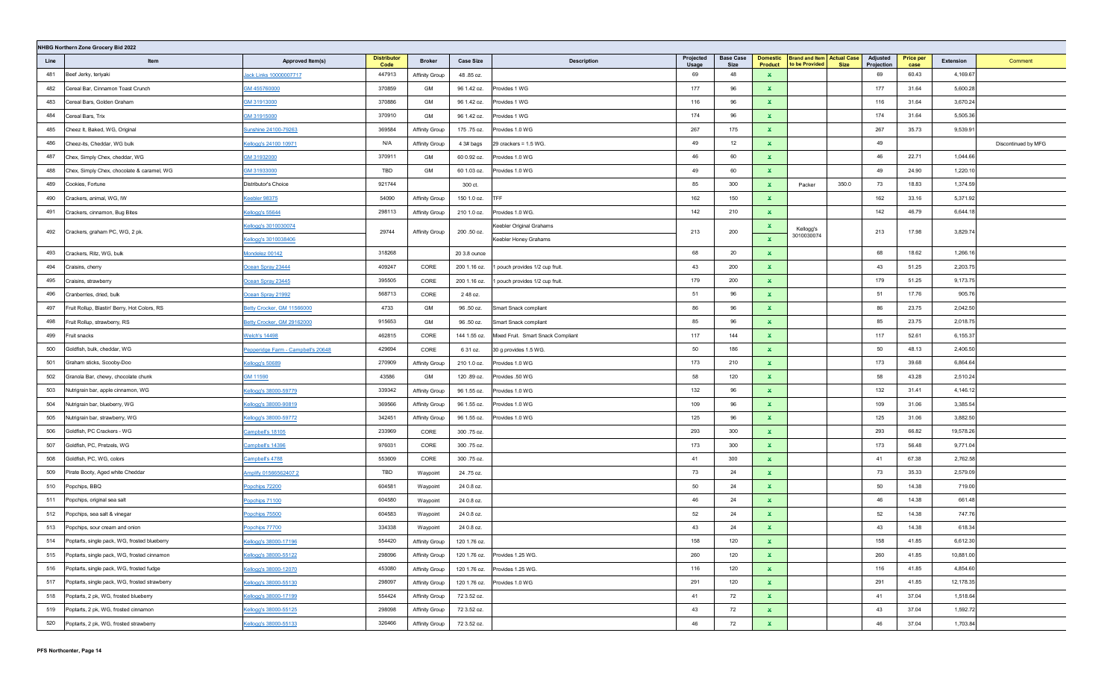| NHBG Northern Zone Grocery Bid 2022 |                                               |                                    |                            |                       |                  |                                    |                    |                          |                                   |                                                     |             |                        |                          |           |                     |
|-------------------------------------|-----------------------------------------------|------------------------------------|----------------------------|-----------------------|------------------|------------------------------------|--------------------|--------------------------|-----------------------------------|-----------------------------------------------------|-------------|------------------------|--------------------------|-----------|---------------------|
| Line                                | Item                                          | Approved Item(s)                   | <b>Distributor</b><br>Code | <b>Broker</b>         | <b>Case Size</b> | <b>Description</b>                 | Projected<br>Usage | <b>Base Case</b><br>Size | <b>Domestic</b><br><b>Product</b> | <b>Brand and Item Actual Case</b><br>to be Provided | <b>Size</b> | Adjusted<br>Projection | <b>Price per</b><br>case | Extension | Comment             |
| 481                                 | Beef Jerky, teriyaki                          | lack Links 10000007717             | 447913                     | Affinity Group        | 48.85 oz.        |                                    | 69                 | 48                       | $\mathbf x$                       |                                                     |             | 69                     | 60.43                    | 4,169.67  |                     |
| 482                                 | Cereal Bar, Cinnamon Toast Crunch             | GM 455760000                       | 370859                     | GM                    | 96 1.42 oz.      | Provides 1 WG                      | 177                | 96                       | $\mathbf{x}$                      |                                                     |             | 177                    | 31.64                    | 5,600.28  |                     |
| 483                                 | Cereal Bars, Golden Graham                    | 3M 31913000                        | 370886                     | GM                    | 96 1.42 oz.      | Provides 1 WG                      | 116                | 96                       | $\mathbf x$                       |                                                     |             | 116                    | 31.64                    | 3,670.24  |                     |
| 484                                 | Cereal Bars, Trix                             | GM 31915000                        | 370910                     | GM                    | 96 1.42 oz.      | Provides 1 WG                      | 174                | 96                       | $\mathbf x$                       |                                                     |             | 174                    | 31.64                    | 5,505.36  |                     |
| 485                                 | Cheez It, Baked, WG, Original                 | Sunshine 24100-79263               | 369584                     | Affinity Group        | 175.75 oz.       | Provides 1.0 WG                    | 267                | 175                      | $\mathbf{x}$                      |                                                     |             | 267                    | 35.73                    | 9,539.91  |                     |
| 486                                 | Cheez-its, Cheddar, WG bulk                   | Kellogg's 24100 10971              | N/A                        | Affinity Group        | 4 3# bags        | 29 crackers = $1.5$ WG.            | 49                 | 12                       | $\mathbf x$                       |                                                     |             | 49                     |                          |           | Discontinued by MFG |
| 487                                 | Chex, Simply Chex, cheddar, WG                | GM 31932000                        | 370911                     | GM                    | 60 0.92 oz.      | Provides 1.0 WG                    | 46                 | 60                       | $\mathbf x$                       |                                                     |             | 46                     | 22.71                    | 1,044.66  |                     |
| 488                                 | Chex, Simply Chex, chocolate & caramel, WG    | GM 31933000                        | TBD                        | GM                    | 60 1.03 oz.      | Provides 1.0 WG                    | 49                 | 60                       | $\mathbf x$                       |                                                     |             | 49                     | 24.90                    | 1,220.10  |                     |
| 489                                 | Cookies, Fortune                              | Distributor's Choice               | 921744                     |                       | 300 ct.          |                                    | 85                 | 300                      | $\mathbf{x}$                      | Packer                                              | 350.0       | 73                     | 18.83                    | 1,374.59  |                     |
| 490                                 | Crackers, animal, WG, IW                      | Ceebler 98375                      | 54090                      | Affinity Group        | 150 1.0 oz.      | <b>TFF</b>                         | 162                | 150                      | $\mathbf{x}$                      |                                                     |             | 162                    | 33.16                    | 5,371.92  |                     |
| 491                                 | Crackers, cinnamon, Bug Bites                 | Cellogg's 55644                    | 298113                     | <b>Affinity Group</b> | 210 1.0 oz.      | Provides 1.0 WG.                   | 142                | 210                      | $\mathbf{x}$                      |                                                     |             | 142                    | 46.79                    | 6,644.18  |                     |
| 492                                 | Crackers, graham PC, WG, 2 pk.                | Kellogg's 3010030074               | 29744                      | <b>Affinity Group</b> | 200 .50 oz.      | <b>Keebler Original Grahams</b>    | 213                | 200                      | ×.                                | Kellogg's                                           |             | 213                    | 17.98                    | 3,829.74  |                     |
|                                     |                                               | Cellogg's 3010038406               |                            |                       |                  | Keebler Honey Grahams              |                    |                          | $\mathbf{x}$                      | 3010030074                                          |             |                        |                          |           |                     |
| 493                                 | Crackers, Ritz, WG, bulk                      | Mondelez 00142                     | 318268                     |                       | 20 3.8 ounce     |                                    | 68                 | 20                       | $\mathbf{x}$                      |                                                     |             | 68                     | 18.62                    | 1,266.16  |                     |
| 494                                 | Craisins, cherry                              | Ocean Spray 23444                  | 409247                     | CORE                  | 200 1.16 oz.     | 1 pouch provides 1/2 cup fruit.    | 43                 | 200                      | $\mathbf{x}$                      |                                                     |             | 43                     | 51.25                    | 2,203.75  |                     |
| 495                                 | Craisins, strawberry                          | Ocean Spray 23445                  | 395505                     | CORE                  | 200 1.16 oz.     | 1 pouch provides 1/2 cup fruit.    | 179                | 200                      | $\mathbf{x}$                      |                                                     |             | 179                    | 51.25                    | 9,173.75  |                     |
| 496                                 | Cranberries, dried, bulk                      | Ocean Spray 21992                  | 568713                     | CORE                  | 2 48 oz.         |                                    | 51                 | 96                       | $\mathbf{x}$                      |                                                     |             | 51                     | 17.76                    | 905.76    |                     |
| 497                                 | Fruit Rollup, Blastin' Berry, Hot Colors, RS  | Betty Crocker, GM 11566000         | 4733                       | GM                    | 96.50 oz.        | Smart Snack compliant              | 86                 | 96                       | $\mathbf{x}$                      |                                                     |             | 86                     | 23.75                    | 2,042.50  |                     |
| 498                                 | Fruit Rollup, strawberry, RS                  | Betty Crocker, GM 29162000         | 915653                     | GM                    | 96.50 oz.        | Smart Snack compliant              | 85                 | 96                       | $\mathbf{x}$                      |                                                     |             | 85                     | 23.75                    | 2,018.75  |                     |
| 499                                 | Fruit snacks                                  | <b>Welch's 14498</b>               | 462815                     | CORE                  | 144 1.55 oz.     | Mixed Fruit. Smart Snack Compliant | 117                | 144                      | $\mathbf{x}$                      |                                                     |             | 117                    | 52.61                    | 6,155.37  |                     |
| 500                                 | Goldfish, bulk, cheddar, WG                   | Pepperidge Farm - Campbell's 20648 | 429694                     | CORE                  | 6 31 oz.         | 30 g provides 1.5 WG.              | 50                 | 186                      | $\mathbf{x}$                      |                                                     |             | 50                     | 48.13                    | 2,406.50  |                     |
| 501                                 | Graham sticks, Scooby-Doo                     | Kellogg's 50689                    | 270909                     | Affinity Group        | 210 1.0 oz.      | Provides 1.0 WG                    | 173                | 210                      | $\mathbf{x}$                      |                                                     |             | 173                    | 39.68                    | 6,864.64  |                     |
| 502                                 | Granola Bar, chewy, chocolate chunk           | GM 11590                           | 43586                      | GM                    | 120.89 oz.       | Provides .50 WG                    | 58                 | 120                      | $\mathbf{x}$                      |                                                     |             | 58                     | 43.28                    | 2,510.24  |                     |
| 503                                 | Nutrigrain bar, apple cinnamon, WG            | Cellogg's 38000-59779              | 339342                     | Affinity Group        | 96 1.55 oz.      | Provides 1.0 WG                    | 132                | 96                       | $\mathbf{x}$                      |                                                     |             | 132                    | 31.41                    | 4,146.12  |                     |
| 504                                 | Nutrigrain bar, blueberry, WG                 | Cellogg's 38000-90819              | 369566                     | Affinity Group        | 96 1.55 oz.      | Provides 1.0 WG                    | 109                | 96                       | $\mathbf{x}$                      |                                                     |             | 109                    | 31.06                    | 3,385.54  |                     |
| 505                                 | Nutrigrain bar, strawberry, WG                | Cellogg's 38000-59772              | 342451                     | Affinity Group        | 96 1.55 oz.      | Provides 1.0 WG                    | 125                | 96                       | $\mathbf{x}$                      |                                                     |             | 125                    | 31.06                    | 3,882.50  |                     |
| 506                                 | Goldfish, PC Crackers - WG                    | Campbell's 18105                   | 233969                     | CORE                  | 300 .75 oz.      |                                    | 293                | 300                      | $\mathbf x$                       |                                                     |             | 293                    | 66.82                    | 19,578.26 |                     |
| 507                                 | Goldfish, PC, Pretzels, WG                    | Campbell's 14396                   | 976031                     | CORE                  | 300 .75 oz.      |                                    | 173                | 300                      | $\mathbf x$                       |                                                     |             | 173                    | 56.48                    | 9,771.04  |                     |
| 508                                 | Goldfish, PC, WG, colors                      | Campbell's 4788                    | 553609                     | CORE                  | 300 .75 oz.      |                                    | 41                 | 300                      | $\mathbf x$                       |                                                     |             | 41                     | 67.38                    | 2,762.58  |                     |
| 509                                 | Pirate Booty, Aged white Cheddar              | Amplify 01566562407 2              | TBD                        | Waypoint              | 24 .75 oz.       |                                    | 73                 | 24                       | $\mathbf{x}$                      |                                                     |             | 73                     | 35.33                    | 2,579.09  |                     |
| 510                                 | Popchips, BBQ                                 | Popchips 72200                     | 604581                     | Waypoint              | 24 0.8 oz.       |                                    | 50                 | 24                       | $\mathbf{x}$                      |                                                     |             | 50                     | 14.38                    | 719.00    |                     |
| 511                                 | Popchips, original sea salt                   | Popchips 71100                     | 604580                     | Waypoint              | 24 0.8 oz.       |                                    | 46                 | 24                       | $\mathbf{x}$                      |                                                     |             | 46                     | 14.38                    | 661.48    |                     |
| 512                                 | Popchips, sea salt & vinegar                  | Popchips 75500                     | 604583                     | Waypoint              | 24 0.8 oz.       |                                    | 52                 | 24                       | $\mathbf{x}$                      |                                                     |             | 52                     | 14.38                    | 747.76    |                     |
| 513                                 | Popchips, sour cream and onion                | Popchips 77700                     | 334338                     | Waypoint              | 24 0.8 oz.       |                                    | 43                 | 24                       | $\mathbf{x}$                      |                                                     |             | 43                     | 14.38                    | 618.34    |                     |
| 514                                 | Poptarts, single pack, WG, frosted blueberry  | Cellogg's 38000-17196              | 554420                     | <b>Affinity Group</b> | 120 1.76 oz.     |                                    | 158                | 120                      | $\mathbf x$                       |                                                     |             | 158                    | 41.85                    | 6,612.30  |                     |
| 515                                 | Poptarts, single pack, WG, frosted cinnamon   | Kellogg's 38000-55122              | 298096                     | <b>Affinity Group</b> | 120 1.76 oz.     | Provides 1.25 WG.                  | 260                | 120                      | $\mathbf{x}$                      |                                                     |             | 260                    | 41.85                    | 10,881.00 |                     |
| 516                                 | Poptarts, single pack, WG, frosted fudge      | Kellogg's 38000-12070              | 453080                     | Affinity Group        | 120 1.76 oz.     | Provides 1.25 WG.                  | 116                | 120                      | $\mathbf{x}$                      |                                                     |             | 116                    | 41.85                    | 4,854.60  |                     |
| 517                                 | Poptarts, single pack, WG, frosted strawberry | Kellogg's 38000-55130              | 298097                     | Affinity Group        | 120 1.76 oz.     | Provides 1.0 WG                    | 291                | 120                      | $\mathbf{x}$                      |                                                     |             | 291                    | 41.85                    | 12,178.35 |                     |
| 518                                 | Poptarts, 2 pk, WG, frosted blueberry         | Kellogg's 38000-17199              | 554424                     | Affinity Group        | 72 3.52 oz.      |                                    | 41                 | 72                       | $\mathbf{x}$                      |                                                     |             | 41                     | 37.04                    | 1,518.64  |                     |
| 519                                 | Poptarts, 2 pk, WG, frosted cinnamon          | Kellogg's 38000-55125              | 298098                     | Affinity Group        | 72 3.52 oz.      |                                    | 43                 | 72                       | $\mathbf{x}$                      |                                                     |             | 43                     | 37.04                    | 1,592.72  |                     |
| 520                                 | Poptarts, 2 pk, WG, frosted strawberry        | Cellogg's 38000-55133              | 326466                     | Affinity Group        | 72 3.52 oz.      |                                    | 46                 | 72                       | $\mathbf{x}$                      |                                                     |             | 46                     | 37.04                    | 1,703.84  |                     |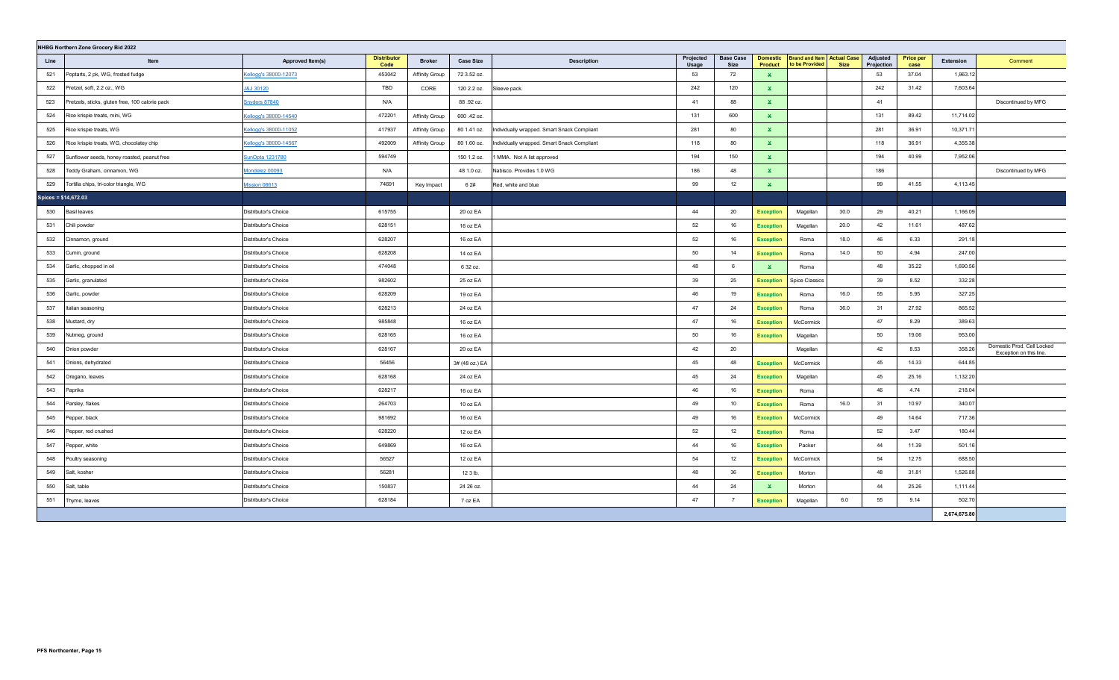| NHBG Northern Zone Grocery Bid 2022 |                                                 |                       |                            |                       |                  |                                             |                    |                          |                            |                                                     |             |                        |                          |              |                                                       |
|-------------------------------------|-------------------------------------------------|-----------------------|----------------------------|-----------------------|------------------|---------------------------------------------|--------------------|--------------------------|----------------------------|-----------------------------------------------------|-------------|------------------------|--------------------------|--------------|-------------------------------------------------------|
| Line                                | Item                                            | Approved Item(s)      | <b>Distributor</b><br>Code | <b>Broker</b>         | <b>Case Size</b> | <b>Description</b>                          | Projected<br>Usage | <b>Base Case</b><br>Size | <b>Domestic</b><br>Product | <b>Brand and Item Actual Case</b><br>to be Provided | <b>Size</b> | Adjusted<br>Projection | <b>Price per</b><br>case | Extension    | Comment                                               |
| 521                                 | Poptarts, 2 pk, WG, frosted fudge               | Kellogg's 38000-12073 | 453042                     | <b>Affinity Group</b> | 72 3.52 oz.      |                                             | 53                 | 72                       | $\mathbf x$                |                                                     |             | 53                     | 37.04                    | 1,963.12     |                                                       |
| 522                                 | Pretzel, soft, 2.2 oz., WG                      | J&J 30120             | TBD                        | CORE                  | 120 2.2 oz.      | Sleeve pack.                                | 242                | 120                      | $\mathbf{x}$               |                                                     |             | 242                    | 31.42                    | 7,603.64     |                                                       |
| 523                                 | Pretzels, sticks, gluten free, 100 calorie pack | Snyders 87840         | N/A                        |                       | 88.92 oz.        |                                             | 41                 | 88                       | $\mathbf{x}$               |                                                     |             | 41                     |                          |              | Discontinued by MFG                                   |
| 524                                 | Rice krispie treats, mini, WG                   | Cellogg's 38000-14540 | 472201                     | Affinity Group        | 600 .42 oz.      |                                             | 131                | 600                      | $\mathbf{x}$               |                                                     |             | 131                    | 89.42                    | 11,714.02    |                                                       |
| 525                                 | Rice krispie treats, WG                         | Cellogg's 38000-11052 | 417937                     | <b>Affinity Group</b> | 80 1.41 oz.      | Individually wrapped. Smart Snack Compliant | 281                | 80                       | $\mathbf{x}$               |                                                     |             | 281                    | 36.91                    | 10,371.71    |                                                       |
| 526                                 | Rice krispie treats, WG, chocolatey chip        | Kellogg's 38000-14567 | 492009                     | Affinity Group        | 80 1.60 oz.      | Individually wrapped. Smart Snack Compliant | 118                | 80                       | $\mathbf{x}$               |                                                     |             | 118                    | 36.91                    | 4,355.38     |                                                       |
| 527                                 | Sunflower seeds, honey roasted, peanut free     | unOpta 1231780        | 594749                     |                       | 150 1.2 oz.      | MMA. Not A list approved                    | 194                | 150                      | $\mathbf{x}$               |                                                     |             | 194                    | 40.99                    | 7,952.06     |                                                       |
| 528                                 | Teddy Graham, cinnamon, WG                      | Mondelez 00093        | N/A                        |                       | 48 1.0 oz.       | Nabisco. Provides 1.0 WG                    | 186                | 48                       | $\mathbf{x}$               |                                                     |             | 186                    |                          |              | Discontinued by MFG                                   |
| 529                                 | Tortilla chips, tri-color triangle, WG          | Mission 08613         | 74691                      | Key Impact            | 6 2#             | Red, white and blue                         | 99                 | 12                       | $\mathbf{x}$               |                                                     |             | 99                     | 41.55                    | 4,113.45     |                                                       |
| Spices = \$14,672.03                |                                                 |                       |                            |                       |                  |                                             |                    |                          |                            |                                                     |             |                        |                          |              |                                                       |
| 530                                 | <b>Basil leaves</b>                             | Distributor's Choice  | 615755                     |                       | 20 oz EA         |                                             | 44                 | 20                       | <b>Exception</b>           | Magellan                                            | 30.0        | 29                     | 40.21                    | 1,166.09     |                                                       |
| 531                                 | Chili powder                                    | Distributor's Choice  | 628151                     |                       | 16 oz EA         |                                             | 52                 | 16                       | <b>Exception</b>           | Magellan                                            | 20.0        | 42                     | 11.61                    | 487.62       |                                                       |
| 532                                 | Cinnamon, ground                                | Distributor's Choice  | 628207                     |                       | 16 oz EA         |                                             | 52                 | 16                       | <b>Exception</b>           | Roma                                                | 18.0        | 46                     | 6.33                     | 291.18       |                                                       |
| 533                                 | Cumin, ground                                   | Distributor's Choice  | 628208                     |                       | 14 oz EA         |                                             | 50                 | 14                       | <b>Exception</b>           | Roma                                                | 14.0        | 50                     | 4.94                     | 247.00       |                                                       |
| 534                                 | Garlic, chopped in oil                          | Distributor's Choice  | 474048                     |                       | 6 32 oz.         |                                             | 48                 | 6                        | $\mathbf{x}$               | Roma                                                |             | 48                     | 35.22                    | 1,690.56     |                                                       |
| 535                                 | Garlic, granulated                              | Distributor's Choice  | 982602                     |                       | 25 oz EA         |                                             | 39                 | 25                       | <b>Exception</b>           | <b>Spice Classics</b>                               |             | 39                     | 8.52                     | 332.28       |                                                       |
| 536                                 | Garlic, powder                                  | Distributor's Choice  | 628209                     |                       | 19 oz EA         |                                             | 46                 | 19                       | <b>Exception</b>           | Roma                                                | 16.0        | 55                     | 5.95                     | 327.25       |                                                       |
| 537                                 | Italian seasoning                               | Distributor's Choice  | 628213                     |                       | 24 oz EA         |                                             | 47                 | 24                       | <b>Exception</b>           | Roma                                                | 36.0        | 31                     | 27.92                    | 865.52       |                                                       |
| 538                                 | Mustard, dry                                    | Distributor's Choice  | 985848                     |                       | 16 oz EA         |                                             | 47                 | 16                       | <b>Exception</b>           | McCormick                                           |             | 47                     | 8.29                     | 389.63       |                                                       |
| 539                                 | Nutmeg, ground                                  | Distributor's Choice  | 628165                     |                       | 16 oz EA         |                                             | 50                 | 16                       | <b>Exception</b>           | Magellan                                            |             | 50                     | 19.06                    | 953.00       |                                                       |
| 540                                 | Onion powder                                    | Distributor's Choice  | 628167                     |                       | 20 oz EA         |                                             | 42                 | 20                       |                            | Magellan                                            |             | 42                     | 8.53                     | 358.26       | Domestic Prod. Cell Locked<br>Exception on this line. |
| 541                                 | Onions, dehydrated                              | Distributor's Choice  | 56456                      |                       | 3# (48 oz.) EA   |                                             | 45                 | 48                       | <b>Exception</b>           | McCormick                                           |             | 45                     | 14.33                    | 644.85       |                                                       |
| 542                                 | Oregano, leaves                                 | Distributor's Choice  | 628168                     |                       | 24 oz EA         |                                             | 45                 | 24                       | <b>Exception</b>           | Magellan                                            |             | 45                     | 25.16                    | 1,132.20     |                                                       |
| 543                                 | Paprika                                         | Distributor's Choice  | 628217                     |                       | 16 oz EA         |                                             | 46                 | 16                       | <b>Exception</b>           | Roma                                                |             | 46                     | 4.74                     | 218.04       |                                                       |
| 544                                 | Parsley, flakes                                 | Distributor's Choice  | 264703                     |                       | 10 oz EA         |                                             | 49                 | 10                       | <b>Exception</b>           | Roma                                                | 16.0        | 31                     | 10.97                    | 340.07       |                                                       |
| 545                                 | Pepper, black                                   | Distributor's Choice  | 981692                     |                       | 16 oz EA         |                                             | 49                 | 16                       | <b>Exception</b>           | McCormick                                           |             | 49                     | 14.64                    | 717.36       |                                                       |
| 546                                 | Pepper, red crushed                             | Distributor's Choice  | 628220                     |                       | 12 oz EA         |                                             | 52                 | 12                       | <b>Exception</b>           | Roma                                                |             | 52                     | 3.47                     | 180.44       |                                                       |
| 547                                 | Pepper, white                                   | Distributor's Choice  | 649869                     |                       | 16 oz EA         |                                             | 44                 | 16                       | <b>Exception</b>           | Packer                                              |             | 44                     | 11.39                    | 501.16       |                                                       |
| 548                                 | Poultry seasoning                               | Distributor's Choice  | 56527                      |                       | 12 oz EA         |                                             | 54                 | 12                       | <b>Exception</b>           | McCormick                                           |             | 54                     | 12.75                    | 688.50       |                                                       |
| 549                                 | Salt, kosher                                    | Distributor's Choice  | 56281                      |                       | 12 3 lb.         |                                             | 48                 | 36                       | <b>Exception</b>           | Morton                                              |             | 48                     | 31.81                    | 1,526.88     |                                                       |
| 550                                 | Salt, table                                     | Distributor's Choice  | 150837                     |                       | 24 26 oz.        |                                             | 44                 | 24                       | $\mathbf{x}$               | Morton                                              |             | 44                     | 25.26                    | 1,111.44     |                                                       |
| 551                                 | Thyme, leaves                                   | Distributor's Choice  | 628184                     |                       | 7 oz EA          |                                             | 47                 | $\overline{7}$           | <b>Exception</b>           | Magellan                                            | 6.0         | 55                     | 9.14                     | 502.70       |                                                       |
|                                     |                                                 |                       |                            |                       |                  |                                             |                    |                          |                            |                                                     |             |                        |                          | 2,674,675.80 |                                                       |